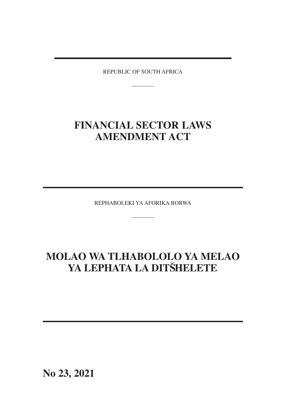REPUBLIC OF SOUTH AFRICA

# **FINANCIAL SECTOR LAWS AMENDMENT ACT**

REPHABOLEKI YA AFORIKA BORWA

# **MOLAO WA TLHABOLOLO YA MELAO** YA LEPHATA LA DITŠHELETE

**No 23, 2021**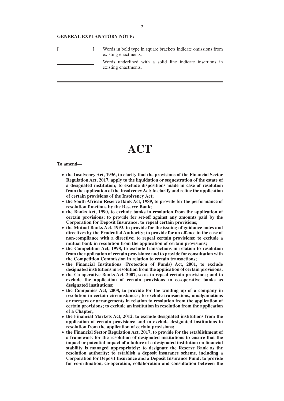#### **GENERAL EXPLANATORY NOTE:**

|  | Words in bold type in square brackets indicate omissions from<br>existing enactments. |
|--|---------------------------------------------------------------------------------------|
|  | Words underlined with a solid line indicate insertions in<br>existing enactments.     |

# **ACT**

#### **To amend—**

- **the Insolvency Act, 1936, to clarify that the provisions of the Financial Sector Regulation Act, 2017, apply to the liquidation or sequestration of the estate of a designated institution; to exclude dispositions made in case of resolution from the application of the Insolvency Act; to clarify and refine the application of certain provisions of the Insolvency Act;**
- **the South African Reserve Bank Act, 1989, to provide for the performance of resolution functions by the Reserve Bank;**
- **the Banks Act, 1990, to exclude banks in resolution from the application of certain provisions; to provide for set-off against any amounts paid by the Corporation for Deposit Insurance; to repeal certain provisions;**
- **the Mutual Banks Act, 1993, to provide for the issuing of guidance notes and directives by the Prudential Authority; to provide for an offence in the case of non-compliance with a directive; to repeal certain provisions; to exclude a mutual bank in resolution from the application of certain provisions;**
- **the Competition Act, 1998, to exclude transactions in relation to resolution from the application of certain provisions; and to provide for consultation with the Competition Commission in relation to certain transactions;**
- **the Financial Institutions (Protection of Funds) Act, 2001, to exclude designated institutions in resolution from the application of certain provisions;**
- **the Co-operative Banks Act, 2007, so as to repeal certain provisions; and to exclude the application of certain provisions to co-operative banks as designated institutions;**
- **the Companies Act, 2008, to provide for the winding up of a company in resolution in certain circumstances; to exclude transactions, amalgamations or mergers or arrangements in relation to resolution from the application of certain provisions; to exclude an institution in resolution from the application of a Chapter;**
- **the Financial Markets Act, 2012, to exclude designated institutions from the application of certain provisions; and to exclude designated institutions in resolution from the application of certain provisions;**
- **the Financial Sector Regulation Act, 2017, to provide for the establishment of a framework for the resolution of designated institutions to ensure that the impact or potential impact of a failure of a designated institution on financial stability is managed appropriately; to designate the Reserve Bank as the resolution authority; to establish a deposit insurance scheme, including a Corporation for Deposit Insurance and a Deposit Insurance Fund; to provide for co-ordination, co-operation, collaboration and consultation between the**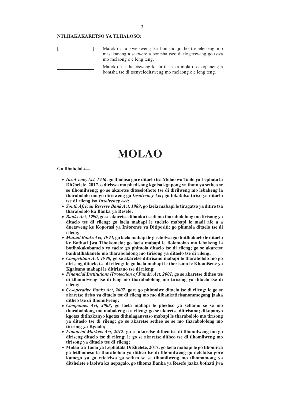# **NTLHAKAKARETSO YA TLHALOSO:**

|  | Mafoko a a kwetsweng ka bontsho jo bo tseneletseng mo<br>masakaneng a sekwere a bontsha tseo di tlogetsweng go tswa<br>mo melaong e e leng teng. |
|--|--------------------------------------------------------------------------------------------------------------------------------------------------|
|  | Mafoko a a thaletsweng ka fa tlase ka mola o o kopaneng a<br>bontsha tse di tsenyeleditsweng mo melaong e e leng teng.                           |

# **MOLAO**

**Go tlhabolola—**

- *Insolvency Act, 1936***, go tlhalosa gore ditaelo tsa Molao wa Taolo ya Lephata la Ditsˇhelete, 2017, o diriswa mo phedisong kgotsa kgapong ya thoto ya setheo se se tlhomilweng; go se akaretse ditseelothoto tse di dirilweng mo lebakeng la tharabololo mo go dirisweng ga** *Insolvency Act***; go tokafatsa tiriso ya ditaelo tse di rileng tsa** *Insolvency Act***;**
- *South African Reserve Bank Act, 1989***, go laela mabapi le tiragatso ya ditiro tsa tharabololo ka Banka ya Resefe;**
- *Banks Act, 1990***, go se akaretse dibanka tse di mo tharabololong mo tirisong ya ditaelo tse di rileng; go laela mabapi le tuelelo mabapi le madi afe a a duetsweng ke Koporasi ya Insˇorense ya Ditipositi; go phimola ditaelo tse di rileng;**
- *Mutual Banks Act, 1993***, go laela mabapi le g rebolwa ga dintlhakaelo le ditaelo ke Bothati jwa Tlhokomelo; go laela mabapi le tlolomolao mo lebakeng la botlhokakobamelo ya taelo; go phimola ditaelo tse di rileng; go se akaretse bankatlhakanelo mo tharabololong mo tirisong ya ditaelo tse di rileng;**
- *Competition Act, 1998***, go se akaretse ditirisano mabapi le tharabololo mo go** diriseng ditaelo tse di rileng; le go laela mabapi le therisano le Khomišene ya **Kgaisano mabapi le ditirisano tse di rileng;**
- *Financial Institutions (Protection of Funds) Act, 2001***, go se akaretse ditheo tse di tlhomilweng tse di leng mo tharabololong mo tirisong ya ditaelo tse di rileng;**
- *Co-operative Banks Act, 2007***, gore go phimolwe ditaelo tse di rileng; le go se akaretse tiriso ya ditaelo tse di rileng mo mo dibankatirisanommogong jaaka ditheo tse di tlhomilweng;**
- *Companies Act, 2008***, go laela mabapi le phediso ya setlamo se se mo tharabololong mo mabakeng a a rileng; go se akaretse ditirisano; dikopanyo kgotsa ditlhakanyo kgotsa dithulaganyetso mabapi le tharabololo mo tirisong ya ditaelo tse di rileng; go se akaretse setheo se se mo tharabololong mo tirisong ya Kgaolo;**
- *Financial Markets Act, 2012***, go se akaretse ditheo tse di tlhomilweng mo go diriseng ditaelo tse di rileng; le go se akaretse ditheo tse di tlhomilweng mo tirisong ya ditaelo tse di rileng;**
- **Molao wa Taolo ya Lephatala Ditsˇhelete, 2017, go laela mabapi le go tlhomiwa ga letlhomeso la tharabololo ya ditheo tse di tlhomilweng go netefatsa gore kamego ya go retelelwa ga setheo se se tlhomilweng mo tlhomamong ya ditsˇhelete e laolwa ka nepagalo, go tlhoma Banka ya Resefe jaaka bothati jwa**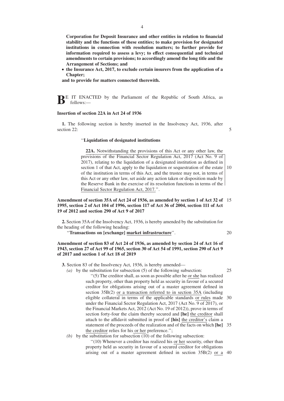**Corporation for Deposit Insurance and other entities in relation to financial stability and the functions of these entities; to make provision for designated institutions in connection with resolution matters; to further provide for information required to assess a levy; to effect consequential and technical amendments to certain provisions; to accordingly amend the long title and the Arrangement of Sections; and**

● **the Insurance Act, 2017, to exclude certain insurers from the application of a Chapter;**

**and to provide for matters connected therewith.**

**BE IT ENACTED** by the Parliament of the Republic of South Africa, as follows:—

#### **Insertion of section 22A in Act 24 of 1936**

**1.** The following section is hereby inserted in the Insolvency Act, 1936, after section 22:

5

#### ''**Liquidation of designated institutions**

**22A.** Notwithstanding the provisions of this Act or any other law, the provisions of the Financial Sector Regulation Act, 2017 (Act No. 9 of 2017), relating to the liquidation of a designated institution as defined in section 1 of that Act, apply to the liquidation or sequestration of the estate of the institution in terms of this Act, and the trustee may not, in terms of this Act or any other law, set aside any action taken or disposition made by the Reserve Bank in the exercise of its resolution functions in terms of the Financial Sector Regulation Act, 2017.''. 10

# **Amendment of section 35A of Act 24 of 1936, as amended by section 1 of Act 32 of** 15 **1995, section 2 of Act 104 of 1996, section 117 of Act 36 of 2004, section 111 of Act 19 of 2012 and section 290 of Act 9 of 2017**

**2.** Section 35A of the Insolvency Act, 1936, is hereby amended by the substitution for the heading of the following heading:

''**Transactions on [exchange] market infrastructure**''.

20

# **Amendment of section 83 of Act 24 of 1936, as amended by section 24 of Act 16 of 1943, section 27 of Act 99 of 1965, section 30 of Act 54 of 1991, section 290 of Act 9 of 2017 and section 1 of Act 18 of 2019**

**3.** Section 83 of the Insolvency Act, 1936, is hereby amended—

- *(a)* by the substitution for subsection (5) of the following subsection: ''(5) The creditor shall, as soon as possible after he or she has realized such property, other than property held as security in favour of a secured creditor for obligations arising out of a master agreement defined in section 35B(2) or a transaction referred to in section 35A (including eligible collateral in terms of the applicable standards or rules made 30 under the Financial Sector Regulation Act, 2017 (Act No. 9 of 2017), or the Financial Markets Act, 2012 (Act No. 19 of 2012)), prove in terms of section forty-four the claim thereby secured and **[he]** the creditor shall attach to the affidavit submitted in proof of **[his]** the creditor's claim a statement of the proceeds of the realization and of the facts on which **[he]** 35 the creditor relies for his or her preference.''; 25
- (b) by the substitution for subsection  $(10)$  of the following subsection:

''(10) Whenever a creditor has realized his or her security, other than property held as security in favour of a secured creditor for obligations arising out of a master agreement defined in section 35B(2) or a 40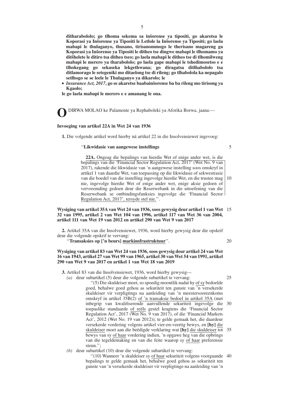**ditharabololo; go tlhoma sekema sa insˇorense ya tipositi, go akaretsa le Koporasi ya Insˇorense ya Tipositi le Letlole la Insˇorense ya Tipositi; go laela mabapi le thulaganyo, thusano, tirisanommogo le therisano magareng ga Koporasi ya Insˇorense ya Tipositi le ditheo tse dingwe mabapi le tlhomamo ya ditsˇhelete le ditiro tsa ditheo tseo; go laela mabapi le ditheo tse di tlhomilweng mabapi le merero ya tharabololo; go laela gape mabapi le tshedimosetso e e tlhokegang go sekaseka lekgethwana; go diragatsa ditlhabololo tsa ditlamorago le setegeniki mo ditaelong tse di rileng; go tlhabolola ka nepagalo setlhogo se se leele le Thulaganyo ya dikarolo; le**

● *Insurance Act, 2017***, go se akaretse baabainsˇorense ba ba rileng mo tirisong ya Kgaolo;**

**le go laela mabapi le merero e e amanang le ona.**

**O**DIRWA MOLAO ke Palamente ya Rephaboleki ya Aforika Borwa, jaana:—

#### **Invoeging van artikel 22A in Wet 24 van 1936**

**1.** Die volgende artikel word hierby ná artikel 22 in die Insolvensiewet ingevoeg:

#### ''**Likwidasie van aangewese instellings**

5

**22A.** Ongeag die bepalings van hierdie Wet of enige ander wet, is die bepalings van die 'Financial Sector Regulation Act, 2017' (Wet No. 9 van 2017), rakende die likwidasie van 'n aangewese instelling soos omskryf in artikel 1 van daardie Wet, van toepassing op die likwidasie of sekwestrasie van die boedel van die instelling ingevolge hierdie Wet, en die trustee mag nie, ingevolge hierdie Wet of enige ander wet, enige aksie gedoen of vervreemding gedoen deur die Reserwebank in die uitoefening van die Reserwebank se ontbindingsfunksies ingevolge die 'Financial Sector Regulation Act, 2017', tersyde stel nie.''. 10

# **Wysiging van artikel 35A van Wet 24 van 1936, soos gewysig deur artikel 1 van Wet** 15 **32 van 1995, artikel 2 van Wet 104 van 1996, artikel 117 van Wet 36 van 2004, artikel 111 van Wet 19 van 2012 en artikel 290 van Wet 9 van 2017**

**2.** Artikel 35A van die Insolvensiewet, 1936, word hierby gewysig deur die opskrif deur die volgende opskrif te vervang:

''**Transaksies op ['n beurs] markinsfrastruktuur**''.

20

# **Wysiging van artikel 83 van Wet 24 van 1936, soos gewysig deur artikel 24 van Wet 16 van 1943, artikel 27 van Wet 99 van 1965, artikel 30 van Wet 54 van 1991, artikel 290 van Wet 9 van 2017 en artikel 1 van Wet 18 van 2019**

**3.** Artikel 83 van die Insolvensiewet, 1936, word hierby gewysig—

*(a)* deur subartikel (5) deur die volgende subartikel te vervang: ''(5) Die skuldeiser moet, so spoedig moontlik nadat hy of sy bedoelde goed, behalwe goed gehou as sekuriteit ten gunste van 'n versekerde skuldeiser vir verpligtings na aanleiding van 'n meestersooreenkoms omskryf in artikel 35B(2) of 'n transaksie bedoel in artikel 35A (met inbegrip van kwalifiserende aanvullende sekuriteit ingevolge die toepaslike standaarde of reëls gestel kragtens die 'Financial Sector Regulation Act', 2017 (Wet No. 9 van 2017), of die 'Financial Markets Act', 2012 (Wet No. 19 van 2012)), te gelde gemaak het, die daardeur versekerde vordering volgens artikel vier-en-veertig bewys, en **[hy]** die skuldeiser moet aan die beëdigde verklaring wat **[hy]** die skuldeiser tot 35 bewys van sy of haar vordering indien, 'n opgawe heg van die opbrings van die tegeldemaking en van die feite waarop sy of haar preferensie steun.''; 25 30

*(b)* deur subartikel (10) deur die volgende subartikel te vervang:

''(10) Wanneer 'n skuldeiser sy of haar sekuriteit volgens voorgaande 40 bepalings te gelde gemaak het, behalwe goed gehou as sekuriteit ten gunste van 'n versekerde skuldeiser vir verpligtinge na aanleiding van 'n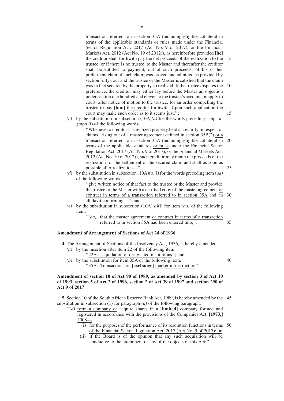transaction referred to in section 35A (including eligible collateral in terms of the applicable standards or rules made under the Financial Sector Regulation Act, 2017 (Act No. 9 of 2017), or the Financial Markets Act, 2012 (Act No. 19 of 2012)), as hereinbefore provided **[he]** the creditor shall forthwith pay the net proceeds of the realization to the trustee, or if there is no trustee, to the Master and thereafter the creditor shall be entitled to payment, out of such proceeds, of his or her preferment claim if such claim was proved and admitted as provided by section forty-four and the trustee or the Master is satisfied that the claim was in fact secured by the property so realized. If the trustee disputes the 10 preference, the creditor may either lay before the Master an objection under section one hundred and eleven to the trustee's account, or apply to court, after notice of motion to the trustee, for an order compelling the trustee to pay **[him]** the creditor forthwith. Upon such application the court may make such order as to it seems just.''; 5 15

*(c)* by the substitution in subsection  $(10A)(a)$  for the words preceding subparagraph (i) of the following words:

> ''Whenever a creditor has realized property held as security in respect of claims arising out of a master agreement defined in section 35B(2) or a transaction referred to in section 35A (including eligible collateral in 20 terms of the applicable standards or rules under the Financial Sector Regulation Act, 2017 (Act No. 9 of 2017), or the Financial Markets Act, 2012 (Act No. 19 of 2012)), such creditor may retain the proceeds of the realization for the settlement of the secured claim and shall as soon as possible after realization—''; 25

*(d)* by the substitution in subsection (10A)*(a)*(i) for the words preceding item *(aa)* of the following words:

"give written notice of that fact to the trustee or the Master and provide the trustee or the Master with a certified copy of the master agreement or contract in terms of a transaction referred to in section 35A and an 30 affidavit confirming—''; and

- *(e)* by the substitution in subsection (10A)*(a)*(i) for item *(aa)* of the following item:
	- ''*(aa)* that the master agreement or contract in terms of a transaction referred to in section 35A had been entered into;''. 35

40

# **Amendment of Arrangement of Sections of Act 24 of 1936**

- **4.** The Arrangement of Sections of the Insolvency Act, 1936, is hereby amended— *(a)* by the insertion after item 22 of the following item:
	- "22A. Liquidation of designated institutions"; and
	- *(b)* by the substitution for item 35A of the following item:
		- ''35A. Transactions on **[exchange]** market infrastructure''.

# **Amendment of section 10 of Act 90 of 1989, as amended by section 3 of Act 10 of 1993, section 5 of Act 2 of 1996, section 2 of Act 39 of 1997 and section 290 of Act 9 of 2017**

**5.** Section 10 of the South African Reserve Bank Act, 1989, is hereby amended by the 45 substitution in subsection (1) for paragraph *(d)* of the following paragraph:

- ''*(d)* form a company or acquire shares in a **[limited]** company formed and registered in accordance with the provisions of the Companies Act, **[1973,]** 2008—
	- (i) for the purposes of the performance of its resolution functions in terms 50 of the Financial Sector Regulation Act, 2017 (Act No. 9 of 2017); or
	- (ii) if the Board is of the opinion that any such acquisition will be conducive to the attainment of any of the objects of this Act;''.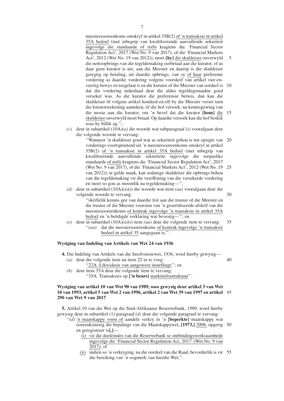meestersooreenkoms omskryf in artikel 35B(2) of 'n transaksie in artikel 35A bedoel (met inbegrip van kwalifiserende aanvullende sekuriteit ingevolge die standaarde of reëls kragtens die 'Financial Sector Regulation Act', 2017 (Wet No. 9 van 2017), of die 'Financial Markets Act', 2012 (Wet No. 19 van 2012)), moet **[hy]** die skuldeiser onverwyld die nettoopbrings van die tegeldemaking oorbetaal aan die kurator, of as daar geen kurator is nie, aan die Meester en daarop is die skuldeiser geregtig op betaling, uit daardie opbrings, van sy of haar preferente vordering as daardie vordering volgens voorskrif van artikel vier-enveertig bewys en toegelaat is en die kurator of die Meester van oordeel is dat die vordering inderdaad deur die aldus tegeldegemaakte goed verseker was. As die kurator die preferensie betwis, dan kan die skuldeiser òf volgens artikel honderd-en-elf by die Meester verset teen die kuratorsrekening aanteken, òf die hof versoek, na kennisgewing van die mosie aan die kurator, om 'n bevel dat die kurator **[hom]** die 15 skuldeiser onverwyld moet betaal. Op daardie versoek kan die hof beskik soas hy billik ag."; 5 10

*(c)* deur in subartikel (10A)*(a)* die woorde wat subparagraaf (i) voorafgaan deur die volgende woorde te vervang:

> ''Wanneer 'n skuldeiser goed wat as sekuriteit gehou is ten opsigte van 20 vorderings voortspruitend uit 'n meestersooreenkoms omskryf in artikel 35B(2) of 'n transaksie in artikel 35A bedoel (met inbegrip van kwalifiserende aanvullende sekuriteite ingevolge die toepaslike standaarde of reëls kragtens die 'Financial Sector Regulation Act', 2017 (Wet No. 9 van 2017), of die 'Financial Markets Act', 2012 (Wet No. 19 25 van 2012)), te gelde maak, kan sodanige skuldeiser die opbrings behou van die tegeldemaking vir die vereffening van die versekerde vordering en moet so gou as moontlik na tegeldemaking—'';

> > 30

40

*(d)* deur in subartikel (10A)*(a)*(i) die woorde wat item *(aa)* voorafgaan deur die volgende woorde te vervang:

''skriftelik kennis gee van daardie feit aan die trustee of die Meester en die trustee of die Meester voorsien van 'n gesertifiseerde afskrif van die meestersooreenkoms of kontrak ingevolge 'n transaksie in artikel 35A bedoel en 'n beëdigde verklaring wat bevestig—''; en

*(e)* deur in subartikel (10A)*(a)*(i) item *(aa)* deur die volgende item te vervang: ''*(aa)* dat die meestersooreenkoms of kontrak ingevolge 'n transaksie bedoel in artikel 35 aangegaan is;''. 35

# **Wysiging van Indeling van Artikels van Wet 24 van 1936**

**4.** Die Indeling van Artikels van die Insolvensiewet, 1936, word hierby gewysig—

- *(a)* deur die volgende item ná item 22 in te voeg:
	- ''22A. Likwidasie van aangewese instellings''; en
- *(b)* deur item 35A deur die volgende item te vervang: ''35A. Transaksies op **['n beurs]** markinsfrastruktuur''.

# **Wysiging van artikel 10 van Wet 90 van 1989, soos gewysig deur artikel 3 van Wet 10 van 1993, artikel 5 van Wet 2 van 1996, artikel 2 van Wet 39 van 1997 en artikel** 45 **290 van Wet 9 van 2017**

**5.** Artikel 10 van die Wet op die Suid-Afrikaanse Reserwebank, 1989, word hierby gewysig deur in subartikel (1) paragraaf *(d)* deur die volgende paragraaf te vervang:

- ''*(d)* 'n maatskappy vorm of aandele verkry in 'n **[beperkte]** maatskappy wat ooreenkomstig die bepalings van die Maatskappywet, **[1973,]** 2008, opgerig 50 en geregistreer is**[,]**—
	- (i) vir die doeleindes van die Reserwebank se ontbindingswerksaamhede ingevolge die 'Financial Sector Regulation Act, 2017' (Wet No. 9 van  $2017$ ; of
	- (ii) indien so 'n verkryging, na die oordeel van die Raad, bevorderlik is vir 55 die bereiking van 'n oogmerk van hierdie Wet;''.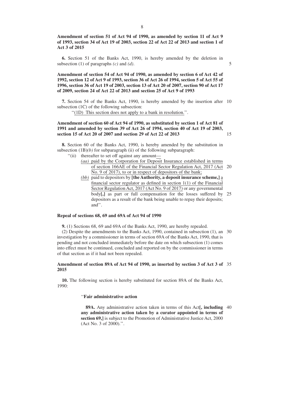# **Amendment of section 51 of Act 94 of 1990, as amended by section 11 of Act 9 of 1993, section 34 of Act 19 of 2003, section 22 of Act 22 of 2013 and section 1 of Act 3 of 2015**

**6.** Section 51 of the Banks Act, 1990, is hereby amended by the deletion in subsection (1) of paragraphs *(c)* and *(d)*.

5

15

# **Amendment of section 54 of Act 94 of 1990, as amended by section 6 of Act 42 of 1992, section 12 of Act 9 of 1993, section 36 of Act 26 of 1994, section 5 of Act 55 of 1996, section 36 of Act 19 of 2003, section 13 of Act 20 of 2007, section 90 of Act 17 of 2009, section 24 of Act 22 of 2013 and section 25 of Act 9 of 1993**

**7.** Section 54 of the Banks Act, 1990, is hereby amended by the insertion after 10 subsection (1C) of the following subsection:

''(1D) This section does not apply to a bank in resolution.''.

# **Amendment of section 60 of Act 94 of 1990, as substituted by section 1 of Act 81 of 1991 and amended by section 39 of Act 26 of 1994, section 40 of Act 19 of 2003, section 15 of Act 20 of 2007 and section 29 of Act 22 of 2013**

**8.** Section 60 of the Banks Act, 1990, is hereby amended by the substitution in subsection  $(1B)(b)$  for subparagraph (ii) of the following subparagraph:

''(ii) thereafter to set off against any amount—

- *(aa)* paid by the Corporation for Deposit Insurance established in terms of section 166AE of the Financial Sector Regulation Act, 2017 (Act 20 No. 9 of 2017), to or in respect of depositors of the bank;
- *(bb)* paid to depositors by **[the Authority, a deposit insurance scheme,]** a financial sector regulator as defined in section 1(1) of the Financial Sector Regulation Act, 2017 (Act No. 9 of 2017) or any governmental body**[,]** as part or full compensation for the losses suffered by 25 depositors as a result of the bank being unable to repay their deposits; and''.

# **Repeal of sections 68, 69 and 69A of Act 94 of 1990**

**9.** (1) Sections 68, 69 and 69A of the Banks Act, 1990, are hereby repealed.

(2) Despite the amendments to the Banks Act, 1990, contained in subsection (1), an 30 investigation by a commissioner in terms of section 69A of the Banks Act, 1990, that is pending and not concluded immediately before the date on which subsection (1) comes into effect must be continued, concluded and reported on by the commissioner in terms of that section as if it had not been repealed.

### **Amendment of section 89A of Act 94 of 1990, as inserted by section 3 of Act 3 of** 35 **2015**

**10.** The following section is hereby substituted for section 89A of the Banks Act, 1990:

#### ''**Fair administrative action**

**89A.** Any administrative action taken in terms of this Act**[, including** 40 **any administrative action taken by a curator appointed in terms of section 69,]** is subject to the Promotion of Administrative Justice Act, 2000 (Act No. 3 of 2000).''.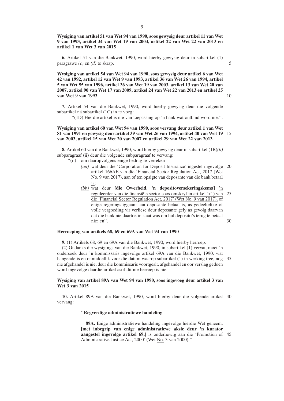**Wysiging van artikel 51 van Wet 94 van 1990, soos gewysig deur artikel 11 van Wet 9 van 1993, artikel 34 van Wet 19 van 2003, artikel 22 van Wet 22 van 2013 en artikel 1 van Wet 3 van 2015**

**6.** Artikel 51 van die Bankwet, 1990, word hierby gewysig deur in subartikel (1) paragrawe *(c)* en *(d)* te skrap.

**Wysiging van artikel 54 van Wet 94 van 1990, soos gewysig deur artikel 6 van Wet 42 van 1992, artikel 12 van Wet 9 van 1993, artikel 36 van Wet 26 van 1994, artikel 5 van Wet 55 van 1996, artikel 36 van Wet 19 van 2003, artikel 13 van Wet 20 van 2007, artikel 90 van Wet 17 van 2009, artikel 24 van Wet 22 van 2013 en artikel 25 van Wet 9 van 1993**

10

5

**7.** Artikel 54 van die Bankwet, 1990, word hierby gewysig deur die volgende subartikel ná subartikel (1C) in te voeg:

''(1D) Hierdie artikel is nie van toepassing op 'n bank wat ontbind word nie.''.

# **Wysiging van artikel 60 van Wet 94 van 1990, soos vervang deur artikel 1 van Wet 81 van 1991 en gewysig deur artikel 39 van Wet 26 van 1994, artikel 40 van Wet 19** 15 **van 2003, artikel 15 van Wet 20 van 2007 en artikel 29 van Wet 22 van 2013**

**8.** Artikel 60 van die Bankwet, 1990, word hierby gewysig deur in subartikel (1B)*(b)* subparagraaf (ii) deur die volgende subparagraaf te vervang:

- ''(ii) om daaropvolgens enige bedrag te verreken—
	- *(aa)* wat deur die 'Corporation for Deposit Insurance' ingestel ingevolge 20 artikel 166AE van die 'Financial Sector Regulation Act, 2017 (Wet No. 9 van 2017), aan of ten opsigte van deposante van die bank betaal is;
	- *(bb)* wat deur **[die Owerheid, 'n depositoversekeringskema]** 'n reguleerder van die finansiële sector soos omskryf in artikel 1(1) van die 'Financial Sector Regulation Act, 2017' (Wet No. 9 van 2017), of enige regeringsliggaam aan deposante betaal is, as gedeeltelike of volle vergoeding vir verliese deur deposante gely as gevolg daarvan dat die bank nie daartoe in staat was om hul deposito's terug te betaal nie; en''. 25 30

# **Herroeping van artikels 68, 69 en 69A van Wet 94 van 1990**

**9.** (1) Artikels 68, 69 en 69A van die Bankwet, 1990, word hierby herroep.

(2) Ondanks die wysigings van die Bankwet, 1990, in subartikel (1) vervat, moet 'n ondersoek deur 'n kommissaris ingevolge artikel 69A van die Bankwet, 1990, wat hangende is en onmiddellik voor die datum waarop subartikel (1) in werking tree, nog 35 nie afgehandel is nie, deur die kommissaris voortgesit, afgehandel en oor verslag gedoen word ingevolge daardie artikel asof dit nie herroep is nie.

# **Wysiging van artikel 89A van Wet 94 van 1990, soos ingevoeg deur artikel 3 van Wet 3 van 2015**

**10.** Artikel 89A van die Bankwet, 1990, word hierby deur die volgende artikel 40 vervang:

# ''**Regverdige administratiewe handeling**

**89A.** Enige administratiewe handeling ingevolge hierdie Wet geneem, **[met inbegrip van enige administratiewe aksie deur 'n kurator aangestel ingevolge artikel 69,]** is onderhewig aan die 'Promotion of 45 Administrative Justice Act, 2000' (Wet No. 3 van 2000).''.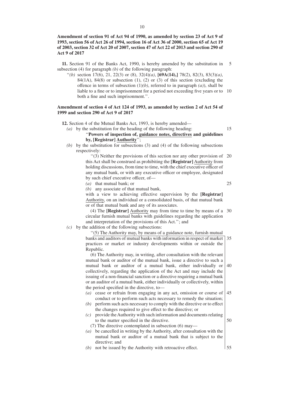# **Amendment of section 91 of Act 94 of 1990, as amended by section 23 of Act 9 of 1993, section 56 of Act 26 of 1994, section 16 of Act 36 of 2000, section 65 of Act 19 of 2003, section 32 of Act 20 of 2007, section 47 of Act 22 of 2013 and section 290 of Act 9 of 2017**

**11.** Section 91 of the Banks Act, 1990, is hereby amended by the substitution in subsection (4) for paragraph *(b)* of the following paragraph: 5

''*(b)* section 17(6), 21, 22(3) or (8), 32(4)*(a)*, **[69A(14),]** 78(2), 82(3), 83(3)*(a)*, 84(1A), 84(8) or subsection (1), (2) or (3) of this section (excluding the offence in terms of subsection (1)*(b)*, referred to in paragraph *(a)*), shall be liable to a fine or to imprisonment for a period not exceeding five years or to 10 both a fine and such imprisonment.''.

# **Amendment of section 4 of Act 124 of 1993, as amended by section 2 of Act 54 of 1999 and section 290 of Act 9 of 2017**

- **12.** Section 4 of the Mutual Banks Act, 1993, is hereby amended—
	- *(a)* by the substitution for the heading of the following heading: ''**Powers of inspection of, guidance notes, directives and guidelines by, [Registrar] Authority**''; 15
	- *(b)* by the substitution for subsections (3) and (4) of the following subsections respectively:

''(3) Neither the provisions of this section nor any other provision of 20 this Act shall be construed as prohibiting the **[Registrar]** Authority from holding discussions, from time to time, with the chief executive officer of any mutual bank, or with any executive officer or employee, designated by such chief executive officer, of—

*(a)* that mutual bank; or

*(b)* any associate of that mutual bank,

with a view to achieving effective supervision by the **[Registrar]** Authority, on an individual or a consolidated basis, of that mutual bank or of that mutual bank and any of its associates.

(4) The **[Registrar]** Authority may from time to time by means of a 30 circular furnish mutual banks with guidelines regarding the application and interpretation of the provisions of this Act.''; and

*(c)* by the addition of the following subsections:

''(5) The Authority may, by means of a guidance note, furnish mutual

banks and auditors of mutual banks with information in respect of market practices or market or industry developments within or outside the Republic. 35

(6) The Authority may, in writing, after consultation with the relevant mutual bank or auditor of the mutual bank, issue a directive to such a mutual bank or auditor of a mutual bank, either individually or collectively, regarding the application of the Act and may include the issuing of a non-financial sanction or a directive requiring a mutual bank or an auditor of a mutual bank, either individually or collectively, within the period specified in the directive, to— 40

- *(a)* cease or refrain from engaging in any act, omission or course of conduct or to perform such acts necessary to remedy the situation; 45
- *(b)* perform such acts necessary to comply with the directive or to effect the changes required to give effect to the directive; or
- *(c)* provide the Authority with such information and documents relating to the matter specified in the directive.

(7) The directive contemplated in subsection (6) may—

- *(a)* be cancelled in writing by the Authority, after consultation with the mutual bank or auditor of a mutual bank that is subject to the directive; and
- *(b)* not be issued by the Authority with retroactive effect.

55

50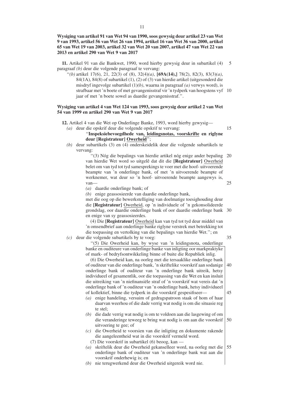# **Wysiging van artikel 91 van Wet 94 van 1990, soos gewysig deur artikel 23 van Wet 9 van 1993, artikel 56 van Wet 26 van 1994, artikel 16 van Wet 36 van 2000, artikel 65 van Wet 19 van 2003, artikel 32 van Wet 20 van 2007, artikel 47 van Wet 22 van 2013 en artikel 290 van Wet 9 van 2017**

**11.** Artikel 91 van die Bankwet, 1990, word hierby gewysig deur in subartikel (4) paragraaf *(b)* deur die volgende paragraaf te vervang: 5

''*(b)* artikel 17(6), 21, 22(3) of (8), 32(4)*(a)*, **[69A(14),]** 78(2), 82(3), 83(3)*(a)*, 84(1A), 84(8) of subartikel (1), (2) of (3) van hierdie artikel (uitgesonderd die misdryf ingevolge subartikel (1)*(b)*, waarna in paragraaf *(a)* verwys word), is strafbaar met 'n boete of met gevangenisstraf vir 'n tydperk van hoogstens vyf 10 jaar of met 'n boete sowel as daardie gevangenisstraf.''.

# **Wysiging van artikel 4 van Wet 124 van 1993, soos gewysig deur artikel 2 van Wet 54 van 1999 en artikel 290 van Wet 9 van 2017**

**12.** Artikel 4 van die Wet op Onderlinge Banke, 1993, word hierby gewysig— *(a)* deur die opskrif deur die volgende opskrif te vervang:

15

# ''**Inspeksiebevoegdhede van, leidingsnotas, voorskrifte en riglyne deur [Registrateur] Owerheid**'';

*(b)* deur subartikels (3) en (4) onderskeidelik deur die volgende subartikels te vervang:

> ''(3) Nóg die bepalings van hierdie artikel nóg enige ander bepaling 20 van hierdie Wet word so uitgelê dat dit die **[Registrateur]** Owerheid belet om van tyd tot tyd samesprekings te voer met die hoof- uitvoerende beampte van 'n onderlinge bank, of met 'n uitvoerende beampte of werknemer, wat deur so 'n hoof- uitvoerende beampte aangewys is, van— 25

- *(a)* daardie onderlinge bank; of
- *(b)* enige geassosieerde van daardie onderlinge bank,

met die oog op die bewerkstelliging van doelmatige toesighouding deur die **[Registrateur]** Owerheid, op 'n individuele of 'n gekonsolideerde grondslag, oor daardie onderlinge bank of oor daardie onderlinge bank 30 en enige van sy geassosieerdes.

(4) Die **[Registrateur]** Owerheid kan van tyd tot tyd deur middel van 'n omsendbrief aan onderlinge banke riglyne verstrek met betrekking tot die toepassing en vertolking van die bepalings van hierdie Wet.''; en

*(c)* deur die volgende subartikels by te voeg:

35

''(5) Die Owerheid kan, by wyse van 'n leidingsnota, onderlinge banke en ouditeure van onderlinge banke van inligting oor markpraktyke of mark- of bedryfsontwikkeling binne of buite die Republiek inlig.

(6) Die Owerheid kan, na oorleg met die tersaaklike onderlinge bank of ouditeur van die onderlinge bank, 'n skriftelike voorskrif aan sodanige onderlinge bank of ouditeur van 'n onderlinge bank uitreik, hetsy individueel of gesamentlik, oor die toepassing van die Wet en kan insluit die uitreiking van 'n niefinansiële straf of 'n voorskrif wat vereis dat 'n onderlinge bank of 'n ouditeur van 'n onderlinge bank, hetsy individueel of kollektief, binne die tydperk in die voorskrif gespesifiseer— 40 45

- *(a)* enige handeling, versuim of gedragspatroon staak of hom of haar daarvan weerhou of die dade verrig wat nodig is om die situasie reg te stel;
- *(b)* die dade verrig wat nodig is om te voldoen aan die lasgewing of om die veranderinge teweeg te bring wat nodig is om aan die voorskrif uitvoering te gee; of 50
- *(c)* die Owerheid te voorsien van die inligting en dokumente rakende die aangeleentheid wat in die voorskrif vermeld word.
	- (7) Die voorskrif in subartikel (6) beoog, kan —
- *(a)* skriftelik deur die Owerheid gekanselleer word, na oorleg met die onderlinge bank of ouditeur van 'n onderlinge bank wat aan die voorskrif onderhewig is; en 55
- *(b)* nie terugwerkend deur die Owerheid uitgereik word nie.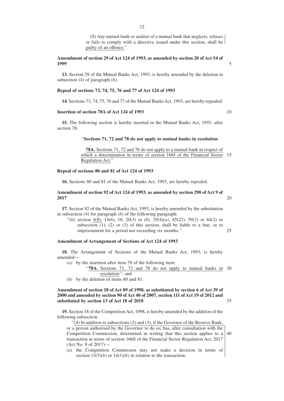(8) Any mutual bank or auditor of a mutual bank that neglects, refuses or fails to comply with a directive issued under this section, shall be guilty of an offence.''.

#### **Amendment of section 29 of Act 124 of 1993, as amended by section 20 of Act 54 of 1999**

**13.** Section 29 of the Mutual Banks Act, 1993, is hereby amended by the deletion in subsection (4) of paragraph *(b)*.

#### **Repeal of sections 73, 74, 75, 76 and 77 of Act 124 of 1993**

**14.** Sections 73, 74, 75, 76 and 77 of the Mutual Banks Act, 1993, are hereby repealed.

# **Insertion of section 78A of Act 124 of 1993**

**15.** The following section is hereby inserted in the Mutual Banks Act, 1993, after section 78:

#### ''**Sections 71, 72 and 78 do not apply to mutual banks in resolution**

**78A.** Sections 71, 72 and 78 do not apply to a mutual bank in respect of which a determination in terms of section 166J of the Financial Sector 15 Regulation Act.''.

## **Repeal of sections 80 and 81 of Act 124 of 1993**

**16.** Sections 80 and 81 of the Mutual Banks Act, 1993, are hereby repealed.

# **Amendment of section 92 of Act 124 of 1993, as amended by section 290 of Act 9 of 2017**

**17.** Section 92 of the Mutual Banks Act, 1993, is hereby amended by the substitution in subsection (4) for paragraph *(b)* of the following paragraph:

''*(b)* section 4(8), 14(6), 18, 20(3) or (6), 29(4)*(a)*, 45(22), 59(2) or 84(2) or subsection  $(1)$ ,  $(2)$  or  $(3)$  of this section, shall be liable to a fine, or to imprisonment for a period not exceeding six months.''. 25

#### **Amendment of Arrangement of Sections of Act 124 of 1993**

**18.** The Arrangement of Sections of the Mutual Banks Act, 1993, is hereby amended—

- *(a)* by the insertion after item 78 of the following item:
	- "78A. Sections 71, 72 and 78 do not apply to mutual banks in 30 resolution''; and
- *(b)* by the deletion of items 80 and 81.

# **Amendment of section 18 of Act 89 of 1998, as substituted by section 6 of Act 39 of 2000 and amended by section 90 of Act 40 of 2007, section 111 of Act 19 of 2012 and substituted by section 13 of Act 18 of 2018**

**19.** Section 18 of the Competition Act, 1998, is hereby amended by the addition of the following subsection:

''(4) In addition to subsections (2) and (3), if the Governor of the Reserve Bank,

or a person authorised by the Governor to do so, has, after consultation with the Competition Commission, determined in writing that this section applies to a transaction in terms of section 166S of the Financial Sector Regulation Act, 2017 (Act No. 9 of 2017)— 40

*(a)* the Competition Commission may not make a decision in terms of section  $13(5)(b)$  or  $14(1)(b)$  in relation to the transaction;

10

5

20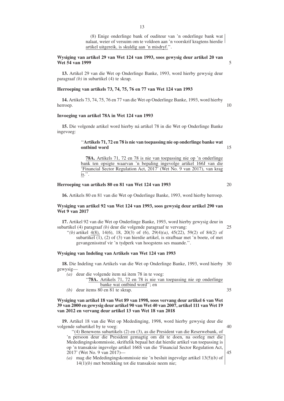(8) Enige onderlinge bank of ouditeur van 'n onderlinge bank wat nalaat, weier of versuim om te voldoen aan 'n voorskrif kragtens hierdie artikel uitgereik, is skuldig aan 'n misdryf.''.

# **Wysiging van artikel 29 van Wet 124 van 1993, soos gewysig deur artikel 20 van Wet 54 van 1999**

**13.** Artikel 29 van die Wet op Onderlinge Banke, 1993, word hierby gewysig deur paragraaf *(b)* in subartikel (4) te skrap.

#### **Herroeping van artikels 73, 74, 75, 76 en 77 van Wet 124 van 1993**

**14.** Artikels 73, 74, 75, 76 en 77 van die Wet op Onderlinge Banke, 1993, word hierby herroep.

#### **Invoeging van artikel 78A in Wet 124 van 1993**

**15.** Die volgende artikel word hierby ná artikel 78 in die Wet op Onderlinge Banke ingevoeg:

# ''**Artikels 71, 72 en 78 is nie van toepassing nie op onderlinge banke wat ontbind word**

**78A.** Artikels 71, 72 en 78 is nie van toepassing nie op 'n onderlinge bank ten opsigte waarvan 'n bepaling ingevolge artikel 166J van die 'Financial Sector Regulation Act, 2017' (Wet No. 9 van 2017), van krag  $\overline{\text{is."}}$ .

# **Herroeping van artikels 80 en 81 van Wet 124 van 1993**

**16.** Artikels 80 en 81 van die Wet op Onderlinge Banke, 1993, word hierby herroep.

# **Wysiging van artikel 92 van Wet 124 van 1993, soos gewysig deur artikel 290 van Wet 9 van 2017**

**17.** Artikel 92 van die Wet op Onderlinge Banke, 1993, word hierby gewysig deur in subartikel (4) paragraaf *(b)* deur die volgende paragraaf te vervang:

''*(b)* artikel 4(8), 14(6), 18, 20(3) of (6), 29(4)*(a)*, 45(22), 59(2) of 84(2) of subartikel (1), (2) of (3) van hierdie artikel, is strafbaar met 'n boete, of met gevangenisstraf vir 'n tydperk van hoogstens ses maande.''.

#### **Wysiging van Indeling van Artikels van Wet 124 van 1993**

**18.** Die Indeling van Artikels van die Wet op Onderlinge Banke, 1993, word hierby 30 gewysig—

*(a)* deur die volgende item ná item 78 in te voeg:

- '78A. Artikels 71, 72 en 78 is nie van toepassing nie op onderlinge banke wat ontbind word''; en
- *(b)* deur items 80 en 81 te skrap.

# **Wysiging van artikel 18 van Wet 89 van 1998, soos vervang deur artikel 6 van Wet 39 van 2000 en gewysig deur artikel 90 van Wet 40 van 2007, artikel 111 van Wet 19 van 2012 en vervang deur artikel 13 van Wet 18 van 2018**

**19.** Artikel 18 van die Wet op Mededinging, 1998, word hierby gewysig deur die volgende subartikel by te voeg:

''(4) Benewens subartikels (2) en (3), as die President van die Reserwebank, of 'n persoon deur die President gemagtig om dit te doen, na oorleg met die Mededingingskommissie, skriftelik bepaal het dat hierdie artikel van toepassing is op 'n transaksie ingevolge artikel 166S van die 'Financial Sector Regulation Act, 2017' (Wet No. 9 van 2017)—

*(a)* mag die Mededingingskommissie nie 'n besluit ingevolge artikel 13(5)*(b)* of 14(1)*(b)* met betrekking tot die transaksie neem nie;

13

35

40

45

5

10

15

20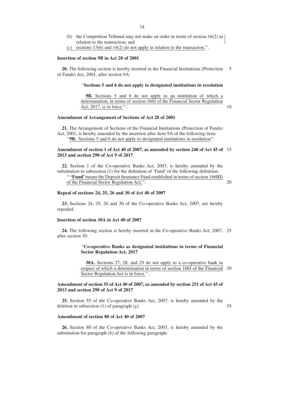- *(b)* the Competition Tribunal may not make an order in terms of section 16(2) in relation to the transaction; and
- sections 13(6) and 14(2) do not apply in relation to the transaction.''.

#### **Insertion of section 9B in Act 28 of 2001**

**20.** The following section is hereby inserted in the Financial Institutions (Protection of Funds) Act, 2001, after section 9A: 5

#### ''**Sections 5 and 6 do not apply to designated institutions in resolution**

**9B.** Sections 5 and 6 do not apply to an institution of which a determination, in terms of section 166J of the Financial Sector Regulation Act, 2017, is in force.''.

# **Amendment of Arrangement of Sections of Act 28 of 2001**

**21.** The Arrangement of Sections of the Financial Institutions (Protection of Funds) Act, 2001, is hereby amended by the insertion after item 9A of the following item: ''**9B.** Sections 5 and 6 do not apply to designated institutions in resolution''.

### **Amendment of section 1 of Act 40 of 2007, as amended by section 240 of Act 45 of** 15 **2013 and section 290 of Act 9 of 2017**

**22.** Section 1 of the Co-operative Banks Act, 2007, is hereby amended by the substitution in subsection (1) for the definition of 'Fund' of the following definition:

'' **'Fund'**means the Deposit Insurance Fund established in terms of section 166BD of the Financial Sector Regulation Act;''.

#### **Repeal of sections 24, 25, 26 and 30 of Act 40 of 2007**

**23.** Sections 24, 25, 26 and 30 of the Co-operative Banks Act, 2007, are hereby repealed.

#### **Insertion of section 30A in Act 40 of 2007**

**24.** The following section is hereby inserted in the Co-operative Banks Act, 2007, 25 after section 30:

### ''**Co-operative Banks as designated institutions in terms of Financial Sector Regulation Act, 2017**

**30A.** Sections 27, 28, and 29 do not apply to a co-operative bank in respect of which a determination in terms of section 166J of the Financial 30 Sector Regulation Act is in force.''.

### **Amendment of section 55 of Act 40 of 2007, as amended by section 251 of Act 45 of 2013 and section 290 of Act 9 of 2017**

**25.** Section 55 of the Co-operative Banks Act, 2007, is hereby amended by the deletion in subsection (1) of paragraph *(g)*.

35

10

20

#### **Amendment of section 80 of Act 40 of 2007**

**26.** Section 80 of the Co-operative Banks Act, 2007, is hereby amended by the substitution for paragraph *(b)* of the following paragraph: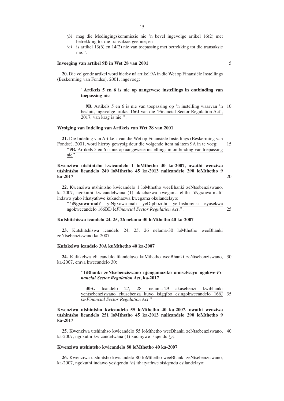- *(b)* mag die Medingingskommissie nie 'n bevel ingevolge artikel 16(2) met betrekking tot die transaksie gee nie; en
- *(c)* is artikel 13(6) en 14(2) nie van toepassing met betrekking tot die transaksie nie.''.

# **Invoeging van artikel 9B in Wet 28 van 2001**

**20.** Die volgende artikel word hierby ná artikel 9A in die Wet op Finansiële Instellings (Beskerming van Fondse), 2001, ingevoeg:

# ''**Artikels 5 en 6 is nie op aangewese instellings in ontbinding van toepassing nie**

**9B.** Artikels 5 en 6 is nie van toepassing op 'n instelling waarvan 'n 10 besluit, ingevolge artikel 166J van die 'Financial Sector Regulation Act', 2017, van krag is nie.''.

#### **Wysiging van Indeling van Artikels van Wet 28 van 2001**

**21.** Die Indeling van Artikels van die Wet op Finansiële Instellings (Beskerming van Fondse), 2001, word hierby gewysig deur die volgende item ná item 9A in te voeg: ''**9B.** Artikels 5 en 6 is nie op aangewese instellings in ontbinding van toepassing nie''. 15

# **Kwenziwa utshintsho kwicandelo 1 loMthetho 40 ka-2007, owathi wenziwa utshintsho licandelo 240 loMthetho 45 ka-2013 nalicandelo 290 loMthetho 9 ka-2017**

**22.** Kwenziwa utshintsho kwicandelo 1 loMthetho weeBhanki zeNtsebenziswano, ka-2007, ngokuthi kwicandelwana (1) ukuchazwa kwegama elithi 'iNgxowa-mali' indawo yako ithatyathwe kukuchazwa kwegama okulandelayo:

''**'iNgxowa-mali'** yiNgxowa-mali yeDiphozithi ye-Inshorensi eyasekwa ngokwecandelo 166BD le*Financial Sector Regulation Act*;''. 25

#### **Kutshitshiswa icandelo 24, 25, 26 nelama-30 loMthetho 40 ka-2007**

**23.** Kutshitshiswa icandelo 24, 25, 26 nelama-30 loMthetho weeBhanki zeNtsebenziswano ka-2007.

# **Kufakelwa icandelo 30A kuMthetho 40 ka-2007**

**24.** Kufakelwa eli candelo lilandelayo kuMthetho weeBhanki zeNtsebenziswano, 30 ka-2007, emva kwecandelo 30:

## ''**IiBhanki zeNtsebenziswano njengamaziko amiselweyo ngokwe-***Financial Sector Regulation Act***, ka-2017**

**30A.** Icandelo 27, 28, nelama-29 akasebenzi kwibhanki yentsebenziswano ekusebenza kuyo isigqibo esingokwecandelo 166J 35 se-*Financial Sector Regulation Act*.''.

# **Kwenziwa utshintsho kwicandelo 55 loMthetho 40 ka-2007, owathi wenziwa utshintsho licandelo 251 loMthetho 45 ka-2013 nalicandelo 290 loMthetho 9 ka-2017**

**25.** Kwenziwa utshinthso kwicandelo 55 loMthetho weeBhanki zeNtsebenziswano, 40 ka-2007, ngokuthi kwicandelwana (1) kucinywe isiqendu *(g)*.

# **Kwenziwa utshintsho kwicandelo 80 loMthetho 40 ka-2007**

**26.** Kwenziwa utshintsho kwicandelo 80 loMthetho weeBhanki zeNtsebenziswano, ka-2007, ngokuthi indawo yesiqendu *(b)* ithatyathwe sisiqendu esilandelayo:

5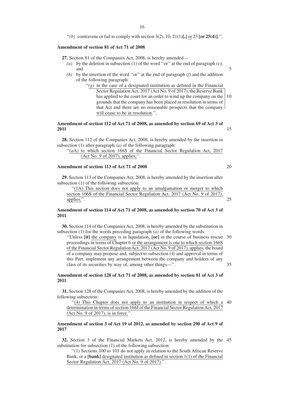"(b) contravene or fail to comply with section  $3(2)$ ,  $10$ ,  $21(1)[$ **,**  $\]$  or  $23$   $\[$  or  $25(4)]$ ;".

#### **Amendment of section 81 of Act 71 of 2008**

**27.** Section 81 of the Companies Act, 2008, is hereby amended—

- *(a)* by the deletion in subsection (1) of the word "or" at the end of paragraph  $(e)$ ; and 5
- *(b)* by the insertion of the word ''or'' at the end of paragraph *(f)* and the addition of the following paragraph:
	- $f'(g)$  in the case of a designated institution as defined in the Financial Sector Regulation Act, 2017 (Act No. 9 of 2017), the Reserve Bank has applied to the court for an order to wind up the company on the grounds that the company has been placed in resolution in terms of that Act and there are no reasonable prospects that the company will cease to be in resolution.". 10

# **Amendment of section 112 of Act 71 of 2008, as amended by section 69 of Act 3 of 2011**

**28.** Section 112 of the Companies Act, 2008, is hereby amended by the insertion in subsection (1) after paragraph *(a)* of the following paragraph:

"(*a*A) to which section 166S of the Financial Sector Regulation Act, 2017 (Act No. 9 of 2017), applies;''.

# **Amendment of section 113 of Act 71 of 2008**

**29.** Section 113 of the Companies Act, 2008, is hereby amended by the insertion after subsection (1) of the following subsection:

"(1A) This section does not apply to an amalgamation or merger to which section 166S of the Financial Sector Regulation Act, 2017 (Act No. 9 of 2017), applies.''. 25

# **Amendment of section 114 of Act 71 of 2008, as amended by section 70 of Act 3 of 2011**

**30.** Section 114 of the Companies Act, 2008, is hereby amended by the substitution in subsection (1) for the words preceding paragraph *(a)* of the following words:

''Unless **[it]** the company is in liquidation, **[or]** in the course of business rescue 30 proceedings in terms of Chapter 6 or the arrangement is one to which section 166S of the Financial Sector Regulation Act, 2017 (Act No. 9 of 2017), applies, the board of a company may propose and, subject to subsection (4) and approval in terms of this Part, implement any arrangement between the company and holders of any class of its securities by way of, among other things—''. 35

# **Amendment of section 128 of Act 71 of 2008, as amended by section 81 of Act 3 of 2011**

**31.** Section 128 of the Companies Act, 2008, is hereby amended by the addition of the following subsection:

"(4) This Chapter does not apply to an institution in respect of which a 40 determination in terms of section 166J of the Financial Sector Regulation Act, 2017 (Act No. 9 of 2017), is in force.''.

# **Amendment of section 3 of Act 19 of 2012, as amended by section 290 of Act 9 of 2017**

**32.** Section 3 of the Financial Markets Act, 2012, is hereby amended by the 45 substitution for subsection (1) of the following subsection:

''(1) Sections 100 to 103 do not apply in relation to the South African Reserve Bank, or a **[bank]** designated institution as defined in section 1(1) of the Financial Sector Regulation Act, 2017 (Act No. 9 of 2017).''.

20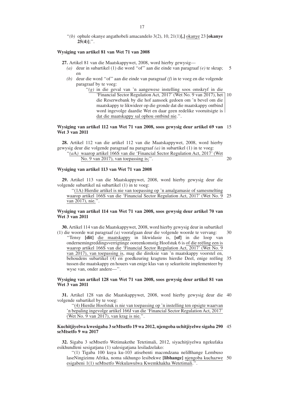''*(b)* ophule okanye angathobeli amacandelo 3(2), 10, 21(1)**[,]** okanye 23 **[okanye 25(4)]**;''.

#### **Wysiging van artikel 81 van Wet 71 van 2008**

**27.** Artikel 81 van die Maatskappywet, 2008, word hierby gewysig—

- *(a)* deur in subartikel (1) die word ''of'' aan die einde van paragraaf *(e)* te skrap; en 5
- *(b)* deur die word ''of'' aan die einde van paragraaf *(f)* in te voeg en die volgende paragraaf by te voeg:
	- ''*(g)* in die geval van 'n aangewese instelling soos omskryf in die 'Financial Sector Regulation Act, 2017' (Wet No. 9 van 2017), het 10 die Reserwebank by die hof aansoek gedoen om 'n bevel om die maatskappy te likwideer op die gronde dat die maatskappy ontbind word ingevolge daardie Wet en daar geen redelike vooruitsigte is dat die maatskappy sal ophou ontbind nie.''.

#### **Wysiging van artikel 112 van Wet 71 van 2008, soos gewysig deur artikel 69 van** 15 **Wet 3 van 2011**

**28.** Artikel 112 van die artikel 112 van die Maatskappywet, 2008, word hierby gewysig deur die volgende paragraaf na paragraaf *(a)* in subartikel (1) in te voeg:

"(aA) waarop artikel 166S van die 'Financial Sector Regulation Act, 2017' (Wet No. 9 van 2017), van toepassing is;''.

# **Wysiging van artikel 113 van Wet 71 van 2008**

**29.** Artikel 113 van die Maatskappywet, 2008, word hierby gewysig deur die volgende subartikel ná subartikel (1) in te voeg:

''(1A) Hierdie artikel is nie van toepassing op 'n amalgamasie of samesmelting waarop artikel 166S van die 'Financial Sector Regulation Act, 2017' (Wet No. 9 25 van 2017), nie.''.

# **Wysiging van artikel 114 van Wet 71 van 2008, soos gewysig deur artikel 70 van Wet 3 van 2011**

**30.** Artikel 114 van die Maatskappywet, 2008, word hierby gewysig deur in subartikel (1) die woorde wat paragraaf *(a)* voorafgaan deur die volgende woorde te vervang: 30

''Tensy **[dit]** die maatskappy in likwidasie is, **[of]** in die loop van ondernemingreddingsverrigtinge ooreenkomstig Hoofstuk 6 is of die reëling een is waarop artikel 166S van die 'Financial Sector Regulation Act, 2017' (Wet No. 9 van 2017), van toepassing is, mag die direksie van 'n maatskappy voorstel en, behoudens subartikel (4) en goedkeuring kragtens hierdie Deel, enige reëling 35 tussen die maatskappy en houers van enige klas van sy sekuriteite implementeer by wyse van, onder andere—''.

# **Wysiging van artikel 128 van Wet 71 van 2008, soos gewysig deur artikel 81 van Wet 3 van 2011**

**31.** Artikel 128 van die Maatskappywet, 2008, word hierby gewysig deur die 40 volgende subartikel by te voeg:

''(4) Hierdie Hoofstuk is nie van toepassing op 'n instelling ten opsigte waarvan 'n bepaling ingevolge artikel 166J van die 'Financial Sector Regulation Act, 2017' (Wet No. 9 van 2017), van krag is nie.''.

#### **Kuchitjiyelwa kwesigaba 3 seMtsetfo 19 wa 2012, njengoba uchitjiyelwe sigaba 290** 45 **seMtsetfo 9 wa 2017**

**32.** Sigaba 3 seMtsetfo Wetimakethe Tetetimali, 2012, siyachitjiyelwa ngekufaka esikhundleni sesigatiana (1) salesigatiana lesiladzelako:

''(1) Tigaba 100 kuya ku-103 atisebenti macondzana neliBhange Lembuso laseNingizimu Afrika, noma sikhungo lesibekwe **[libhange]** njengoba kuchazwe 50 esigabeni 1(1) seMtsetfo Wekulawulwa Kwemkhakha Wetetimali.''.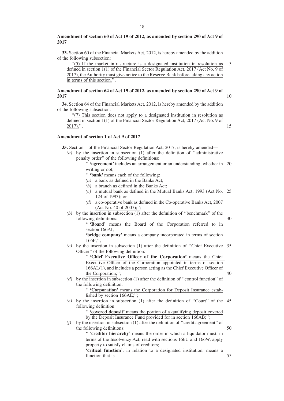# **Amendment of section 60 of Act 19 of 2012, as amended by section 290 of Act 9 of 2017**

**33.** Section 60 of the Financial Markets Act, 2012, is hereby amended by the addition of the following subsection:

''(5) If the market infrastructure is a designated institution in resolution as defined in section 1(1) of the Financial Sector Regulation Act, 2017 (Act No. 9 of 2017), the Authority must give notice to the Reserve Bank before taking any action in terms of this section.''. 5

# **Amendment of section 64 of Act 19 of 2012, as amended by section 290 of Act 9 of 2017**

**34.** Section 64 of the Financial Markets Act, 2012, is hereby amended by the addition of the following subsection:

''(7) This section does not apply to a designated institution in resolution as defined in section 1(1) of the Financial Sector Regulation Act, 2017 (Act No. 9 of 2017).''.

# **Amendment of section 1 of Act 9 of 2017**

**35.** Section 1 of the Financial Sector Regulation Act, 2017, is hereby amended—

*(a)* by the insertion in subsection (1) after the definition of ''administrative penalty order'' of the following definitions:

'' **'agreement'**includes an arrangement or an understanding, whether in 20

10

15

|     | writing or not;                                                                  |    |
|-----|----------------------------------------------------------------------------------|----|
|     | " 'bank' means each of the following:                                            |    |
|     | a bank as defined in the Banks Act;<br>(a)                                       |    |
|     | a branch as defined in the Banks Act;<br>(b)                                     |    |
|     | a mutual bank as defined in the Mutual Banks Act, 1993 (Act No.<br>(c)           | 25 |
|     | 124 of 1993); or                                                                 |    |
|     | a co-operative bank as defined in the Co-operative Banks Act, 2007<br>(d)        |    |
|     | (Act No. 40 of 2007);";                                                          |    |
| (b) | by the insertion in subsection (1) after the definition of "benchmark" of the    |    |
|     | following definitions:                                                           | 30 |
|     | "'Board' means the Board of the Corporation referred to in                       |    |
|     | section 166AI;                                                                   |    |
|     | 'bridge company' means a company incorporated in terms of section                |    |
|     | 166F;";                                                                          |    |
| (c) | by the insertion in subsection (1) after the definition of "Chief Executive 35   |    |
|     | Officer" of the following definition:                                            |    |
|     | " 'Chief Executive Officer of the Corporation' means the Chief                   |    |
|     | Executive Officer of the Corporation appointed in terms of section               |    |
|     | 166AL(1), and includes a person acting as the Chief Executive Officer of         |    |
|     | the Corporation;";                                                               | 40 |
| (d) | by the insertion in subsection (1) after the definition of "control function" of |    |
|     | the following definition:                                                        |    |
|     | " 'Corporation' means the Corporation for Deposit Insurance estab-               |    |
|     | lished by section 166AE;";                                                       |    |
| (e) | by the insertion in subsection (1) after the definition of "Court" of the 45     |    |
|     | following definition:                                                            |    |
|     | " 'covered deposit' means the portion of a qualifying deposit covered            |    |
|     | by the Deposit Insurance Fund provided for in section 166AB;";                   |    |
| (f) | by the insertion in subsection (1) after the definition of "credit agreement" of |    |
|     | the following definitions:                                                       | 50 |
|     | " 'creditor hierarchy' means the order in which a liquidator must, in            |    |

'' **'creditor hierarchy'** means the order in which a liquidator must, in terms of the Insolvency Act, read with sections 166U and 166W, apply property to satisfy claims of creditors;

**'critical function'**, in relation to a designated institution, means a function that is— 55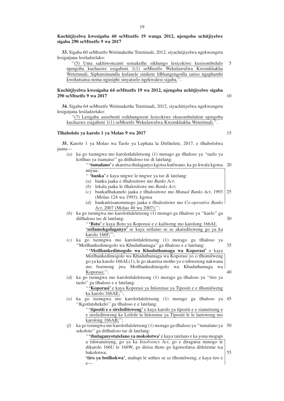**33.** Sigaba 60 seMtsetfo Wetimakethe Tetetimali, 2012, siyachitjiyelwa ngekwengeta lesigatjana lesiladzelako:

''(5) Uma sakhiwoncanti semakethe sikhungo lesicokiwe kusisombululo njengoba kuchazwe esigabeni 1(1) seMtsetfo Wekulawulwa Kwemkhakha Wetetimali, Siphatsimandla kufanele sinikete liBhangengodla satiso ngaphambi kwekutsatsa noma ngusiphi sinyatselo ngekwalesi sigaba.''. 5

# **Kuchitjiyelwa kwesigaba 64 seMtsetfo 19 wa 2012, njengoba uchitjiyelwe sigaba 290 seMtsetfo 9 wa 2017**

**34.** Sigaba 64 seMtsetfo Wetimakethe Tetetimali, 2012, siyachitiyelwa ngekwengeta lesigatjana lesiladzelako:

''(7) Lesigaba asisebenti esikhungweni lesicokiwe ekusombululeni njengoba kuchazwe esigabeni 1(1) seMtsetfo Wekulawulwa Kwemkhakha Wetetimali.''.

# **Tlhabololo ya karolo 1 ya Molao 9 wa 2017**

**35.** Karolo 1 ya Molao wa Taolo ya Lephata la Ditšhelete, 2017, e tlhabololwa jaana—

*(a)* ka go tsenngwa mo karolotlaleletsong (1) morago ga tlhaloso ya ''taelo ya kotlhao ya tsamaiso'' ga ditlhaloso tse di latelang:

|        | "'tumalano' e akaretsa thulaganyo kgotsa kutlwano, ka go kwala kgotsa 20 |  |
|--------|--------------------------------------------------------------------------|--|
| nnyaa; |                                                                          |  |

'' **'banka'** e kaya nngwe le nngwe ya tse di latelang:

- *(a)* banka jaaka e tlhalositswe mo *Banks Act*;
- *(b)* lekala jaaka le tlhalositswe mo *Banks Act*;
- *(c)* bankatlhakanelo jaaka e tlhalositswe mo *Mutual Banks Act*, 1993 25 (Molao 124 wa 1993); kgotsa
- *(d)* bankatirisanommogo jaaka e tlhalositswe mo *Co-operative Banks Act*, 2007 (Molao 40 wa 2007);'';
- *(b)* ka go tsenngwa mo karolotlaleletsong (1) morago ga tlhaloso ya ''kaelo'' ga ditlhaloso tse di latelang:
	- ''**'Boto'** e kaya Boto ya Koporasi e e kailweng mo karolong 166AI; **'setlamokgolaganyo'** se kaya setlamo se se akareditsweng go ya ka karolo 166F;'';
- *(c)* ka go tsenngwa mo karolotlaleletsong (1) morago ga tlhaloso ya ''Motlhankedimogolo wa Khuduthamaga'' ga tlhaloso e e latelang: ''**'Motlhankedimogolo wa Khuduthamaga wa Koporasi'** o kaya Motlhankedimogolo wa Khuduthamaga wa Koporasi yo o tlhomilweng go ya ka karolo 166AL(1), le go akaretsa motho yo o tshwereng nakwana mo boemong jwa Motlhankedimogolo wa Khuduthamaga wa Koporasi;''; 35 40
- *(d)* ka go tsenngwa mo karolotlaleletsong (1) morago ga tlhaloso ya ''tiro ya taolo'' ga tlhaloso e e latelang:

"'Koporasi' e kaya Koporasi ya Inšorense ya Tipositi e e tlhomilweng ka karolo 166AE;'';

*(e)* ka go tsenngwa mo karolotlaleletsong (1) morago ga tlhaloso ya 45 ''Kgotlatshekelo'' ga tlhaloso e e latelang:

''**'tipositi e e sireleditsweng'** e kaya karolo ya tipositi e e siametseng e e sireleditsweng ke Letlole la Inšorense ya Tipositi le le laetsweng mo karolong 166AB;'';

*(f)* ka go tsenngwa mo karolotlaleletsong (1) morago ga tlhaloso ya ''tumalano ya 50 sekoloto'' ga ditlhaloso tse di latelang:

''**'thulaganyotatelano ya mokolotwa'** e kaya tatelano e ka yona mogapi a tshwanetseng, go ya ka *Insolvency Act*, go e diragatsa mmogo le dikarolo 166U le 166W, go dirisa thoto go kgotsofatsa ditleleime tsa bakolotwa;

**'tiro ya botlhokwa'**, mabapi le setheo se se tlhomilweng, e kaya tiro e  $\mathbf{e}$ 

15

10

30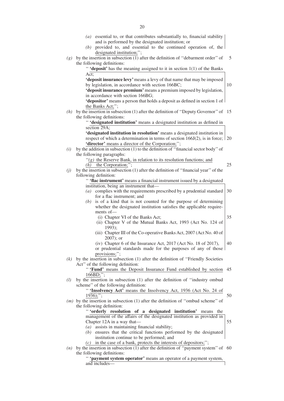*(a)* essential to, or that contributes substantially to, financial stability and is performed by the designated institution; or *(b)* provided to, and essential to the continued operation of, the designated institution;"; *(g)* by the insertion in subsection (1) after the definition of ''debarment order'' of 5 the following definitions: '' **'deposit'** has the meaning assigned to it in section 1(1) of the Banks Act; **'deposit insurance levy'**means a levy of that name that may be imposed by legislation, in accordance with section 166BC; **'deposit insurance premium'** means a premium imposed by legislation, in accordance with section 166BG; **'depositor'** means a person that holds a deposit as defined in section 1 of the Banks Act;''; *(h)* by the insertion in subsection (1) after the definition of ''Deputy Governor'' of 15 the following definitions: '' **'designated institution'** means a designated institution as defined in section 29A; **'designated institution in resolution'** means a designated institution in respect of which a determination in terms of section 166J(2), is in force; 20 **'director'** means a director of the Corporation;''; *(i)* by the addition in subsection (1) to the definition of "financial sector body" of the following paragraphs:  $'(g)$  the Reserve Bank, in relation to its resolution functions; and  $(h)$  the Corporation;" *(j)* by the insertion in subsection (1) after the definition of ''financial year'' of the following definition: '' **'flac instrument'** means a financial instrument issued by a designated institution, being an instrument that— *(a)* complies with the requirements prescribed by a prudential standard for a flac instrument; and is of a kind that is not counted for the purpose of determining whether the designated institution satisfies the applicable requirements of— (i) Chapter VI of the Banks Act; (ii) Chapter V of the Mutual Banks Act, 1993 (Act No. 124 of 1993); (iii) Chapter III of the Co-operative Banks Act, 2007 (Act No. 40 of 2007); or (iv) Chapter 6 of the Insurance Act, 2017 (Act No. 18 of 2017), or prudential standards made for the purposes of any of those provisions;"; *(k)* by the insertion in subsection (1) after the definition of ''Friendly Societies Act'' of the following definition: "**'Fund'** means the Deposit Insurance Fund established by section 45  $166BD$ ; *(l)* by the insertion in subsection (1) after the definition of ''industry ombud scheme'' of the following definition: '' **'Insolvency Act'** means the Insolvency Act, 1936 (Act No. 24 of  $1936$ ;"; *(m)* by the insertion in subsection (1) after the definition of ''ombud scheme'' of the following definition: '' **'orderly resolution of a designated institution'** means the management of the affairs of the designated institution as provided in Chapter 12A in a way that— *(a)* assists in maintaining financial stability; *(b)* ensures that the critical functions performed by the designated institution continue to be performed; and *(c)* in the case of a bank, protects the interests of depositors;'';  $(n)$  by the insertion in subsection  $(1)$  after the definition of "payment system" of 60 the following definitions: 10 25 30 35 40 50 55

> '' **'payment system operator'** means an operator of a payment system, and includes—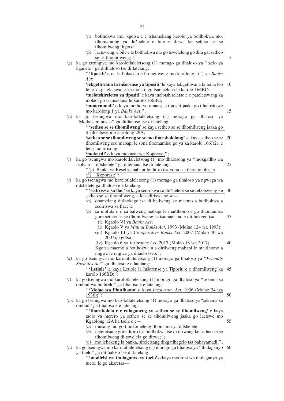|     | botlhokwa mo, kgotsa e e tshamekang karolo ya botlhokwa mo,<br>(a)<br>tlhomamong ya ditšhelete e bile e dirwa ke setheo se se<br>tlhomilweng; kgotsa<br>(b) laetsweng, e bile e le botlhokwa mo go tsweleleng go dira ga, setheo<br>se se tlhomilweng;"; | 5   |
|-----|----------------------------------------------------------------------------------------------------------------------------------------------------------------------------------------------------------------------------------------------------------|-----|
|     | (g) ka go tsenngwa mo karolotlaleletsong (1) morago ga tlhaloso ya "taelo ya<br>kganelo" ga ditlhaloso tse di latelang:<br>"'tipositi' e na le bokao jo e bo neilweng mo karolong 1(1) ya Banks                                                          |     |
|     | Act;                                                                                                                                                                                                                                                     |     |
|     | 'lekgethwana la inšorense ya tipositi' le kaya lekgethwana la leina leo<br>le le ka pateletswang ka molao, go tsamaelana le karolo 166BC;<br>'tuelotshireletso ya tipositi' e kaya tuelotshireletso e e pateletswang ka                                  | 10  |
|     | molao, go tsamaelana le karolo 166BG;                                                                                                                                                                                                                    |     |
|     | 'mmayamadi' o kaya motho yo o nang le tipositi jaaka go tlhalositswe<br>mo karolong 1 ya Banks Act;";                                                                                                                                                    | 15  |
| (h) | ka go tsenngwa mo karolotlaleletsong (1) morago ga tlhaloso ya                                                                                                                                                                                           |     |
|     | "Motlatsammusisi" ga ditlhaloso tse di latelang:<br>"'setheo se se tlhomilweng' se kaya setheo se se tlhomilweng jaaka go                                                                                                                                |     |
|     | tlhalositswe mo karolong 29A;<br>'setheo se se tlhomilweng se se mo tharabololong' se kaya setheo se se                                                                                                                                                  | 20  |
|     | tlhomilweng seo mabapi le sona tlhomamiso go ya ka karolo 166J(2), e                                                                                                                                                                                     |     |
|     | leng mo tirisong;                                                                                                                                                                                                                                        |     |
|     | 'mokaedi' o kaya mokaedi wa Koporasi;";                                                                                                                                                                                                                  |     |
| (i) | ka go tsenngwa mo karolotlaleletsong (1) mo tlhalosong ya "mokgatlho wa<br>lephata la ditšhelete" ga ditemana tse di latelang:                                                                                                                           | 25  |
|     | "(g) Banka ya Resefe, mabapi le ditiro tsa yona tsa tharabololo; le<br>$(h)$ Koporasi;";                                                                                                                                                                 |     |
| (j) | ka go tsenngwa mo karolotlaleletsong (1) morago ga tlhaloso ya ngwaga wa                                                                                                                                                                                 |     |
|     | ditšhelete ga tlhaloso e e latelang:                                                                                                                                                                                                                     |     |
|     | "'sediriswa sa flac' se kaya sediriswa sa ditšhelete se se rebotsweng ke<br>setheo se se tlhomilweng, e le sediriswa se se-                                                                                                                              | 30  |
|     | (a) obamelang ditlhokego tse di beilweng ke maemo a botlhokwa a<br>sediriswa sa flac; le                                                                                                                                                                 |     |
|     | sa mofuta o o sa balweng mabapi le maitlhomo a go tlhomamisa<br>(b)                                                                                                                                                                                      |     |
|     | gore setheo se se tlhomilweng se tsamaelana le ditlhokego tsa-<br>(i) Kgaolo VI ya Banks Act;                                                                                                                                                            | 35  |
|     | (ii) Kgaolo V ya Mutual Banks Act, 1993 (Molao 124 wa 1993);<br>(iii) Kgaolo III ya Co-operative Banks Act, 2007 (Molao 40 wa                                                                                                                            |     |
|     | 2007); kgotsa<br>(iv) Kgaolo 6 ya Insurance Act, 2017 (Molao 18 wa 2017),                                                                                                                                                                                | 40  |
|     | Kgotsa maemo a botlhokwa a a dirilweng mabapi le maitlhomo a                                                                                                                                                                                             |     |
|     | nngwe le nngwe ya ditaelo tseo;";                                                                                                                                                                                                                        |     |
|     | $(k)$ ka go tsenngwa mo karolotlaleletsong $(1)$ morago ga tlhaloso ya "Friendly"<br>Societies Act" ga tlhaloso e e latelang:                                                                                                                            |     |
|     | "Letlole' le kaya Letlole la Inšorense ya Tipositi e e tlhomilweng ka 45                                                                                                                                                                                 |     |
| (l) | karolo 166BD;";<br>ka go tsenngwa mo karolotlaleletsong (1) morago ga tlhaloso ya "sekema sa                                                                                                                                                             |     |
|     | ombud wa bodirelo" ga tlhaloso e e latelang:                                                                                                                                                                                                             |     |
|     | "Molao wa Phutlhamo' o kaya Insolvency Act, 1936 (Molao 24 wa<br>$1936);$ ";                                                                                                                                                                             | 50  |
|     | (m) ka go tsenngwa mo karolotlaleletsong (1) morago ga tlhaloso ya"sekema sa<br>ombud" ga tlhaloso e e latelang:                                                                                                                                         |     |
|     | "'tharabololo e e rulaganeng ya setheo se se tlhomilweng' e kaya<br>taolo ya merero ya setheo se se tlhomilweng jaaka go laetswe mo<br>Kgaolong 12A ka tsela e e-                                                                                        | 55  |
|     | (a) thusang mo go tlhokomeleng tlhomamo ya ditšhelete;                                                                                                                                                                                                   |     |
|     | (b) netefatsang gore ditiro tsa botlhokwa tse di dirwang ke setheo se se                                                                                                                                                                                 |     |
|     | tlhomilweng di tswelela go dirwa; le<br>mo lebakeng la banka, sireletsang dikgatlhegelo tsa babayamadi;";<br>(c)                                                                                                                                         |     |
| (n) | ka go tsenngwa mo karolotlaleletsong (1) morago ga tlhaloso ya "thulaganyo<br>ya tuelo" ga ditlhaloso tse di latelang:                                                                                                                                   | -60 |
|     | "'modirisi wa thulaganyo ya tuelo' o kaya modirisi wa thulaganyo ya<br>tuelo, le go akaretsa-                                                                                                                                                            |     |
|     |                                                                                                                                                                                                                                                          |     |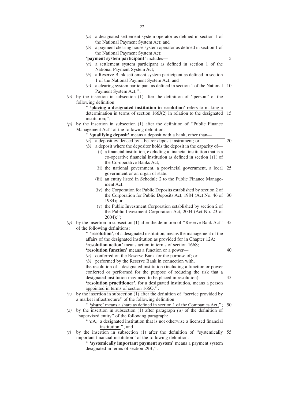|     | (a) | a designated settlement system operator as defined in section 1 of                                |    |
|-----|-----|---------------------------------------------------------------------------------------------------|----|
|     |     | the National Payment System Act; and                                                              |    |
|     | (b) | a payment clearing house system operator as defined in section 1 of                               |    |
|     |     | the National Payment System Act;                                                                  |    |
|     |     | 'payment system participant' includes-                                                            | 5  |
|     | (a) | a settlement system participant as defined in section 1 of the                                    |    |
|     |     | National Payment System Act;                                                                      |    |
|     | (b) | a Reserve Bank settlement system participant as defined in section                                |    |
|     |     | 1 of the National Payment System Act; and                                                         |    |
|     | (c) | a clearing system participant as defined in section 1 of the National 10                          |    |
|     |     | Payment System Act;";                                                                             |    |
|     |     | ( $o$ ) by the insertion in subsection (1) after the definition of "person" of the                |    |
|     |     | following definition:                                                                             |    |
|     |     | " 'placing a designated institution in resolution' refers to making a                             |    |
|     |     | determination in terms of section 166J(2) in relation to the designated                           | 15 |
|     |     | institution;";                                                                                    |    |
| (p) |     | by the insertion in subsection (1) after the definition of "Public Finance                        |    |
|     |     | Management Act" of the following definition:                                                      |    |
|     |     | " 'qualifying deposit' means a deposit with a bank, other than-                                   |    |
|     | (a) | a deposit evidenced by a bearer deposit instrument; or                                            | 20 |
|     | (b) | a deposit where the depositor holds the deposit in the capacity of-                               |    |
|     |     | (i) a financial institution, excluding a financial institution that is a                          |    |
|     |     | co-operative financial institution as defined in section $1(1)$ of<br>the Co-operative Banks Act; |    |
|     |     | (ii) the national government, a provincial government, a local                                    | 25 |
|     |     | government or an organ of state;                                                                  |    |
|     |     | (iii) an entity listed in Schedule 2 to the Public Finance Manage-                                |    |
|     |     | ment Act;                                                                                         |    |
|     |     | (iv) the Corporation for Public Deposits established by section 2 of                              |    |
|     |     | the Corporation for Public Deposits Act, 1984 (Act No. 46 of                                      | 30 |
|     |     | 1984); or                                                                                         |    |
|     |     | (v) the Public Investment Corporation established by section 2 of                                 |    |
|     |     | the Public Investment Corporation Act, 2004 (Act No. 23 of                                        |    |
|     |     | $2004);$ ";                                                                                       |    |
| (q) |     | by the insertion in subsection (1) after the definition of "Reserve Bank Act" 35                  |    |
|     |     | of the following definitions:                                                                     |    |
|     |     | " 'resolution', of a designated institution, means the management of the                          |    |
|     |     | affairs of the designated institution as provided for in Chapter 12A;                             |    |
|     |     | 'resolution action' means action in terms of section 166S;                                        |    |
|     |     | 'resolution function' means a function or a power-                                                | 40 |
|     | (a) | conferred on the Reserve Bank for the purpose of; or                                              |    |
|     |     | (b) performed by the Reserve Bank in connection with,                                             |    |
|     |     | the resolution of a designated institution (including a function or power                         |    |
|     |     | conferred or performed for the purpose of reducing the risk that a                                |    |
|     |     | designated institution may need to be placed in resolution);                                      | 45 |
|     |     | 'resolution practitioner', for a designated institution, means a person                           |    |
|     |     | appointed in terms of section 1660;";                                                             |    |
| (r) |     | by the insertion in subsection (1) after the definition of "service provided by                   |    |
|     |     | a market infrastructure" of the following definition:                                             |    |
|     |     | "Share' means a share as defined in section 1 of the Companies Act;";                             | 50 |
| (s) |     | by the insertion in subsection (1) after paragraph $(a)$ of the definition of                     |    |
|     |     | "supervised entity" of the following paragraph:                                                   |    |
|     |     | " $(aA)$ a designated institution that is not otherwise a licensed financial                      |    |
|     |     | institution;"; and                                                                                |    |
| (t) |     | by the insertion in subsection (1) after the definition of "systemically 55                       |    |
|     |     | important financial institution" of the following definition:                                     |    |
|     |     | " 'systemically important payment system' means a payment system                                  |    |
|     |     | designated in terms of section 29B;".                                                             |    |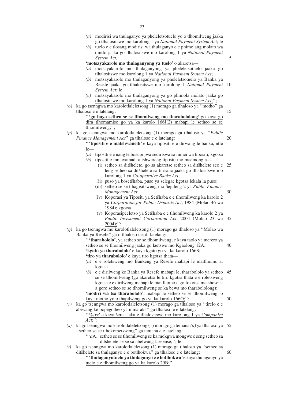|     | $(a)$ modirisi wa thulaganyo ya pheleletsotuelo yo o tlhomilweng jaaka<br>go tlhalositswe mo karolong 1 ya National Payment System Act; le<br>tuelo e e tlosang modirisi wa thulaganyo e e phimolang molato wa<br>(b) |      |
|-----|-----------------------------------------------------------------------------------------------------------------------------------------------------------------------------------------------------------------------|------|
|     | dintlo jaaka go tlhalositswe mo karolong 1 ya National Payment<br>System Act;                                                                                                                                         | 5    |
|     | 'motsayakarolo mo thulaganyong ya tuelo' o akaretsa-                                                                                                                                                                  |      |
|     |                                                                                                                                                                                                                       |      |
|     | motsayakarolo mo thulaganyong ya pheleletsotuelo jaaka go<br>(a)                                                                                                                                                      |      |
|     | tlhalositswe mo karolong 1 ya National Payment System Act;<br>motsayakarolo mo thulaganyong ya pheleletsotuelo ya Banka ya<br>(b)                                                                                     |      |
|     | Resefe jaaka go tlhalositswe mo karolong 1 National Payment                                                                                                                                                           | 10   |
|     | System Act; le                                                                                                                                                                                                        |      |
|     | motsayakarolo mo thulaganyong ya go phimola molato jaaka go<br>(c)                                                                                                                                                    |      |
|     | tlhalositswe mo karolong 1 ya National Payment System Act;";<br>( $o$ ) ka go tsenngwa mo karolotlaleletsong (1) morago ga tlhaloso ya "motho" ga                                                                     |      |
|     |                                                                                                                                                                                                                       | 15   |
|     | tlhaloso e e latelang:                                                                                                                                                                                                |      |
|     | "'go baya setheo se se tlhomilweng mo tharabololong' go kaya go                                                                                                                                                       |      |
|     | dira tlhomamiso go ya ka karolo 166J(2) mabapi le setheo se se<br>tlhomilweng;";                                                                                                                                      |      |
|     |                                                                                                                                                                                                                       |      |
| (p) | ka go tsenngwa mo karolotlaleletsong (1) morago ga tlhaloso ya "Public<br>Finance Management Act" ga tlhaloso e e latelang:                                                                                           | 20   |
|     |                                                                                                                                                                                                                       |      |
|     | "'tipositi e e matshwanedi' e kaya tipositi e e dirwang le banka, ntle<br>$le-$                                                                                                                                       |      |
|     | tipositi e e nang le bosupi jwa sediriswa sa mmei wa tipositi; kgotsa                                                                                                                                                 |      |
|     | (a)<br>tipositi e mmayamadi a tshwereng tipositi mo maemong a-                                                                                                                                                        |      |
|     | (b)<br>(i) setheo sa ditšhelete, go sa akaretse setheo sa ditšhelete seo e                                                                                                                                            | 25   |
|     |                                                                                                                                                                                                                       |      |
|     | leng setheo sa ditšhelete sa tirisano jaaka go tlhalositswe mo                                                                                                                                                        |      |
|     | karolong 1 ya Co-operative Banks Act;                                                                                                                                                                                 |      |
|     | (ii) puso ya bosetšhaba, puso ya selegae kgotsa lekala la puso;<br>(iii) setheo se se tlhagisitsweng mo Šejuleng 2 ya Public Finance                                                                                  |      |
|     | Management Act;                                                                                                                                                                                                       | 30   |
|     | (iv) Koporasi ya Tipositi ya Setšhaba e e tlhomilweng ka karolo 2                                                                                                                                                     |      |
|     | ya Corporation for Public Deposits Act, 1984 (Molao 46 wa                                                                                                                                                             |      |
|     | 1984); kgotsa                                                                                                                                                                                                         |      |
|     | (v) Koporasipeeletso ya Setšhaba e e tlhomilweng ka karolo 2 ya                                                                                                                                                       |      |
|     | Public Investment Corporation Act, 2004 (Molao 23 wa 35                                                                                                                                                               |      |
|     | $2004);$ ";                                                                                                                                                                                                           |      |
| (q) | ka go tsenngwa mo karolotlaleletsong (1) morago ga tlhaloso ya "Molao wa                                                                                                                                              |      |
|     | Banka ya Resefe" ga ditlhaloso tse di latelang:                                                                                                                                                                       |      |
|     | "'tharabololo', ya setheo se se tlhomilweng, e kaya taolo ya merero ya                                                                                                                                                |      |
|     | setheo se se tlhomilweng jaaka go laetswe mo Kgaolong 12A;                                                                                                                                                            | 40   |
|     | 'kgato ya tharabololo' e kaya kgato go ya ka karolo 166S;                                                                                                                                                             |      |
|     | 'tiro ya tharabololo' e kaya tiro kgotsa thata-                                                                                                                                                                       |      |
|     | (a) e e roletsweng mo Bankeng ya Resefe mabapi le maitlhomo a;                                                                                                                                                        |      |
|     | kgotsa                                                                                                                                                                                                                |      |
|     | e e dirilweng ke Banka ya Resefe mabapi le, tharabololo ya setheo<br>(b)                                                                                                                                              | 45   |
|     | se se tlhomilweng (go akaretsa le tiro kgotsa thata e e roletsweng                                                                                                                                                    |      |
|     | kgotsa e e dirilweng mabapi le maitlhomo a go fokotsa matshosetsi                                                                                                                                                     |      |
|     | a gore setheo se se tlhomilweng se ka bewa mo tharabololong);                                                                                                                                                         |      |
|     | 'modiri wa tsa tharabololo', mabapi le setheo se se tlhomilweng, o                                                                                                                                                    |      |
|     | kaya motho yo o thapilweng go ya ka karolo 1660;";                                                                                                                                                                    | 50   |
| (r) | ka go tsenngwa mo karolotlaleletsong (1) morago ga tlhaloso ya "tirelo e e                                                                                                                                            |      |
|     | abiwang ke popegotheo ya mmaraka" ga tlhaloso e e latelang:                                                                                                                                                           |      |
|     | "'Sere' e kaya šere jaaka e tlhalositswe mo karolong 1 ya Companies                                                                                                                                                   |      |
|     | $Act;$ ";                                                                                                                                                                                                             |      |
| (s) | ka go tsenngwa mo karolotlaleletsong $(1)$ morago ga temana $(a)$ ya tlhaloso ya                                                                                                                                      | - 55 |
|     | "setheo se se tlhokometsweng" ga temana e e latelang:                                                                                                                                                                 |      |
|     | " $(aA)$ setheo se se tlhomilweng se ka mokgwa mongwe e seng setheo sa                                                                                                                                                |      |
|     | ditšhelete se se sa abelwang laesense;"; le                                                                                                                                                                           |      |
| (t) | ka go tsenngwa mo karolotlaleletsong (1) morago ga tlhaloso ya "setheo sa                                                                                                                                             |      |
|     | ditšhelete sa thulaganyo e e botlhokwa" ga tlhaloso e e latelang:                                                                                                                                                     | 60   |
|     | "'thulaganyotuelo ya thulaganyo e e botlhokwa' e kaya thulaganyo ya                                                                                                                                                   |      |
|     | tuelo e e tlhomilweng go ya ka karolo 29B;".                                                                                                                                                                          |      |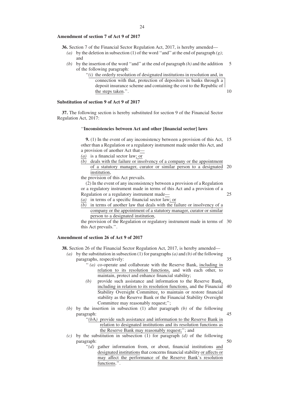### **Amendment of section 7 of Act 9 of 2017**

- **36.** Section 7 of the Financial Sector Regulation Act, 2017, is hereby amended—
	- (a) by the deletion in subsection (1) of the word "and" at the end of paragraph  $(g)$ ; and
	- *(b)* by the insertion of the word ''and'' at the end of paragraph *(h)* and the addition of the following paragraph: 5
		- ''*(i)* the orderly resolution of designated institutions in resolution and, in connection with that, protection of depositors in banks through a deposit insurance scheme and containing the cost to the Republic of the steps taken.''. 10

# **Substitution of section 9 of Act 9 of 2017**

**37.** The following section is hereby substituted for section 9 of the Financial Sector Regulation Act, 2017:

# ''**Inconsistencies between Act and other [financial sector] laws**

**9.** (1) In the event of any inconsistency between a provision of this Act, 15 other than a Regulation or a regulatory instrument made under this Act, and a provision of another Act that—

- *(a)* is a financial sector law; or
- *(b)* deals with the failure or insolvency of a company or the appointment of a statutory manager, curator or similar person to a designated 20 institution,

the provision of this Act prevails.

(2) In the event of any inconsistency between a provision of a Regulation or a regulatory instrument made in terms of this Act and a provision of a Regulation or a regulatory instrument made—

25

- *(a)* in terms of a specific financial sector law; or
- $\overline{(b)}$  in terms of another law that deals with the failure or insolvency of a company or the appointment of a statutory manager, curator or similar person to a designated institution,

the provision of the Regulation or regulatory instrument made in terms of 30 this Act prevails.''.

# **Amendment of section 26 of Act 9 of 2017**

**38.** Section 26 of the Financial Sector Regulation Act, 2017, is hereby amended—

- *(a)* by the substitution in subsection (1) for paragraphs*(a)* and *(b)* of the following paragraphs, respectively: 35
	- '' *(a)* co-operate and collaborate with the Reserve Bank, including in relation to its resolution functions, and with each other, to maintain, protect and enhance financial stability;
	- *(b)* provide such assistance and information to the Reserve Bank, including in relation to its resolution functions, and the Financial 40 Stability Oversight Committee, to maintain or restore financial stability as the Reserve Bank or the Financial Stability Oversight Committee may reasonably request;'';
- *(b)* by the insertion in subsection (1) after paragraph *(b)* of the following paragraph: 45
	- "(bA) provide such assistance and information to the Reserve Bank in relation to designated institutions and its resolution functions as the Reserve Bank may reasonably request;''; and
- *(c)* by the substitution in subsection (1) for paragraph *(d)* of the following paragraph: 50
	- ''*(d)* gather information from, or about, financial institutions and designated institutions that concerns financial stability or affects or may affect the performance of the Reserve Bank's resolution functions.".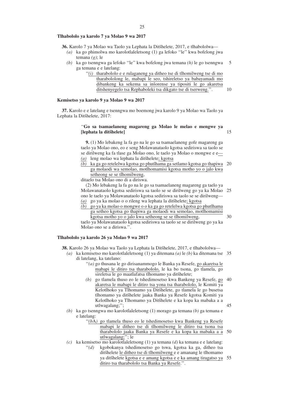# **Tlhabololo ya karolo 7 ya Molao 9 wa 2017**

**36.** Karolo 7 ya Molao wa Taolo ya Lephata la Ditšhelete, 2017, e tlhabololwa—

- *(a)* ka go phimolwa mo karolotlaleletsong (1) ga lefoko ''le'' kwa bofelong jwa temana *(g)*; le
- *(b)* ka go tsenngwa ga lefoko ''le'' kwa bofelong jwa temana *(h)* le go tsenngwa ga temana e e latelang: 5
	- ''*(i)* tharabololo e e rulaganeng ya ditheo tse di tlhomilweng tse di mo tharabololong le, mabapi le seo, tshireletso ya babayamadi mo dibankeng ka sekema sa inšorense ya tipositi le go akaretsa ditshenyegelo tsa Rephaboleki tsa dikgato tse di tserweng.''. 10

#### **Kemisetso ya karolo 9 ya Molao 9 wa 2017**

**37.** Karolo e e latelang e tsenngwa mo boemong jwa karolo 9 ya Molao wa Taolo ya Lephata la Ditšhelete, 2017:

#### ''**Go sa tsamaelaneng magareng ga Molao le melao e mengwe ya [lephata la ditsˇhelete]** 15

**9.** (1) Mo lebakeng la fa go na le go sa tsamaelaneng gofe magareng ga taelo ya Molao ono, eo e seng Molawanataolo kgotsa sediriswa sa taolo se se dirilweng ka fa tlase ga Molao ono, le taelo ya Molao o mongwe e e— *(a)* leng molao wa lephata la ditšhelete; kgotsa

*(b)* ka ga go retelelwa kgotsa go phutlhama ga setlamo kgotsa go thapiwa 20 ga molaodi wa semolao, motlhomamisi kgotsa motho yo o jalo kwa setheong se se tlhomilweng,

ditaelo tsa Molao ono di a diriswa.

(2) Mo lebakeng la fa go na le go sa tsamaelaneng magareng ga taelo ya Molawanataolo kgotsa sediriswa sa taolo se se dirilweng go ya ka Molao 25 ono le taelo ya Molawanataolo kgotsa sediriswa sa taolo se se dirilweng— *(a)* go ya ka molao o o rileng wa lephata la ditšhelete; kgotsa

- 
- *(b)* go ya ka molao o mongwe o o ka ga go retelelwa kgotsa go phutlhama ga setheo kgotsa go thapiwa ga molaodi wa semolao, motlhomamisi kgotsa motho yo o jalo kwa setheong se se tlhomilweng, 30

taelo ya Molawanataolo kgotsa sediriswa sa taolo se se dirilweng go ya ka Molao ono se a diriswa.''.

#### **Tlhabololo ya karolo 26 ya Molao 9 wa 2017**

**38.** Karolo 26 ya Molao wa Taolo ya Lephata la Ditšhelete, 2017, e tlhabololwa—

- *(a)* ka kemisetso mo karolotlaleletsong (1) ya ditemana *(a)* le *(b)* ka ditemana tse 35 di latelang, ka tatelano:
	- ''*(a)* go thusana le go dirisanammogo le Banka ya Resefe, go akaretsa le mabapi le ditiro tsa tharabololo, le ka bo tsona, go tlamela, go sireletsa le go maatlafatsa tlhomamo va ditšhelete;
	- *(b)* go tlamela thuso eo le tshedimosetso kwa Bankeng ya Resefe, go 40 akaretsa le mabapi le ditiro tsa yona tsa tharabololo, le Komiti ya Kelotlhoko ya Tlhomamo ya Ditšhelete, go tlamela le go busetsa tlhomamo ya ditšhelete jaaka Banka ya Resefe kgotsa Komiti ya Kelotlhoko ya Tlhomamo ya Ditšhelete e ka kopa ka mabaka a a utlwagalang;''; 45
- *(b)* ka go tsenngwa mo karolotlaleletsong (1) morago ga temana *(b)* ga temana e e latelang:

''*(b*A*)* go tlamela thuso eo le tshedimosetso kwa Bankeng ya Resefe mabapi le ditheo tse di tlhomilweng le ditiro tsa tsona tsa tharabololo jaaka Banka ya Resefe e ka kopa ka mabaka a a 50 utlwagalang;"; le

*(c)* ka kemisetso mo karolotlaleletsong (1) ya temana *(d)* ka temana e e latelang: ''*(d)* kgobokanya tshedimosetso go tswa, kgotsa ka ga, ditheo tsa ditsॅhelete le ditheo tse di tlhomilweng e e amanang le tlhomamo ya ditšhelete kgotsa e e amang kgotsa e e ka amang tiragatso ya 55 ditiro tsa tharabololo tsa Banka ya Resefe.''.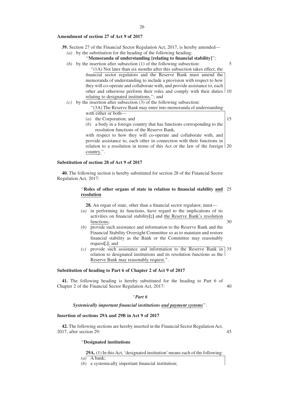- **39.** Section 27 of the Financial Sector Regulation Act, 2017, is hereby amended—
	- *(a)* by the substitution for the heading of the following heading:

''**Memoranda of understanding [relating to financial stability]**'';

- *(b)* by the insertion after subsection (1) of the following subsection: ''(1A) Not later than six months after this subsection takes effect, the financial sector regulators and the Reserve Bank must amend the memoranda of understanding to include a provision with respect to how they will co-operate and collaborate with, and provide assistance to, each other and otherwise perform their roles and comply with their duties 10 relating to designated institutions.''; and 5
- $(c)$  by the insertion after subsection (3) of the following subsection:

''(3A) The Reserve Bank may enter into memoranda of understanding with either or both—

- *(a)* the Corporation; and
- *(b)* a body in a foreign country that has functions corresponding to the resolution functions of the Reserve Bank,

with respect to how they will co-operate and collaborate with, and provide assistance to, each other in connection with their functions in relation to a resolution in terms of this Act or the law of the foreign 20 country.''.

# **Substitution of section 28 of Act 9 of 2017**

**40.** The following section is hereby substituted for section 28 of the Financial Sector Regulation Act, 2017:

# ''**Roles of other organs of state in relation to financial stability and** 25 **resolution**

**28.** An organ of state, other than a financial sector regulator, must—

- *(a)* in performing its functions, have regard to the implications of its activities on financial stability**[;]** and the Reserve Bank's resolution functions;
- *(b)* provide such assistance and information to the Reserve Bank and the Financial Stability Oversight Committee so as to maintain and restore financial stability as the Bank or the Committee may reasonably request**[.]**; and
- *(c)* provide such assistance and information to the Reserve Bank in 35 relation to designated institutions and its resolution functions as the Reserve Bank may reasonably request.''.

#### **Substitution of heading to Part 6 of Chapter 2 of Act 9 of 2017**

**41.** The following heading is hereby substituted for the heading to Part 6 of Chapter 2 of the Financial Sector Regulation Act, 2017: 40

# ''*Part 6*

# *Systemically important financial institutions and payment systems*''.

# **Insertion of sections 29A and 29B in Act 9 of 2017**

**42.** The following sections are hereby inserted in the Financial Sector Regulation Act, 2017, after section 29:

45

15

30

### ''**Designated institutions**

**29A.** (1) In this Act, 'designated institution'means each of the following:

 $(a)$  A bank:

*(b)* a systemically important financial institution;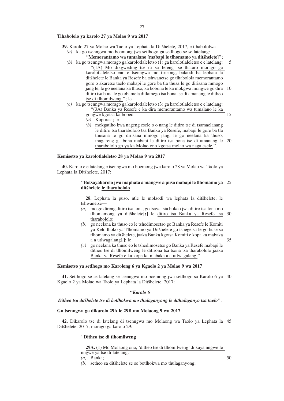#### **Tlhabololo ya karolo 27 ya Molao 9 wa 2017**

- **39.** Karolo 27 ya Molao wa Taolo ya Lephata la Ditšhelete, 2017, e tlhabololwa—
	- *(a)* ka go tsenngwa mo boemong jwa setlhogo ga setlhogo se se latelang:
		- "**Memorantamo wa tumalano [mabapi le tlhomamo ya ditšhelete]**";
	- *(b)* ka go tsenngwa morago ga karolotlaleletso (1) ga karolotlaleletso e e latelang: ''(1A) Mo dikgweding tse di sa feteng tse thataro morago ga karolotlaleletso eno e tsenngwa mo tirisong, balaodi ba lephata la ditšhelete le Banka ya Resefe ba tshwanetse go tlhabolola memorantamo gore o akaretse taelo mabapi le gore ba tla thusa le go dirisana mmogo jang le, le go neelana ka thuso, ka bobona le ka mokgwa mongwe go dira ditiro tsa bona le go obamela ditlamego tsa bona tse di amanang le ditheo tse di tlhomilweng.''; le 5 10
	- *(c)* ka go tsenngwa morago ga karolotlaleletso (3) ga karolotlaleletso e e latelang: ''(3A) Banka ya Resefe e ka dira memorantamo wa tumalano le ka
		- gongwe kgotsa ka bobedi—
		- *(a)* Koporasi; le
		- *(b)* mokgatlho kwa nageng esele o o nang le ditiro tse di tsamaelanang le ditiro tsa tharabololo tsa Banka ya Resefe, mabapi le gore ba tla thusana le go dirisana mmogo jang, le go neelana ka thuso, magareng ga bona mabapi le ditiro tsa bona tse di amanang le 20 tharabololo go ya ka Molao ono kgotsa molao wa naga esele.''.

#### **Kemisetso ya karolotlaleletso 28 ya Molao 9 wa 2017**

**40.** Karolo e e latelang e tsenngwa mo boemong jwa karolo 28 ya Molao wa Taolo ya Lephata la Ditšhelete, 2017:

#### ''**Botsayakarolo jwa maphata a mangwe a puso mabapi le tlhomamo ya** 25 **ditsˇhelete le tharabololo**

28. Lephata la puso, ntle le molaodi wa lephata la ditsॅhelete, le tshwanetse—

- *(a)* mo go direng ditiro tsa lona, go tsaya tsia bokao jwa ditiro tsa lona mo tlhomamong ya ditšhelete<sup>[</sup>;] le ditiro tsa Banka ya Resefe tsa 30 tharabololo;
- *(b)* go neelana ka thuso eo le tshedimosetso go Banka ya Resefe le Komiti ya Kelotlhoko ya Tlhomamo ya Ditšhelete go tshegetsa le go busetsa tlhomamo ya ditšhelete, jaaka Banka kgotsa Komiti e kopa ka mabaka a a utlwagalang**[.]**; le
	- 35

15

*(c)* go neelana ka thuso eo le tshedimosetso go Banka ya Resefe mabapi le ditheo tse di tlhomilweng le ditirona tsa tsona tsa tharabololo jaaka Banka ya Resefe e ka kopa ka mabaka a a utlwagalang.''.

#### **Kemisetso ya setlhogo mo Karolong 6 ya Kgaolo 2 ya Molao 9 wa 2017**

**41.** Setlhogo se se latelang se tsenngwa mo boemong jwa setlhogo sa Karolo 6 ya 40 Kgaolo 2 ya Molao wa Taolo ya Lephata la Ditšhelete, 2017:

#### **''***Karolo 6*

#### *Ditheo tsa ditsˇhelete tse di botlhokwa mo thulaganyong le dithulaganyo tsa tuelo*''.

#### **Go tsenngwa ga dikarolo 29A le 29B mo Molaong 9 wa 2017**

**42.** Dikarolo tse di latelang di tsenngwa mo Molaong wa Taolo ya Lephata la 45 Ditšhelete, 2017, morago ga karolo 29:

#### ''**Ditheo tse di tlhomilweng**

| 29A. (1) Mo Molaong ono, 'ditheo tse di thomilweng' di kaya nngwe le |  |  |  |
|----------------------------------------------------------------------|--|--|--|
| nngwe ya tse di latelang:                                            |  |  |  |

*(a)* Banka;

*(b)* setheo sa ditšhelete se se botlhokwa mo thulaganyong;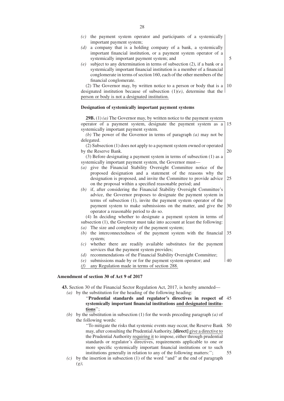- *(c)* the payment system operator and participants of a systemically important payment system;
- *(d)* a company that is a holding company of a bank, a systemically important financial institution, or a payment system operator of a systemically important payment system; and
- *(e)* subject to any determination in terms of subsection (2), if a bank or a systemically important financial institution is a member of a financial conglomerate in terms of section 160, each of the other members of the financial conglomerate.

(2) The Governor may, by written notice to a person or body that is a designated institution because of subsection (1)*(e)*, determine that the person or body is not a designated institution. 10

# **Designation of systemically important payment systems**

**29B.** (1) *(a)* The Governor may, by written notice to the payment system

operator of a payment system, designate the payment system as a 15 systemically important payment system.

*(b)* The power of the Governor in terms of paragraph *(a)* may not be delegated.

(2) Subsection (1) does not apply to a payment system owned or operated by the Reserve Bank.

- (3) Before designating a payment system in terms of subsection (1) as a systemically important payment system, the Governor must—
- *(a)* give the Financial Stability Oversight Committee notice of the proposed designation and a statement of the reasons why the designation is proposed, and invite the Committee to provide advice on the proposal within a specified reasonable period; and 25
- *(b)* if, after considering the Financial Stability Oversight Committee's advice, the Governor proposes to designate the payment system in terms of subsection (1), invite the payment system operator of the payment system to make submissions on the matter, and give the operator a reasonable period to do so. 30

(4) In deciding whether to designate a payment system in terms of subsection (1), the Governor must take into account at least the following:

- *(a)* The size and complexity of the payment system;
- *(b)* the interconnectedness of the payment system with the financial system; 35
- *(c)* whether there are readily available substitutes for the payment services that the payment system provides;
- *(d)* recommendations of the Financial Stability Oversight Committee;

*(e)* submissions made by or for the payment system operator; and 40

*(f)* any Regulation made in terms of section 288.

# **Amendment of section 30 of Act 9 of 2017**

**43.** Section 30 of the Financial Sector Regulation Act, 2017, is hereby amended— *(a)* by the substitution for the heading of the following heading:

> ''**Prudential standards and regulator's directives in respect of** 45 **systemically important financial institutions and designated institutions**'';

*(b)* by the substitution in subsection (1) for the words preceding paragraph *(a)* of the following words:

> ''To mitigate the risks that systemic events may occur, the Reserve Bank 50 may, after consulting the Prudential Authority, **[direct]** give a directive to the Prudential Authority requiring it to impose, either through prudential standards or regulator's directives, requirements applicable to one or more specific systemically important financial institutions or to such institutions generally in relation to any of the following matters:''; 55

*(c)* by the insertion in subsection (1) of the word ''and'' at the end of paragraph *(g)*;

5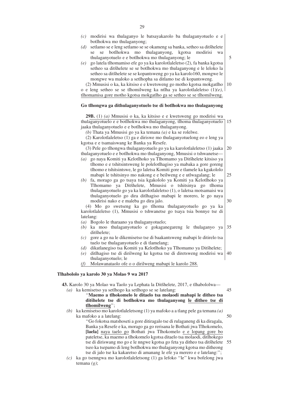- *(c)* modirisi wa thulaganyo le batsayakarolo ba thulaganyotuelo e e botlhokwa mo thulaganyong;
- *(d)* setlamo se e leng setlamo se se okameng sa banka, setheo sa ditšhelete se se botlhokwa mo thulaganyong, kgotsa modirisi wa thulaganyotuelo e e botlhokwa mo thulaganyong; le
- *(e)* go latela tlhomamiso efe go ya ka karolotlaleletso (2), fa banka kgotsa setheo sa ditšhelete se se botlhokwa mo thulaganyong e le leloko la setheo sa ditšhelete se se kopantsweng go ya ka karolo160, mongwe le mongwe wa maloko a setlhopha sa ditlamo tse di kopantsweng.

(2) Mmusisi o ka, ka kitsiso e e kwetsweng go motho kgotsa mokgatlho o e leng setheo se se tlhomilweng ka ntlha ya karolotlaleletso (1)*(e)*, tlhomamisa gore motho kgotsa mokgatlho ga se setheo se se tlhomilweng.

#### **Go tlhongwa ga dithulaganyotuelo tse di botlhokwa mo thulaganyong**

**29B.** (1) *(a)* Mmusisi o ka, ka kitsiso e e kwetsweng go modirisi wa thulaganyotuelo e e botlhokwa mo thulaganyong, tlhoma thulaganyotuelo jaaka thulaganyotuelo e e botlhokwa mo thulaganyong. 15

*(b)* Thata ya Mmusisi go ya ka temana *(a)* e ka se rolelwe.

(2) Karolotlaleletso (1) ga e diriswe mo thulaganyotuelong eo e leng ya kgotsa e e tsamaiswang ke Banka ya Resefe.

- (3) Pele go tlhongwa thulaganyotuelo go ya ka karolotlaleletso (1) jaaka thulaganyotuelo e e botlhokwa mo thulaganyong, Mmusisi o tshwanetse— 20
- *(a)* go naya Komiti ya Kelotlhoko ya Tlhomamo ya Ditšhelete kitsiso ya tlhomo e e tshitsintsweng le polelotlhagiso ya mabaka a gore goreng tlhomo e tshitsintswe, le go laletsa Komiti gore e tlamele ka kgakololo mabapi le tshitsinyo mo nakong e e beilweng e e utlwagalang; le 25
- *(b)* fa, morago ga go tsaya tsia kgakololo ya Komiti ya Kelotlhoko ya Tlhomamo ya Ditšhelete, Mmusisi o tshitsinya go tlhoma thulaganyotuelo go ya ka karolotlaleletso (1), o laletsa motsamaisi wa thulaganyotuelo go dira ditlhagiso mabapi le morero, le go naya modirisi nako e e maleba go dira jalo. 30

(4) Mo go swetseng ka go tlhoma thulaganyotuelo go ya ka karolotlaleletso (1), Mmusisi o tshwanetse go tsaya tsia bonnye tse di latelang:

- *(a)* Bogolo le tharaano ya thulaganyotuelo;
- *(b)* ka moo thulaganyotuelo e gokaganegareng le thulaganyo ya ditšhelete; 35
- *(c)* gore a go na le dikemisetso tse di baakantsweng mabapi le ditirelo tsa tuelo tse thulaganyotuelo e di tlamelang;
- *(d)* dikatlanegiso tsa Komiti ya Kelotlhoko ya Tlhomamo ya Ditšhelete;
- *(e)* ditlhagiso tse di dirilweng ke kgotsa tse di diretsweng modirisi wa thulaganyotuelo; le 40
- *(f)* Molawanataolo ofe o o dirilweng mabapi le karolo 288.

#### **Tlhabololo ya karolo 30 ya Molao 9 wa 2017**

43. Karolo 30 ya Molao wa Taolo ya Lephata la Ditšhelete, 2017, e tlhabololwa-*(a)* ka kemisetso ya setlhogo ka setlhogo se se latelang:

# ''**Maemo a tlhokomelo le ditaelo tsa molaodi mabapi le ditheo tsa ditsˇhelete tse di botlhokwa mo thulaganyong le ditheo tse di tlhomilweng**'';

*(b)* ka kemisetso mo karolotlaleletsong (1) ya mafoko a a tlang pele ga temana *(a)* ka mafoko a a latelang: 50

> ''Go fokotsa matshoseti a gore ditiragalo tse di rulaganeng di ka diragala, Banka ya Resefe e ka, morago ga go rerisana le Bothati jwa Tlhokomelo, **[laela]** naya taelo go Bothati jwa Tlhokomelo e e lopang gore bo pateletse, ka maemo a tlhokomelo kgotsa ditaelo tsa molaodi, ditlhokego tse di diriswang mo go e le nngwe kgotsa go feta ya ditheo tsa ditšhelete tseo ka tsepamo di leng botlhokwa mo thulaganyong kgotsa mo ditheong tse di jalo tse ka kakaretso di amanang le efe ya merero e e latelang:''; 55

*(c)* ka go tsenngwa mo karolotlaleletsong (1) ga lefoko ''le'' kwa bofelong jwa temana *(g)*;

10

5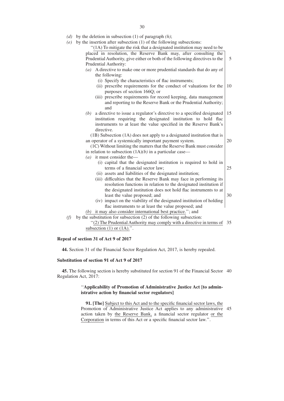*(d)* by the deletion in subsection (1) of paragraph *(h)*;

| by the insertion after subsection (1) of the following subsections:<br>(e)    |    |
|-------------------------------------------------------------------------------|----|
| "(1A) To mitigate the risk that a designated institution may need to be       |    |
| placed in resolution, the Reserve Bank may, after consulting the              |    |
| Prudential Authority, give either or both of the following directives to the  | 5  |
| Prudential Authority:                                                         |    |
| A directive to make one or more prudential standards that do any of<br>(a)    |    |
| the following:                                                                |    |
| (i) Specify the characteristics of flac instruments;                          |    |
| (ii) prescribe requirements for the conduct of valuations for the             | 10 |
| purposes of section 166Q; or                                                  |    |
| (iii) prescribe requirements for record keeping, data management              |    |
| and reporting to the Reserve Bank or the Prudential Authority;                |    |
| and                                                                           |    |
| a directive to issue a regulator's directive to a specified designated<br>(b) | 15 |
| institution requiring the designated institution to hold flac                 |    |
| instruments to at least the value specified in the Reserve Bank's             |    |
| directive.                                                                    |    |
| (1B) Subsection (1A) does not apply to a designated institution that is       |    |
| an operator of a systemically important payment system.                       | 20 |
| (1C) Without limiting the matters that the Reserve Bank must consider         |    |
| in relation to subsection $(1A)(b)$ in a particular case—                     |    |
| ( <i>a</i> ) it must consider the —                                           |    |
| (i) capital that the designated institution is required to hold in            |    |
| terms of a financial sector law;                                              | 25 |
| (ii) assets and liabilities of the designated institution;                    |    |
| (iii) difficulties that the Reserve Bank may face in performing its           |    |
| resolution functions in relation to the designated institution if             |    |
| the designated institution does not hold flac instruments to at               |    |
| least the value proposed; and                                                 | 30 |
| (iv) impact on the viability of the designated institution of holding         |    |
| flac instruments to at least the value proposed; and                          |    |
| it may also consider international best practice."; and<br>(b)                |    |
| by the substitution for subsection (2) of the following subsection:<br>(f)    |    |
| "(2) The Prudential Authority may comply with a directive in terms of         | 35 |
| subsection $(1)$ or $(1A)$ .".                                                |    |

### **Repeal of section 31 of Act 9 of 2017**

**44.** Section 31 of the Financial Sector Regulation Act, 2017, is hereby repealed.

# **Substitution of section 91 of Act 9 of 2017**

**45.** The following section is hereby substituted for section 91 of the Financial Sector 40 Regulation Act, 2017:

# ''**Applicability of Promotion of Administrative Justice Act [to administrative action by financial sector regulators]**

**91. [The]** Subject to this Act and to the specific financial sector laws, the Promotion of Administrative Justice Act applies to any administrative 45 action taken by the Reserve Bank, a financial sector regulator or the Corporation in terms of this Act or a specific financial sector law.''.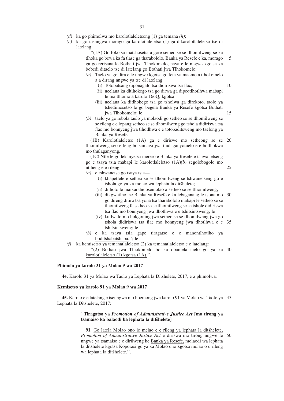*(d)* ka go phimolwa mo karolotlaleletsong (1) ga temana *(h)*;

*(e)* ka go tsenngwa morago ga karolotlaleletso (1) ga dikarolotlaleletso tse di latelang:

| "(1A) Go fokotsa matshosetsi a gore setheo se se tlhomilweng se ka                      |    |
|-----------------------------------------------------------------------------------------|----|
| tlhoka go bewa ka fa tlase ga tharabololo, Banka ya Resefe e ka, morago                 | 5  |
| ga go rerisana le Bothati jwa Tlhokomelo, naya e le nngwe kgotsa ka                     |    |
| bobedi ditaelo tse di latelang go Bothati jwa Tlhokomelo:                               |    |
| (a) Taelo ya go dira e le nngwe kgotsa go feta ya maemo a tlhokomelo                    |    |
| a a dirang nngwe ya tse di latelang:                                                    |    |
| (i) Totobatsang diponagalo tsa didiriswa tsa flac;                                      | 10 |
| (ii) neelana ka ditlhokego tsa go dirwa ga dipeotlhotlhwa mabapi                        |    |
| le maitlhomo a karolo 166Q; kgotsa                                                      |    |
| (iii) neelana ka ditlhokego tsa go tsholwa ga direkoto, taolo ya                        |    |
| tshedimosetso le go begela Banka ya Resefe kgotsa Bothati                               |    |
| jwa Tlhokomelo; le                                                                      | 15 |
| (b) taelo ya go rebola taelo ya molaodi go setheo se se tlhomilweng se                  |    |
| se rileng e e lopang setheo se se tlhomilweng go tshola didiriswa tsa                   |    |
| flac mo bonnyeng jwa tlhotlhwa e e totobaditsweng mo taelong ya                         |    |
| Banka ya Resefe.                                                                        |    |
| (1B) Karolotlaleletso (1A) ga e diriswe mo setheong se se                               | 20 |
| tlhomilweng seo e leng botsamaisi jwa thulaganyotuelo e e botlhokwa                     |    |
| mo thulaganyong.                                                                        |    |
| (1C) Ntle le go lekanyetsa merero e Banka ya Resefe e tshwanetseng                      |    |
| go e tsaya tsia mabapi le karolotlaleletso (1A)(b) segolobogolo mo                      |    |
| ntlheng e e rileng-                                                                     | 25 |
| $(a)$ e tshwanetse go tsaya tsia—                                                       |    |
| (i) khapetlele e setheo se se tlhomilweng se tshwanetseng go e                          |    |
| tshola go ya ka molao wa lephata la ditšhelete;                                         |    |
| (ii) dithoto le maikarabelosemolao a setheo se se tlhomilweng;                          |    |
| (iii) dikgwetlho tse Banka ya Resefe e ka lebaganang le tsona mo                        | 30 |
| go direng ditiro tsa yona tsa tharabololo mabapi le setheo se se                        |    |
| tlhomilweng fa setheo se se tlhomilweng se sa tshole didiriswa                          |    |
| tsa flac mo bonnyeng jwa tlhotlhwa e e tshitsintsweng; le                               |    |
| (iv) kutlwalo mo bokgoning jwa setheo se se tlhomilweng jwa go                          | 35 |
| tshola didiriswa tsa flac mo bonnyeng jwa tlhotlhwa e e                                 |    |
| tshitsintsweng; le<br>ka tsaya tsia gape<br>tiragatso e e<br>(b)<br>manontlhotlho<br>e. |    |
| ya  <br>boditšhabatšhaba."; le                                                          |    |
| ka kemisetso ya temanatlaleletso (2) ka temanatlaleletso e e latelang:<br>(f)           |    |
| "(2) Bothati jwa Tlhokomelo bo ka obamela taelo go ya ka                                | 40 |
| karolotlaleletso (1) kgotsa (1A).".                                                     |    |
|                                                                                         |    |

# **Phimolo ya karolo 31 ya Molao 9 wa 2017**

44. Karolo 31 ya Molao wa Taolo ya Lephata la Ditšhelete, 2017, e a phimolwa.

#### **Kemisetso ya karolo 91 ya Molao 9 wa 2017**

**45.** Karolo e e latelang e tsenngwa mo boemong jwa karolo 91 ya Molao wa Taolo ya 45 Lephata la Ditšhelete, 2017:

# ''**Tiragatso ya** *Promotion of Administrative Justice Act* **[mo tirong ya** tsamaiso ka balaodi ba lephata la ditšhelete]

91. Go latela Molao ono le melao e e rileng ya lephata la ditšhelete, *Promotion of Administrative Justice Act* e diriswa mo tirong nngwe le 50 nngwe ya tsamaiso e e dirilweng ke Banka ya Resefe, molaodi wa lephata la ditšhelete kgotsa Koporasi go ya ka Molao ono kgotsa molao o o rileng wa lephata la ditšhelete.".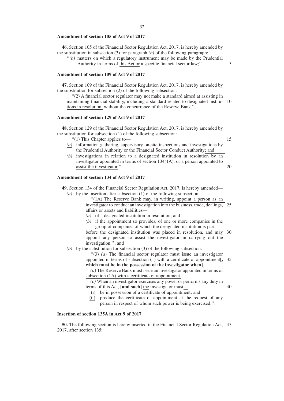#### **Amendment of section 105 of Act 9 of 2017**

**46.** Section 105 of the Financial Sector Regulation Act, 2017, is hereby amended by the substitution in subsection (3) for paragraph *(b)* of the following paragraph:

"(b) matters on which a regulatory instrument may be made by the Prudential Authority in terms of this Act or a specific financial sector law;''.

#### **Amendment of section 109 of Act 9 of 2017**

**47.** Section 109 of the Financial Sector Regulation Act, 2017, is hereby amended by the substitution for subsection (2) of the following subsection:

''(2) A financial sector regulator may not make a standard aimed at assisting in maintaining financial stability, including a standard related to designated institu-10 tions in resolution, without the concurrence of the Reserve Bank.''.

# **Amendment of section 129 of Act 9 of 2017**

**48.** Section 129 of the Financial Sector Regulation Act, 2017, is hereby amended by the substitution for subsection (1) of the following subsection:

''(1) This Chapter applies to—

15

40

5

- *(a)* information gathering, supervisory on-site inspections and investigations by the Prudential Authority or the Financial Sector Conduct Authority; and
- *(b)* investigations in relation to a designated institution in resolution by an investigator appointed in terms of section 134(1A), or a person appointed to assist the investigator.''. 20

### **Amendment of section 134 of Act 9 of 2017**

**49.** Section 134 of the Financial Sector Regulation Act, 2017, is hereby amended—

*(a)* by the insertion after subsection (1) of the following subsection:

''(1A) The Reserve Bank may, in writing, appoint a person as an investigator to conduct an investigation into the business, trade, dealings, affairs or assets and liabilities— 25

- *(a)* of a designated institution in resolution; and
- *(b)* if the appointment so provides, of one or more companies in the group of companies of which the designated institution is part,

before the designated institution was placed in resolution, and may appoint any person to assist the investigator in carrying out the investigation.''; and 30

*(b)* by the substitution for subsection (3) of the following subsection:

''(3) *(a)* The financial sector regulator must issue an investigator appointed in terms of subsection (1) with a certificate of appointment**[,** 35 **which must be in the possession of the investigator when]**.

*(b)* The Reserve Bank must issue an investigator appointed in terms of subsection (1A) with a certificate of appointment.

*(c)* When an investigator exercises any power or performs any duty in terms of this Act, **[and such]** the investigator must—

(i) be in possession of a certificate of appointment; and

(ii) produce the certificate of appointment at the request of any person in respect of whom such power is being exercised.''.

# **Insertion of section 135A in Act 9 of 2017**

**50.** The following section is hereby inserted in the Financial Sector Regulation Act, 45 2017, after section 135: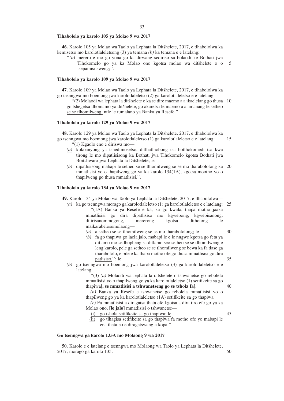#### **Tlhabololo ya karolo 105 ya Molao 9 wa 2017**

46. Karolo 105 ya Molao wa Taolo ya Lephata la Ditšhelete, 2017, e tlhabololwa ka kemisetso mo karolotlaleletsong (3) ya temana *(b)* ka temana e e latelang:

''*(b)* merero e mo go yona go ka dirwang sediriso sa bolaodi ke Bothati jwa Tlhokomelo go ya ka Molao ono kgotsa molao wa ditšhelete o o tsepamisitsweng;''. 5

#### **Tlhabololo ya karolo 109 ya Molao 9 wa 2017**

47. Karolo 109 ya Molao wa Taolo ya Lephata la Ditšhelete, 2017, e tlhabololwa ka go tsenngwa mo boemong jwa karolotlaleletso (2) ga karolotlaleletso e e latelang:

"(2) Molaodi wa lephata la ditšhelete o ka se dire maemo a a ikaelelang go thusa 10 go tshegetsa tlhomamo ya ditšhelete, go akaretsa le maemo a a amanang le setheo se se tlhomilweng, ntle le tumalano ya Banka ya Resefe.''.

#### **Tlhabololo ya karolo 129 ya Molao 9 wa 2017**

**48.** Karolo 129 ya Molao wa Taolo ya Lephata la Ditšhelete, 2017, e tlhabololwa ka go tsenngwa mo boemong jwa karolotlaleletso (1) ga karolotlaleletso e e latelang: 15

''(1) Kgaolo eno e diriswa mo—

- *(a)* kokoanyong ya tshedimosetso, ditlhatlhobong tsa botlhokomedi tsa kwa tirong le mo dipatlisisong ka Bothati jwa Tlhokomelo kgotsa Bothati jwa Boitshwaro jwa Lephata la Ditšhelete; le
- *(b)* dipatlisisong mabapi le setheo se se tlhomilweng se se mo tharabololong ka 20 mmatlisisi yo o thapilweng go ya ka karolo 134(1A), kgotsa mootho yo o thapilweng go thusa mmatlisisi.''.

#### **Tlhabololo ya karolo 134 ya Molao 9 wa 2017**

**49.** Karolo 134 ya Molao wa Taolo ya Lephata la Ditšhelete, 2017, e tlhabololwa—

| (a) ka go tsenngwa morago ga karolotlaleletso (1) ga karolotlaleletso e e latelang: 25 |  |  |  |  |
|----------------------------------------------------------------------------------------|--|--|--|--|
| "(1A) Banka ya Resefe e ka, ka go kwala, thapa motho jaaka                             |  |  |  |  |
| mmatlisisi go dira dipatlisiso mo kgwebong, kgwebisanong,                              |  |  |  |  |
| ditirisanommogong,<br>dithotong<br>le.<br>kgotsa<br>mererong                           |  |  |  |  |
| maikarabelosemolaong—                                                                  |  |  |  |  |
| 30<br>( <i>a</i> ) a setheo se se thomilweng se se mo tharabololong; le                |  |  |  |  |

*(a)* a setheo se se tlhomilweng se se mo tharabololong; le

*(b)* fa go thapiwa go laela jalo, mabapi le e le nngwe kgotsa go feta ya ditlamo mo setlhopheng sa ditlamo seo setheo se se tlhomilweng e leng karolo, pele ga setheo se se tlhomilweng se bewa ka fa tlase ga tharabololo, e bile e ka thaba motho ofe go thusa mmatlisisi go dira patlisiso.''; le

*(b)* go tsenngwa mo boemong jwa karolotlaleletso (3) ga karolotlaleletso e e latelang:

> "(3) *(a)* Molaodi wa lephata la ditšhelete o tshwanetse go rebolela mmatlisisi yo o thapilweng go ya ka karolotlaleletso (1) setifikeite sa go thapiwa**[, se mmatlisisi a tshwanetseng go se tshola fa]**.

40

35

*(b)* Banka ya Resefe e tshwanetse go rebolela mmatlisisi yo o thapilweng go ya ka karolotlaleletso (1A) setifikeite sa go thapiwa. *(c)* Fa mmatlisisi a diragatsa thata efe kgotsa a dira tiro efe go ya ka Molao ono, **[le jalo]** mmatlisisi o tshwanetse—

- (i) go tshola setifikeite sa go thapiwa; le 45
- (ii) go tlhagisa setifikeite sa go thapiwa fa motho ofe yo mabapi le ena thata eo e diragatswang a kopa.''.

#### **Go tsenngwa ga karolo 135A mo Molaong 9 wa 2017**

**50.** Karolo e e latelang e tsenngwa mo Molaong wa Taolo ya Lephata la Ditšhelete, 2017, morago ga karolo 135: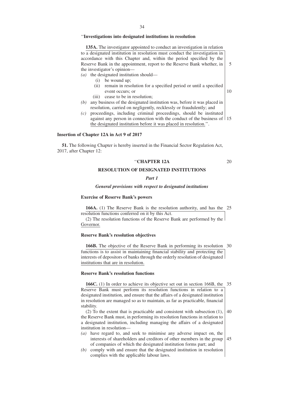# ''**Investigations into designated institutions in resolution**

**135A.** The investigator appointed to conduct an investigation in relation to a designated institution in resolution must conduct the investigation in accordance with this Chapter and, within the period specified by the Reserve Bank in the appointment, report to the Reserve Bank whether, in the investigator's opinion—

*(a)* the designated institution should—

- (i) be wound up;
- (ii) remain in resolution for a specified period or until a specified event occurs; or
- (iii) cease to be in resolution;
- *(b)* any business of the designated institution was, before it was placed in resolution, carried on negligently, recklessly or fraudulently; and
- *(c)* proceedings, including criminal proceedings, should be instituted against any person in connection with the conduct of the business of 15 the designated institution before it was placed in resolution.''.

#### **Insertion of Chapter 12A in Act 9 of 2017**

**51.** The following Chapter is hereby inserted in the Financial Sector Regulation Act, 2017, after Chapter 12:

#### ''**CHAPTER 12A**

5

10

20

# **RESOLUTION OF DESIGNATED INSTITUTIONS**

#### *Part 1*

#### *General provisions with respect to designated institutions*

#### **Exercise of Reserve Bank's powers**

**166A.** (1) The Reserve Bank is the resolution authority, and has the 25 resolution functions conferred on it by this Act.

(2) The resolution functions of the Reserve Bank are performed by the Governor.

#### **Reserve Bank's resolution objectives**

**166B.** The objective of the Reserve Bank in performing its resolution 30 functions is to assist in maintaining financial stability and protecting the interests of depositors of banks through the orderly resolution of designated institutions that are in resolution.

### **Reserve Bank's resolution functions**

**166C.** (1) In order to achieve its objective set out in section 166B, the 35 Reserve Bank must perform its resolution functions in relation to a designated institution, and ensure that the affairs of a designated institution in resolution are managed so as to maintain, as far as practicable, financial stability.

(2) To the extent that is practicable and consistent with subsection (1), the Reserve Bank must, in performing its resolution functions in relation to a designated institution, including managing the affairs of a designated institution in resolution—  $40$ 

- *(a)* have regard to, and seek to minimise any adverse impact on, the interests of shareholders and creditors of other members in the group of companies of which the designated institution forms part; and 45
- *(b)* comply with and ensure that the designated institution in resolution complies with the applicable labour laws.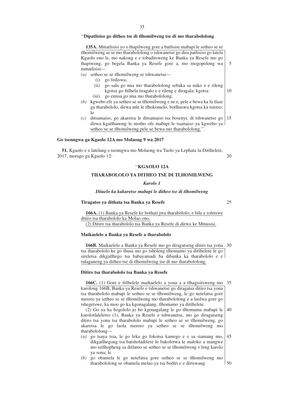# ''**Dipatlisiso go ditheo tse di tlhomilweng tse di mo tharabololong**

**135A.** Mmatlisisi yo o thapilweng gore a batlisise mabapi le setheo se se tlhomilweng se se mo tharabololong o tshwanetse go dira patlisiso go latela Kgaolo eno le, mo nakong e e tobaditsweng ke Banka ya Resefe mo go thapiweng, go begela Banka ya Resefe gore a, mo mogopolong wa mmatlisisi—

*(a)* setheo se se tlhomilweng se tshwanetse—

- (i) go fediswa;
- (ii) go sala go nna mo tharabololong sebaka sa nako e e rileng kgotsa go fitlhela tiragalo e e rileng e diragala; kgotsa 10
- (iii) go emisa go nna mo tharabololong;
- *(b)* kgwebo efe ya setheo se se tlhomilweng e ne e, pele e bewa ka fa tlase ga tharabololo, dirwa ntle le tlhokomelo, botlhaswa kgotsa ka tsietso; le
- *(c)* ditsamaiso, go akaretsa le ditsamaiso tsa bosenyi, di tshwanetse go dirwa kgatlhanong le motho ofe mabapi le tsamaiso ya kgwebo ya setheo se se tlhomilweng pele se bewa mo tharabololong.''. 15

# **Go tsenngwa ga Kgaolo 12A mo Molaong 9 wa 2017**

**51.** Kgaolo e e latelang e tsenngwa mo Molaong wa Taolo ya Lephata la Ditšhelete, 2017, morago ga Kgaolo 12: 20

# ''**KGAOLO 12A**

# **THARABOLOLO YA DITHEO TSE DI TLHOMILWENG**

# *Karolo 1*

#### *Ditaelo ka kakaretso mabapi le ditheo tse di tlhomilweng*

## **Tiragatso ya dithata tsa Banka ya Resefe**

25

5

**166A.** (1) Banka ya Resefe ke bothati jwa tharabololo; e bile e roletswe ditiro tsa tharabololo ka Molao ono. (2) Ditiro tsa tharabololo tsa Banka ya Resefe di dirwa ke Mmusisi.

#### **Maikaelelo a Banka ya Resefe a tharabololo**

**166B.** Maikaelelo a Banka ya Resefe mo go diragatseng ditiro tsa yona 30 tsa tharabololo ke go thusa mo go tsholeng tlhomamo ya ditšhelete le go sireletsa dikgatlhego tsa babayamadi ba dibanka ka tharabololo e e rulaganeng ya ditheo tse di tlhomilweng tse di mo tharabololong.

#### **Ditiro tsa tharabololo tsa Banka ya Resefe**

**166C.** (1) Gore e fitlhelele maikaelelo a yona a a tlhagisitsweng mo 35 karolong 166B, Banka ya Resefe e tshwanetse go diragatsa ditiro tsa yona tsa tharabololo mabapi le setheo se se tlhomilweng, le go netefatsa gore merero ya setheo se se tlhomilweng mo tharabololong e a laolwa gore go tshegetswe, ka moo go ka kgonagalang, tlhomamo ya ditšhelete.

(2) Go ya ka bogololo jo bo kgonagalang le go tlhomama mabapi le karolotlaleletso (1), Banka ya Resefe e tshwanetse, mo go diragatseng ditiro tsa yona tsa tharabololo mabapi le setheo se se tlhomilweng, go akaretsa le go laola merero ya setheo se se tlhomilweng mo tharabololong— 40

- *(a)* go tsaya tsia, le go leka go fokotsa kamego e e sa siamang mo, dikgatlhegong tsa batsholadišere le bakolotwa le maloko a mangwe mo setlhopheng sa ditlamo se setheo se se tlhomilweng e leng karolo ya sona; le 45
- *(b)* go obamela le go netefatsa gore setheo se se tlhomilweng mo tharabololong se obamela melao ya tsa bodiri e e diriswang. 50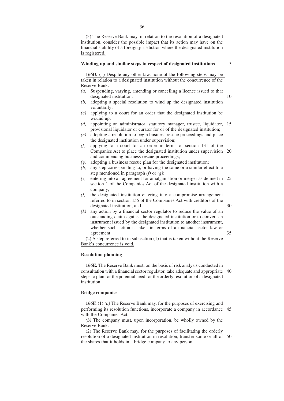(3) The Reserve Bank may, in relation to the resolution of a designated institution, consider the possible impact that its action may have on the financial stability of a foreign jurisdiction where the designated institution is registered.

#### **Winding up and similar steps in respect of designated institutions**

5

10

30

35

**166D.** (1) Despite any other law, none of the following steps may be taken in relation to a designated institution without the concurrence of the Reserve Bank:

- *(a)* Suspending, varying, amending or cancelling a licence issued to that designated institution;
- *(b)* adopting a special resolution to wind up the designated institution voluntarily;
- *(c)* applying to a court for an order that the designated institution be wound up;
- *(d)* appointing an administrator, statutory manager, trustee, liquidator, provisional liquidator or curator for or of the designated institution; 15
- *(e)* adopting a resolution to begin business rescue proceedings and place the designated institution under supervision;
- *(f)* applying to a court for an order in terms of section 131 of the Companies Act to place the designated institution under supervision and commencing business rescue proceedings; 20
- *(g)* adopting a business rescue plan for the designated institution;
- *(h)* any step corresponding to, or having the same or a similar effect to a step mentioned in paragraph *(f)* or *(g)*;
- *(i)* entering into an agreement for amalgamation or merger as defined in section 1 of the Companies Act of the designated institution with a company; 25
- *(j)* the designated institution entering into a compromise arrangement referred to in section 155 of the Companies Act with creditors of the designated institution; and
- *(k)* any action by a financial sector regulator to reduce the value of an outstanding claim against the designated institution or to convert an instrument issued by the designated institution to another instrument, whether such action is taken in terms of a financial sector law or agreement.

(2) A step referred to in subsection (1) that is taken without the Reserve Bank's concurrence is void.

### **Resolution planning**

**166E.** The Reserve Bank must, on the basis of risk analysis conducted in consultation with a financial sector regulator, take adequate and appropriate 40 steps to plan for the potential need for the orderly resolution of a designated institution.

#### **Bridge companies**

**166F.** (1) *(a)* The Reserve Bank may, for the purposes of exercising and performing its resolution functions, incorporate a company in accordance with the Companies Act. 45

*(b)* The company must, upon incorporation, be wholly owned by the Reserve Bank.

(2) The Reserve Bank may, for the purposes of facilitating the orderly resolution of a designated institution in resolution, transfer some or all of the shares that it holds in a bridge company to any person. 50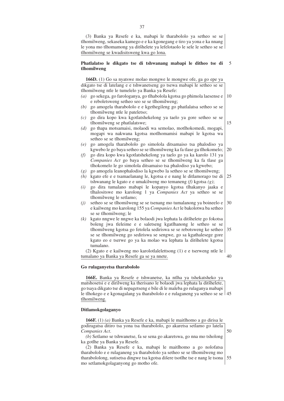(3) Banka ya Resefe e ka, mabapi le tharabololo ya setheo se se tlhomilweng, sekaseka kamego e e ka kgonegang e tiro ya yona e ka nnang le yona mo tlhomamong ya ditšhelete ya lefelotaolo le sele le setheo se se tlhomilweng se kwadisitsweng kwa go lona.

#### **Phatlalatso le dikgato tse di tshwanang mabapi le ditheo tse di tlhomilweng** 5

**166D.** (1) Go sa nyatswe molao mongwe le mongwe ofe, ga go epe ya dikgato tse di latelang e e tshwanetseng go tsewa mabapi le setheo se se tlhomilweng ntle le tumelelo ya Banka ya Resefe:

- *(a)* go sekega, go farologanya, go tlhabolola kgotsa go phimola laesense e e reboletsweng setheo seo se se tlhomilweng; 10
- *(b)* go amogela tharabololo e e kgethegileng go phatlalatsa setheo se se tlhomilweng ntle le pateletso;
- *(c)* go dira kopo kwa kgotlatshekelong ya taelo ya gore setheo se se tlhomilweng se phatlalatswe;
- *(d)* go thapa motsamaisi, molaodi wa semolao, motlhokomedi, mogapi, mogapi wa nakwana kgotsa motlhomamisi mabapi le kgotsa wa setheo se se tlhomilweng;
- *(e)* go amogela tharabololo go simolola ditsamaiso tsa phalodiso ya kgwebo le go baya setheo se se tlhomilweng ka fa tlase ga tlhokomelo; 20
- *(f)* go dira kopo kwa kgotlatshekelong ya taelo go ya ka karolo 131 ya *Companies Act* go baya setheo se se tlhomilweng ka fa tlase ga tlhokomelo le go simolola ditsamaiso tsa phalodiso ya kgwebo;
- *(g)* go amogela leanophalodiso la kgwebo la setheo se se tlhomilweng;
- *(h)* kgato efe e e tsamaelanang le, kgotsa e e nang le ditlamorago tse di tshwanang le kgato e e umakilweng mo temaneng *(f)* kgotsa *(g)*; 25
- *(i)* go dira tumalano mabapi le kopanyo kgotsa tlhakanyo jaaka e tlhalositswe mo karolong 1 ya *Companies Act* ya setheo se se tlhomilweng le setlamo;
- *(j)* setheo se se tlhomilweng se se tsenang mo tumalanong ya boineelo e e kailweng mo karolong 155 ya *Companies Act* le bakolotwa ba setheo se se tlhomilweng; le 30
- *(k)* kgato nngwe le nngwe ka bolaodi jwa lephata la ditšhelete go fokotsa boleng jwa tleleime e e saletseng kgatlhanong le setheo se se tlhomilweng kgotsa go fetolela sediriswa se se rebotsweng ke setheo se se tlhomilweng go sediriswa se sengwe, go sa kgathalesege gore kgato eo e tserwe go ya ka molao wa lephata la ditšhelete kgotsa tumalano. 35

(2) Kgato e e kailweng mo karolotlalelettsong (1) e e tserweng ntle le tumalano ya Banka ya Resefe ga se ya nnete.

# **Go rulaganyetsa tharabololo**

**166E.** Banka ya Resefe e tshwanetse, ka ntlha ya tshekatsheko ya matshosetsi e e dirilweng ka therisano le bolaodi jwa lephata la ditšhelete, go tsaya dikgato tse di nepagetseng e bile di le maleba go rulaganya mabapi le tlhokego e e kgonagalang ya tharabololo e e rulaganeng ya setheo se se 45 tlhomilweng.

# **Ditlamokgolaganyo**

**166F.** (1) *(a)* Banka ya Resefe e ka, mabapi le maitlhomo a go dirisa le godiragatsa ditiro tsa yona tsa tharabololo, go akaretsa setlamo go latela *Companies Act*. 50

*(b)* Setlamo se tshwanetse, fa se sena go akaretswa, go nna mo tsholong ka gotlhe ya Banka ya Resefe.

37

40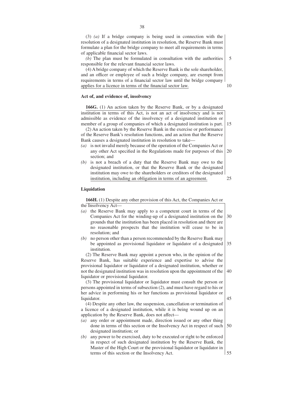(3) *(a)* If a bridge company is being used in connection with the resolution of a designated institution in resolution, the Reserve Bank must formulate a plan for the bridge company to meet all requirements in terms of applicable financial sector laws.

*(b)* The plan must be formulated in consultation with the authorities responsible for the relevant financial sector laws. 5

(4) A bridge company of which the Reserve Bank is the sole shareholder, and an officer or employee of such a bridge company, are exempt from requirements in terms of a financial sector law until the bridge company applies for a licence in terms of the financial sector law.

# **Act of, and evidence of, insolvency**

**166G.** (1) An action taken by the Reserve Bank, or by a designated institution in terms of this Act, is not an act of insolvency and is not admissible as evidence of the insolvency of a designated institution or member of a group of companies of which a designated institution is part.

(2) An action taken by the Reserve Bank in the exercise or performance of the Reserve Bank's resolution functions, and an action that the Reserve Bank causes a designated institution in resolution to take—

- *(a)* is not invalid merely because of the operation of the Companies Act or any other Act specified in the Regulations made for purposes of this section; and 20
- *(b)* is not a breach of a duty that the Reserve Bank may owe to the designated institution, or that the Reserve Bank or the designated institution may owe to the shareholders or creditors of the designated institution, including an obligation in terms of an agreement.

#### **Liquidation**

**166H.** (1) Despite any other provision of this Act, the Companies Act or the Insolvency Act—

*(a)* the Reserve Bank may apply to a competent court in terms of the Companies Act for the winding-up of a designated institution on the grounds that the institution has been placed in resolution and there are no reasonable prospects that the institution will cease to be in resolution; and *(b)* no person other than a person recommended by the Reserve Bank may be appointed as provisional liquidator or liquidator of a designated institution. (2) The Reserve Bank may appoint a person who, in the opinion of the Reserve Bank, has suitable experience and expertise to advise the provisional liquidator or liquidator of a designated institution, whether or not the designated institution was in resolution upon the appointment of the liquidator or provisional liquidator. (3) The provisional liquidator or liquidator must consult the person or persons appointed in terms of subsection (2), and must have regard to his or her advice in performing his or her functions as provisional liquidator or liquidator. (4) Despite any other law, the suspension, cancellation or termination of a licence of a designated institution, while it is being wound up on an application by the Reserve Bank, does not affect— *(a)* any order or appointment made, direction issued or any other thing done in terms of this section or the Insolvency Act in respect of such designated institution; or *(b)* any power to be exercised, duty to be executed or right to be enforced in respect of such designated institution by the Reserve Bank, the Master of the High Court or the provisional liquidator or liquidator in terms of this section or the Insolvency Act. 30 35 40 45 50 55

38

10

15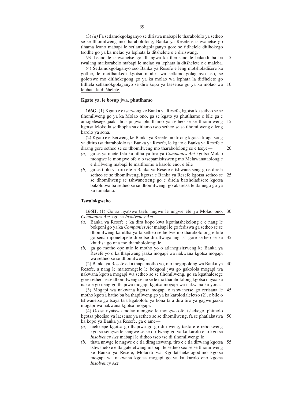(3) *(a)* Fa setlamokgolaganyo se diriswa mabapi le tharabololo ya setheo se se tlhomilweng mo tharabololong, Banka ya Resefe e tshwanetse go tlhama leano mabapi le setlamokgolaganyo gore se fitlhelele ditlhokego tsotlhe go ya ka melao ya lephata la ditšhelete e e diriswang.

*(b)* Leano le tshwanetse go tlhangwa ka therisano le balaodi ba ba rwalang maikarabelo mabapi le melao ya lephata la ditšhelete e e maleba. 5

(4) Setlamokgolaganyo seo Banka ya Resefe e leng motsholadišere ka gotlhe, le motlhankedi kgotsa modiri wa setlamokgolaganyo seo, se golotswe mo ditlhokegong go ya ka molao wa lephata la ditšhelete go fitlhela setlamokgolaganyo se dira kopo ya laesense go ya ka molao wa 10 lephata la ditšhelete.

## **Kgato ya, le bosup jwa, phutlhamo**

**166G.** (1) Kgato e e tserweng ke Banka ya Resefe, kgotsa ke setheo se se tlhomilweng go ya ka Molao ono, ga se kgato ya phutlhamo e bile ga e amogelesege jaaka bosupi jwa phutlhamo ya setheo se se tlhomilweng kgotsa leloko la setlhopha sa ditlamo tseo setheo se se tlhomilweng e leng karolo ya sona. 15

(2) Kgato e e tserweng ke Banka ya Resefe mo tirong kgotsa tiragatsong ya ditiro tsa tharabololo tsa Banka ya Resefe, le kgato e Banka ya Resefe e dirang gore setheo se se tlhomilweng mo tharabololong se e tseye—

20

- *(a)* ga se ya nnete fela ka ntlha ya tiro ya *Companies Act* kgotsa Molao mongwe le mongwe ofe o o tsepamisitsweng mo Melawanataolong e e dirilweng mabapi le maitlhomo a karolo eno; e bile
- *(b)* ga se tlolo ya tiro efe e Banka ya Resefe e tshwanetseng go e direla setheo se se tlhomilweng, kgotsa e Banka ya Resefe kgotsa setheo se se tlhomilweng se tshwanetseng go e direla batsholadisere kgotsa bakolotwa ba setheo se se tlhomilweng, go akaretsa le tlamego go ya ka tumalano. 25

## **Tswalokgwebo**

**166H.** (1) Go sa nyatswe taelo nngwe le nngwe efe ya Molao ono, *Companies Act* kgotsa *Insolvency Act*— 30

- *(a)* Banka ya Resefe e ka dira kopo kwa kgotlatshekelong e e nang le bokgoni go ya ka *Companies Act* mabapi le go fediswa ga setheo se se tlhomilweng ka ntlha ya fa setheo se beilwe mo tharabololong e bile go sena diponelopele dipe tse di utlwagalang tsa gore setheo se ka khutlisa go nna mo tharabololong; le 35
- *(b)* ga go motho ope ntle le motho yo o atlanegisitsweng ke Banka ya Resefe yo o ka thapiwang jaaka mogapi wa nakwana kgotsa mogapi wa setheo se se tlhomilweng.

(2) Banka ya Resefe e ka thapa motho yo, mo mogopolong wa Banka ya Resefe, a nang le maitemogelo le bokgoni jwa go gakolola mogapi wa nakwana kgotsa mogapi wa setheo se se tlhomilweng, go sa kgathalesege gore setheo se se tlhomilweng se ne se le mo tharabololong kgotsa nnyaa ka nako e go neng go thapiwa mogapi kgotsa mogapi wa nakwana ka yona. 40

(3) Mogapi wa nakwana kgotsa mogapi o tshwanetse go rerisana le motho kgotsa batho ba ba thapilweng go ya ka karolotlaleletso (2), e bile o tshwanetse go tsaya tsia kgakololo ya bona fa a dira tiro ya gagwe jaaka mogapi wa nakwana kgotsa mogapi. 45

(4) Go sa nyatswe molao mongwe le mongwe ofe, tshekego, phimolo kgotsa phediso ya laesense ya setheo se se tlhomilweng, fa se phatlalatswa ka kopo ya Banka ya Resefe, ga e ame— 50

- *(a)* taelo epe kgotsa go thapiwa go go dirilweng, taelo e e rebotsweng kgotsa sengwe le sengwe se se dirilweng go ya ka karolo eno kgotsa *Insolvency Act* mabapi le ditheo tseo tse di tlhomilweng; le
- *(b)* thata nnwge le nngwe e e tla diragatswang, tiro e e tla dirwang kgotsa tshwanelo e e tla gatelelwang mabapi le setheo seo se se tlhomilweng ke Banka ya Resefe, Molaodi wa Kgotlatshekelogodimo kgotsa mogapi wa nakwana kgotsa mogapi go ya ka karolo eno kgotsa *Insolvency Act*. 55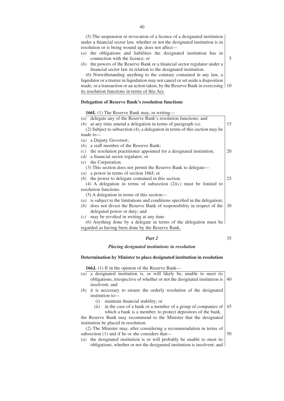(5) The suspension or revocation of a licence of a designated institution under a financial sector law, whether or not the designated institution is in resolution or is being wound up, does not affect—

- *(a)* the obligations and liabilities the designated institution has in connection with the licence; or
- *(b)* the powers of the Reserve Bank or a financial sector regulator under a financial sector law in relation to the designated institution.

(6) Notwithstanding anything to the contrary contained in any law, a liquidator or a trustee in liquidation may not cancel or set aside a disposition made, or a transaction or an action taken, by the Reserve Bank in exercising 1 10 its resolution functions in terms of this Act.

# **Delegation of Reserve Bank's resolution functions**

**166I.** (1) The Reserve Bank may, in writing—

| delegate any of the Reserve Bank's resolution functions; and<br>(a)           |     |
|-------------------------------------------------------------------------------|-----|
| at any time amend a delegation in terms of paragraph $(a)$ .<br>(b)           | 15  |
| (2) Subject to subsection (4), a delegation in terms of this section may be   |     |
| $made$ to —                                                                   |     |
| a Deputy Governor;<br>(a)                                                     |     |
| a staff member of the Reserve Bank;<br>(b)                                    |     |
| $(c)$ the resolution practitioner appointed for a designated institution;     | 20  |
| $(d)$ a financial sector regulator; or                                        |     |
| $(e)$ the Corporation.                                                        |     |
| (3) This section does not permit the Reserve Bank to delegate—                |     |
| ( <i>a</i> ) a power in terms of section 166J; or                             |     |
| the power to delegate contained in this section.<br>(b)                       | 25  |
| (4) A delegation in terms of subsection $(2)(c)$ must be limited to           |     |
| resolution functions.                                                         |     |
| $(5)$ A delegation in terms of this section—                                  |     |
| (a) is subject to the limitations and conditions specified in the delegation; |     |
| (b) does not divest the Reserve Bank of responsibility in respect of the      | -30 |
| delegated power or duty; and                                                  |     |
| may be revoked in writing at any time.<br>(c)                                 |     |
| (6) Anything done by a delegate in terms of the delegation must be            |     |
| regarded as having been done by the Reserve Bank.                             |     |
|                                                                               |     |

# *Part 2*

#### 35

#### *Placing designated institutions in resolution*

#### **Determination by Minister to place designated institution in resolution**

**166J.** (1) If in the opinion of the Reserve Bank—

- *(a)* a designated institution is, or will likely be, unable to meet its obligations, irrespective of whether or not the designated institution is insolvent; and 40
- *(b)* it is necessary to ensure the orderly resolution of the designated institution to—
	- (i) maintain financial stability; or
	- (ii) in the case of a bank or a member of a group of companies of which a bank is a member, to protect depositors of the bank, 45

the Reserve Bank may recommend to the Minister that the designated institution be placed in resolution.

(2) The Minister may, after considering a recommendation in terms of subsection (1) and if he or she considers that— 50

*(a)* the designated institution is or will probably be unable to meet its obligations, whether or not the designated institution is insolvent; and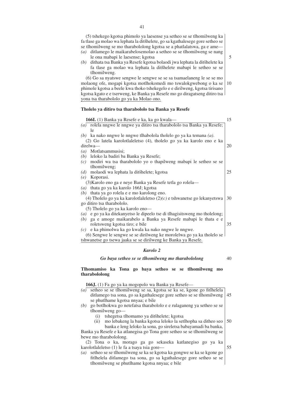(5) tshekego kgotsa phimolo ya laesense ya setheo se se tlhomilweng ka fa tlase ga molao wa lephata la ditšhelete, go sa kgathalesege gore setheo se se tlhomilweng se mo tharabololong kgotsa se a phatlalatswa, ga e ame— *(a)* ditlamego le maikarabelosemolao a setheo se se tlhomilweng se nang

- le ona mabapi le laesense; kgotsa
- *(b)* dithata tsa Banka ya Resefe kgotsa bolaodi jwa lephata la ditšhelete ka fa tlase ga molao wa lephata la ditšhelete mabapi le setheo se se tlhomilweng.

(6) Go sa nyatswe sengwe le sengwe se se sa tsamaelaneng le se se mo molaong ofe, mogapi kgotsa motlhokomedi mo tswalokgwebong o ka se phimole kgotsa a beele kwa thoko tshekegelo e e dirilweng, kgotsa tirisano kgotsa kgato e e tserweng, ke Banka ya Resefe mo go diragatseng ditiro tsa yona tsa tharabololo go ya ka Molao ono. 10

# **Tholelo ya ditiro tsa tharabololo tsa Banka ya Resefe**

| 166I. (1) Banka ya Resefe e ka, ka go kwala—                               | 15 |
|----------------------------------------------------------------------------|----|
| (a) rolela nngwe le nngwe ya ditiro tsa tharabololo tsa Banka ya Resefe;   |    |
| 1e                                                                         |    |
| (b) ka nako nngwe le nngwe tlhabolola tholelo go ya ka temana $(a)$ .      |    |
| (2) Go latela karolotlaleletso (4), tholelo go ya ka karolo eno e ka       |    |
| direlwa-                                                                   | 20 |
| $(a)$ Motlatsammusisi;                                                     |    |
| (b) leloko la badiri ba Banka ya Resefe;                                   |    |
| $(c)$ modiri wa tsa tharabololo yo o thapilweng mabapi le setheo se se     |    |
| tlhomilweng;                                                               |    |
| molaodi wa lephata la ditšhelete; kgotsa<br>(d)                            | 25 |
| $(e)$ Koporasi.                                                            |    |
| (3) Karolo eno ga e neye Banka ya Resefe tetla go rolela—                  |    |
| (a) thata go ya ka karolo 166J; kgotsa                                     |    |
| $(b)$ thata ya go rolela e e mo karolong eno.                              |    |
| (4) Tholelo go ya ka karolotlaleletso $(2)(c)$ e tshwanetse go lekanyetswa | 30 |
| go ditiro tsa tharabololo.                                                 |    |
| (5) Tholelo go ya ka karolo eno—                                           |    |
| (a) e go ya ka ditekanyetso le dipeelo tse di thagisits weng mo tholelong; |    |
| ga e amoge maikarabelo a Banka ya Resefe mabapi le thata e e<br>(b)        |    |
| roletsweng kgotsa tiro; e bile                                             | 35 |
| e ka phimolwa ka go kwala ka nako nngwe le nngwe.<br>(c)                   |    |
| (6) Sengwe le sengwe se se dirilweng ke morolelwa go ya ka tholelo se      |    |
| tshwanetse go tsewa jaaka se se dirilweng ke Banka ya Resefe.              |    |

# *Karolo 2*

*Go baya setheo se se tlhomilweng mo tharabololong*

40

**Tlhomamiso ka Tona go baya setheo se se tlhomilweng mo tharabololong**

**166J.** (1) Fa go ya ka mogopolo wa Banka ya Resefe—

- *(a)* setheo se se tlhomilweng se sa, kgotsa se ka se, kgone go fitlhelela ditlamego tsa sona, go sa kgathalesege gore setheo se se tlhomilweng se phutlhame kgotsa nnyaa; e bile 45
- *(b)* go botlhokwa go netefatsa tharabololo e e rulaganeng ya setheo se se tlhomilweng go—
	- (i) tshegetsa tlhomamo ya ditšhelete; kgotsa
- (ii) mo lebakeng la banka kgotsa leloko la setlhopha sa ditheo seo banka e leng leloko la sona, go sireletsa babayamadi ba banka, Banka ya Resefe e ka atlanegisa go Tona gore setheo se se tlhomilweng se bewe mo tharabololong. 50

(2) Tona o ka, morago ga go sekaseka katlanegiso go ya ka karolotlaleletso (1) le fa a tsaya tsia gore— 55

*(a)* setheo se se tlhomilweng se ka se kgotsa ka gongwe se ka se kgone go fitlhelela ditlamego tsa sona, go sa kgathalesege gore setheo se se tlhomilweng se phutlhame kgotsa nnyaa; e bile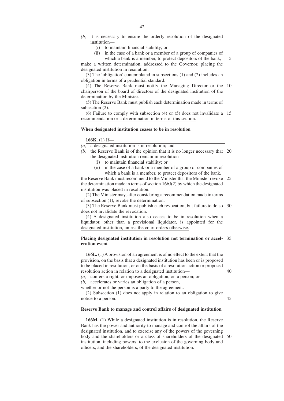- *(b)* it is necessary to ensure the orderly resolution of the designated institution-
	- (i) to maintain financial stability; or
	- (ii) in the case of a bank or a member of a group of companies of which a bank is a member, to protect depositors of the bank,

5

make a written determination, addressed to the Governor, placing the designated institution in resolution.

(3) The 'obligation' contemplated in subsections (1) and (2) includes an obligation in terms of a prudential standard.

(4) The Reserve Bank must notify the Managing Director or the chairperson of the board of directors of the designated institution of the determination by the Minister. 10

(5) The Reserve Bank must publish each determination made in terms of subsection  $(2)$ .

(6) Failure to comply with subsection (4) or (5) does not invalidate a  $\vert$  15 recommendation or a determination in terms of this section.

#### **When designated institution ceases to be in resolution**

## **166K.** (1) If—

*(a)* a designated institution is in resolution; and

- *(b)* the Reserve Bank is of the opinion that it is no longer necessary that the designated institution remain in resolution— 20
	- (i) to maintain financial stability; or
	- (ii) in the case of a bank or a member of a group of companies of which a bank is a member, to protect depositors of the bank,

the Reserve Bank must recommend to the Minister that the Minister revoke the determination made in terms of section 166J(2) by which the designated institution was placed in resolution. 25

(2) The Minister may, after considering a recommendation made in terms of subsection (1), revoke the determination.

(3) The Reserve Bank must publish each revocation, but failure to do so does not invalidate the revocation. 30

(4) A designated institution also ceases to be in resolution when a liquidator, other than a provisional liquidator, is appointed for the designated institution, unless the court orders otherwise.

#### **Placing designated institution in resolution not termination or accel-**35 **eration event**

**166L.** (1) A provision of an agreement is of no effect to the extent that the provision, on the basis that a designated institution has been or is proposed to be placed in resolution, or on the basis of a resolution action or proposed resolution action in relation to a designated institution— *(a)* confers a right, or imposes an obligation, on a person; or *(b)* accelerates or varies an obligation of a person, whether or not the person is a party to the agreement. 40

(2) Subsection (1) does not apply in relation to an obligation to give notice to a person. 45

# **Reserve Bank to manage and control affairs of designated institution**

**166M.** (1) While a designated institution is in resolution, the Reserve Bank has the power and authority to manage and control the affairs of the designated institution, and to exercise any of the powers of the governing body and the shareholders or a class of shareholders of the designated institution, including powers, to the exclusion of the governing body and officers, and the shareholders, of the designated institution. 50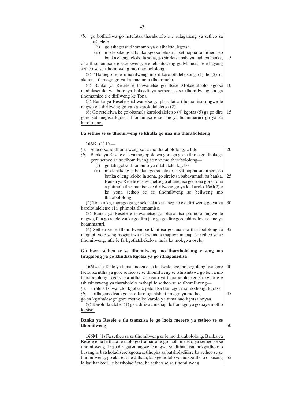- *(b)* go botlhokwa go netefatsa tharabololo e e rulaganeng ya setheo sa ditšhelete-
	- (i) go tshegetsa tlhomamo ya ditšhelete; kgotsa
	- (ii) mo lebakeng la banka kgotsa leloko la setlhopha sa ditheo seo

banka e leng leloko la sona, go sireletsa babayamadi ba banka, dira tlhomamiso e e kwetsweng, e e lebisitsweng go Mmusisi, e e bayang setheo se se tlhomilweng mo tharabololong. 5

(3) 'Tlamego' e e umakilweng mo dikarolotlaleletsong (1) le (2) di akaretsa tlamego go ya ka maemo a tlhokomelo.

(4) Banka ya Resefe e tshwanetse go itsise Mokaeditaolo kgotsa modulasetulo wa boto ya bakaedi ya setheo se se tlhomilweng ka ga tlhomamiso e e dirilweng ke Tona. 10

(5) Banka ya Resefe e tshwanetse go phasalatsa tlhomamiso nngwe le nngwe e e dirilweng go ya ka karolotlaleletso (2).

(6) Go retelelwa ke go obamela karolotlaleletso (4) kgotsa (5) ga go dire gore katlanegiso kgotsa tlhomamiso e se nne ya boammaruri go ya ka karolo eno. 15

#### **Fa setheo se se tlhomilweng se khutla go nna mo tharabololong**

# **166K.** (1) Fa—

 $(a)$  setheo se se tlhomilweng se le mo tharabololong; e bile *(b)* Banka ya Resefe e le ya mogopolo wa gore ga go sa tlhole go tlhokega

gore setheo se se tlhomilweng se nne mo tharabololong—

- (i) go tshegetsa tlhomamo ya ditšhelete; kgotsa
- (ii) mo lebakeng la banka kgotsa leloko la setlhopha sa ditheo seo banka e leng leloko la sona, go sireletsa babayamadi ba banka, Banka ya Resefe e tshwanetse go atlanegisa go Tona gore Tona a phimole tlhomamiso e e dirilweng go ya ka karolo 166J(2) e ka yona setheo se se tlhomilweng se beilweng mo tharabololong. 25

20

(2) Tona o ka, morago ga go sekaseka katlanegiso e e dirilweng go ya ka karolotlaleletso (1), phimola tlhomamiso. 30

(3) Banka ya Resefe e tshwanetse go phasalatsa phimolo nngwe le nngwe, fela go retelelwa ke go dira jalo ga go dire gore phimolo e se nne ya boammaruri.

(4) Setheo se se tlhomilweng se khutlisa go nna mo tharabololong fa mogapi, yo e seng mogapi wa nakwana, a thapiwa mabapi le setheo se se tlhomilweng, ntle le fa kgotlatshekelo e laela ka mokgwa osele. 35

## **Go baya setheo se se tlhomilweng mo tharabololong e seng mo tiragalong ya go khutlisa kgotsa ya go itlhaganedisa**

**166L.** (1) Taelo ya tumalano ga e na kutlwalo epe mo bogolong jwa gore 40 taelo, ka ntlha ya gore setheo se se tlhomilweng se tshitsintswe go bewa mo tharabololong, kgotsa ka ntlha ya kgato ya tharabololo kgotsa kgato e e tshitsintsweng ya tharabololo mabapi le setheo se se tlhomilweng— *(a)* e rolela tshwanelo, kgotsa e pateletsa tlamego, mo mothong; kgotsa *(b)* e itlhaganedisa kgotsa e farologantsha tlamego ya motho, go sa kgathalesege gore motho ke karolo ya tumalano kgotsa nnyaa. 45

(2) Karolotlaleletso (1) ga e diriswe mabapi le tlamego ya go naya motho kitsiso.

#### **Banka ya Resefe e tla tsamaisa le go laola merero ya setheo se se tlhomilweng** 50

**166M.** (1) Fa setheo se se tlhomilweng se le mo tharabololong, Banka ya Resefe e na le thata le taolo go tsamaisa le go laola merero ya setheo se se tlhomilweng, le go diragatsa nngwe le nngwe ya dithata tsa mokgatlho o o busang le batsholadišere kgotsa setlhopha sa batsholadišere ba setheo se se tlhomilweng, go akaretsa le dithata, ka kgethololo ya mokgatlho o o busang le batlhankedi, le batsholadišere, ba setheo se se tlhomilweng. 55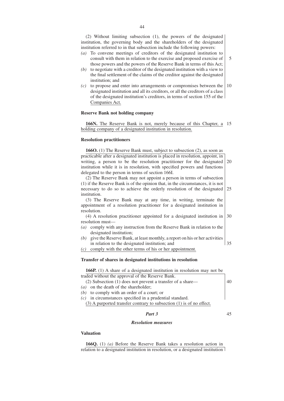(2) Without limiting subsection (1), the powers of the designated institution, the governing body and the shareholders of the designated institution referred to in that subsection include the following powers:

- *(a)* To convene meetings of creditors of the designated institution to consult with them in relation to the exercise and proposed exercise of those powers and the powers of the Reserve Bank in terms of this Act; 5
- *(b)* to negotiate with a creditor of the designated institution with a view to the final settlement of the claims of the creditor against the designated institution; and
- *(c)* to propose and enter into arrangements or compromises between the designated institution and all its creditors, or all the creditors of a class of the designated institution's creditors, in terms of section 155 of the Companies Act. 10

## **Reserve Bank not holding company**

166N. The Reserve Bank is not, merely because of this Chapter, a 15 holding company of a designated institution in resolution.

#### **Resolution practitioners**

**166O.** (1) The Reserve Bank must, subject to subsection (2), as soon as practicable after a designated institution is placed in resolution, appoint, in writing, a person to be the resolution practitioner for the designated institution while it is in resolution, with specified powers and functions delegated to the person in terms of section 166I. (2) The Reserve Bank may not appoint a person in terms of subsection (1) if the Reserve Bank is of the opinion that, in the circumstances, it is not necessary to do so to achieve the orderly resolution of the designated institution. (3) The Reserve Bank may at any time, in writing, terminate the appointment of a resolution practitioner for a designated institution in resolution. (4) A resolution practitioner appointed for a designated institution in resolution must— *(a)* comply with any instruction from the Reserve Bank in relation to the designated institution; *(b)* give the Reserve Bank, at least monthly, a report on his or her activities in relation to the designated institution; and 20 25 30 35

*(c)* comply with the other terms of his or her appointment.

#### **Transfer of shares in designated institutions in resolution**

| <b>166P.</b> (1) A share of a designated institution in resolution may not be                |  |
|----------------------------------------------------------------------------------------------|--|
| traded without the approval of the Reserve Bank.                                             |  |
| $(2)$ Subsection $(1)$ does not prevent a transfer of a share—                               |  |
| $(a)$ on the death of the shareholder;                                                       |  |
| $(b)$ to comply with an order of a court; or                                                 |  |
| in circumstances specified in a prudential standard.<br>(c)                                  |  |
| $(2)$ A monotonical topology controvers to proposation (1) in all $\alpha \in \mathbb{C}$ at |  |

 $(3)$  A purported transfer contrary to subsection  $(1)$  is of no effect.

#### *Part 3*

45

#### *Resolution measures*

# **Valuation**

**166Q.** (1) *(a)* Before the Reserve Bank takes a resolution action in relation to a designated institution in resolution, or a designated institution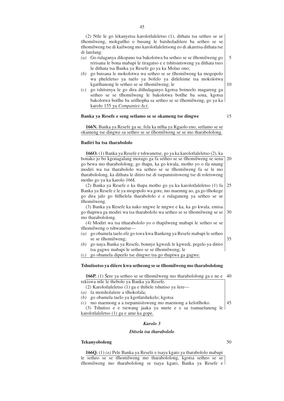(2) Ntle le go lekanyetsa karolotlaleletso (1), dithata tsa setheo se se tlhomilweng, mokgatlho o busang le batsholadišere ba setheo se se tlhomilweng tse di kailweng mo karolotlaleletsong eo di akaretsa dithata tse di latelang:

- *(a)* Go rulaganya dikopano tsa bakolotwa ba setheo se se tlhomilweng go rerisana le bona mabapi le tiragatso e e tshitsintsweng ya dithata tseo le dithata tsa Banka ya Resefe go ya ka Molao ono; 5
- *(b)* go buisana le mokolotwa wa setheo se se tlhomilweng ka mogopolo wa pheleletso ya tuelo ya bofelo ya ditleleime tsa mokolotwa kgatlhanong le setheo se se tlhomilweng; le
- *(c)* go tshitsinya le go dira dithulaganyo kgotsa boineelo magareng ga setheo se se tlhomilweng le bakolotwa botlhe ba sona, kgotsa bakolotwa botlhe ba setlhopha sa setheo se se tlhomilweng, go ya ka karolo 155 ya *Companies Act*.

## **Banka ya Resefe e seng setlamo se se okameng tse dingwe**

15

10

**166N.** Banka ya Resefe ga se, fela ka ntlha ya Kgaolo eno, setlamo se se okameng tse dingwe sa setheo se se tlhomilweng se se mo tharabololong.

## **Badiri ba tsa tharabololo**

**166O.** (1) Banka ya Resefe e tshwanetse, go ya ka karolotlaleletso (2), ka bonako jo bo kgonagalang morago ga fa setheo se se tlhomilweng se sena go bewa mo tharabololong, go thapa, ka go kwala, motho yo o tla nnang modiri wa tsa tharabololo wa setheo se se tlhomilweng fa se le mo tharabololong, ka dithata le ditiro tse di tsepamisitsweng tse di roletsweng motho go ya ka karolo 166I. 20

(2) Banka ya Resefe e ka thapa motho go ya ka karolotlaleletso (1) fa Banka ya Resefe e le ya mogopolo wa gore, mo maemng ao, ga go tlhokege go dira jalo go fitlhelela tharabololo e e rulaganeng ya setheo se se tlhomilweng. 25

(3) Banka ya Resefe ka nako nngwe le nngwe e ka, ka go kwala, emisa go thapiwa ga modiri wa tsa tharabololo wa setheo se se tlhomilweng se se mo tharabololong. 30

(4) Modiri wa tsa ttharabololo yo o thapilweng mabapi le setheo se se tlhomilweng o tshwanetse—

- *(a)* go obamela taelo efe go tswa kwa Bankeng ya Resefe mabapi le setheo se se tlhomilweng;
- *(b)* go naya Banka ya Resefe, bonnye kgwedi le kgwedi, pegelo ya ditiro tsa gagwe mabapi le setheo se se tlhomilweng; le

*(c)* go obamela dipeelo tse dingwe tsa go thapiwa ga gagwe.

#### Tshutisetso ya dišere kwa setheong se se tlhomilweng mo tharabololong

**166P.** (1) Sere ya setheo se se tlhomilweng mo tharabololong ga e ne e  $40$ rekiswa ntle le thebolo ya Banka ya Resefe. (2) Karolotlaleletso (1) ga e thibele tshutiso ya šere—

- *(a)* fa motsholašere a tlhokofala;
- *(b)* go obamela taelo ya kgotlatshekelo; kgotsa

*(c)* mo maemong a a tsepamisitsweng mo maemong a kelotlhoko. (3) Tshutiso e e tsewang jaaka ya nnete e e sa tsamaelaneng le karolotlaleletso (1) ga e ame ka gope. 45

# *Karolo 3*

#### *Ditsela tsa tharabololo*

#### **Tekanyoboleng**

**166Q.** (1) *(a)* Pele Banka ya Resefe e tsaya kgato ya tharabololo mabapi le setheo se se tlhomilweng mo tharabololong, kgotsa setheo se se tlhomilweng mo tharabololong se tsaya kgato, Banka ya Resefe e

## 50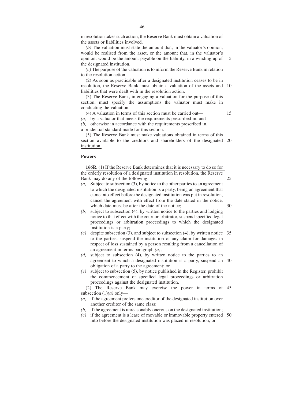in resolution takes such action, the Reserve Bank must obtain a valuation of the assets or liabilities involved.

*(b)* The valuation must state the amount that, in the valuator's opinion, would be realised from the asset, or the amount that, in the valuator's opinion, would be the amount payable on the liability, in a winding up of the designated institution.

*(c)* The purpose of the valuation is to inform the Reserve Bank in relation to the resolution action.

(2) As soon as practicable after a designated institution ceases to be in resolution, the Reserve Bank must obtain a valuation of the assets and liabilities that were dealt with in the resolution action. 10

(3) The Reserve Bank, in engaging a valuation for the purpose of this section, must specify the assumptions the valuator must make in conducting the valuation.

(4) A valuation in terms of this section must be carried out—

15

5

*(a)* by a valuator that meets the requirements prescribed in; and *(b)* otherwise in accordance with the requirements prescribed in, a prudential standard made for this section.

(5) The Reserve Bank must make valuations obtained in terms of this section available to the creditors and shareholders of the designated 20 institution.

#### **Powers**

**166R.** (1) If the Reserve Bank determines that it is necessary to do so for the orderly resolution of a designated institution in resolution, the Reserve Bank may do any of the following: *(a)* Subject to subsection (3), by notice to the other parties to an agreement 25

- to which the designated institution is a party, being an agreement that came into effect before the designated institution was put in resolution, cancel the agreement with effect from the date stated in the notice, which date must be after the date of the notice;
- *(b)* subject to subsection (4), by written notice to the parties and lodging notice to that effect with the court or arbitrator, suspend specified legal proceedings or arbitration proceedings to which the designated institution is a party;
- *(c)* despite subsection (3), and subject to subsection (4), by written notice to the parties, suspend the institution of any claim for damages in respect of loss sustained by a person resulting from a cancellation of an agreement in terms paragraph *(a)*; 35
- *(d)* subject to subsection (4), by written notice to the parties to an agreement to which a designated institution is a party, suspend an obligation of a party to the agreement; or 40
- *(e)* subject to subsection (5), by notice published in the Register, prohibit the commencement of specified legal proceedings or arbitration proceedings against the designated institution.

(2) The Reserve Bank may exercise the power in terms of subsection (1)*(a)* only— 45

- *(a)* if the agreement prefers one creditor of the designated institution over another creditor of the same class;
- *(b)* if the agreement is unreasonably onerous on the designated institution;
- *(c)* if the agreement is a lease of movable or immovable property entered into before the designated institution was placed in resolution; or 50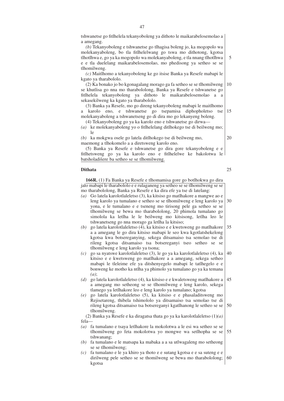tshwanetse go fitlhelela tekanyoboleng ya dithoto le maikarabelosemolao a a amegang.

*(b)* Tekanyoboleng e tshwanetse go tlhagisa boleng jo, ka mogopolo wa molekanyaboleng, bo tla fitlhelelwang go tswa mo dithotong, kgotsa tlhotlhwa e, go ya ka mogopolo wa molekanyaboleng, e tla nnang tlhotlhwa e e tla duelelang maikarabelosemolao, mo phedisong ya setheo se se tlhomilweng.

*(c)* Maitlhomo a tekanyoboleng ke go itsise Banka ya Resefe mabapi le kgato ya tharabololo.

(2) Ka bonako jo bo kgonagalang morago ga fa setheo se se tlhomilweng se khutlisa go nna mo tharabololong, Banka ya Resefe e tshwanetse go fitlhelela tekanyoboleng ya dithoto le maikarabelosemolao a a sekasekilweng ka kgato ya tharabololo. 10

(3) Banka ya Resefe, mo go direng tekanyoboleng mabapi le maitlhomo a karolo eno, e tshwanetse go tsepamisa diphopholetso tse molekanyaboleng a tshwanetseng go di dira mo go lekanyeng boleng. 15

(4) Tekanyoboleng go ya ka karolo eno e tshwanetse go dirwa—

*(a)* ke molekanyaboleng yo o fitlhelelang ditlhokego tse di beilweng mo; le

*(b)* ka mokgwa osele go latela ditlhokego tse di beilweng mo, maemong a tlhokomelo a a diretsweng karolo eno.

(5) Banka ya Resefe e tshwanetse go dira gore tekanyoboleng e e fitlhetsweng go ya ka karolo eno e fitlhelelwe ke bakolotwa le batsholadišere ba setheo se se tlhomilweng.

# **Dithata**

**166R.** (1) Fa Banka ya Resefe e tlhomamisa gore go botlhokwa go dira jalo mabapi le tharabololo e e rulaganeng ya setheo se se tlhomilweng se se mo tharabololong, Banka ya Resefe e ka dira efe ya tse di latelang:

- *(a)* Go latela karolotlaleletso (3), ka kitsiso go matlhakore a mangwe ao e leng karolo ya tumalano e setheo se se tlhomilweng e leng karolo ya yona, e le tumalano e e tseneng mo tirisong pele ga setheo se se tlhomilweng se bewa mo tharabololong, 20 phimola tumalano go simolola ka letlha le le beilweng mo kitsisong, letlha leo le tshwanetseng go nna morago ga letlha la kitsiso; 30
- *(b)* go latela karolotlaleletso (4), ka kitsiso e e kwetsweng go matlhakore a a amegang le go dira kitsiso mabapi le seo kwa kgotlatshekelong kgotsa kwa botsereganying, sekega ditsamaiso tsa semolao tse di rileng kgotsa ditsamaiso tsa botsereganyi tseo setheo se se tlhomilweng e leng karolo ya tsona; 35
- *(c)* go sa nyatswe karolotlaleletso (3), le go ya ka karolotlaleletso (4), ka kitsiso e e kwetsweng go matlhakore a a amegang, sekega setheo mabapi le tleleime efe ya ditshenyegelo mabapi le tatlhegelo e e bonweng ke motho ka ntlha ya phimolo ya tumalano go ya ka temana *(a)*; 40
- *(d)* go latela karolotlaleletso (4), ka kitsiso e e kwaletsweng matlhakore a a amegang mo setheong se se tlhomilweng e leng karolo, sekega tlamego ya letlhakore leo e leng karolo ya tumalano; kgotsa 45
- *(e)* go latela karolotlaleletso (5), ka kitsiso e e phasaladitsweng mo Rejisetareng, thibela tshimololo ya ditsamaiso tsa semolao tse di rileng kgotsa ditsamaiso tsa botsereganyi kgatlhanong le setheo se se tlhomilweng. 50

(2) Banka ya Resefe e ka diragatsa thata go ya ka karolotlaleletso (1)*(a)* fela—

- *(a)* fa tumalano e tsaya letlhakore la mokolotwa a le esi wa setheo se se tlhomilweng go feta mokolotwa yo mongwe wa setlhopha se se tshwanang; 55
- *(b)* fa tumalano e le matsapa ka mabaka a a sa utlwagaleng mo setheong se se tlhomilweng;
- *(c)* fa tumalano e le ya khiro ya thoto e e sutang kgotsa e e sa suteng e e dirilweng pele setheo se se thomilweng se bewa mo tharabololong; kgotsa 60

25

20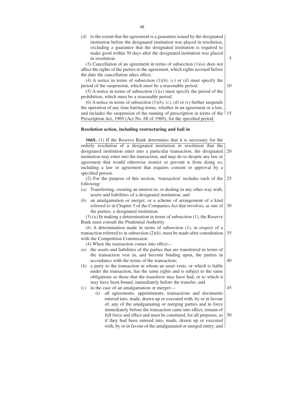*(d)* to the extent that the agreement is a guarantee issued by the designated institution before the designated institution was placed in resolution, excluding a guarantee that the designated institution is required to make good within 30 days after the designated institution was placed in resolution.

(3) Cancellation of an agreement in terms of subsection (1)*(a)* does not affect the rights of the parties to the agreement, which rights accrued before the date the cancellation takes effect.

(4) A notice in terms of subsection (1)*(b)*, *(c)* or *(d)* must specify the period of the suspension, which must be a reasonable period.

(5) A notice in terms of subsection (1)*(e)* must specify the period of the prohibition, which must be a reasonable period.

(6) A notice in terms of subsection  $(1)(b)$ ,  $(c)$ ,  $(d)$  or  $(e)$  further suspends the operation of any time barring terms, whether in an agreement or a law, and includes the suspension of the running of prescription in terms of the 15 Prescription Act, 1969 (Act No. 68 of 1969), for the specified period.

#### **Resolution action, including restructuring and bail in**

**166S.** (1) If the Reserve Bank determines that it is necessary for the orderly resolution of a designated institution in resolution that the designated institution enter into a particular transaction, the designated institution may enter into the transaction, and may do so despite any law or agreement that would otherwise restrict or prevent it from doing so, including a law or agreement that requires consent or approval by a specified person. 20

(2) For the purpose of this section, 'transaction' includes each of the following: 25

- *(a)* Transferring, creating an interest in, or dealing in any other way with, assets and liabilities of a designated institution; and
- *(b)* an amalgamation or merger, or a scheme of arrangement of a kind referred to in Chapter 5 of the Companies Act that involves, as one of the parties, a designated institution. 30

(3) *(a)* In making a determination in terms of subsection (1), the Reserve Bank must consult the Prudential Authority.

*(b)* A determination made in terms of subsection (1), in respect of a transaction referred to in subsection  $(2)(b)$ , must be made after consultation with the Competition Commission. 35

(4) When the transaction comes into effect—

- *(a)* the assets and liabilities of the parties that are transferred in terms of the transaction vest in, and become binding upon, the parties in accordance with the terms of the transaction;
- *(b)* a party to the transaction in whom an asset vests, or which is liable under the transaction, has the same rights and is subject to the same obligations as those that the transferor may have had, or to which it may have been bound, immediately before the transfer; and
- *(c)* in the case of an amalgamation or merger—
	- (i) all agreements, appointments, transactions and documents entered into, made, drawn up or executed with, by or in favour of, any of the amalgamating or merging parties and in force immediately before the transaction came into effect, remain of full force and effect and must be construed, for all purposes, as if they had been entered into, made, drawn up or executed with, by or in favour of the amalgamated or merged entity; and 50

48

40

45

5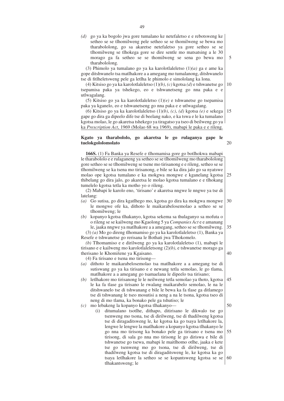*(d)* go ya ka bogolo jwa gore tumalano ke netefaletso e e rebotsweng ke setheo se se tlhomilweng pele setheo se se thomilweng se bewa mo tharabololong, go sa akaretse netefaletso ya gore setheo se se tlhomilweng se tlhokega gore se dire sentle mo matsatsing a le 30 morago ga fa setheo se se thomilweng se sena go bewa mo tharabololong.

(3) Phimolo ya tumalano go ya ka karolotlaleletso (1)*(a)* ga e ame ka gope ditshwanelo tsa matlhakore a a amegang mo tumalanong, ditshwanelo tse di fitlheletsweng pele ga letlha le phimolo e simololang ka lona.

(4) Kitsiso go ya ka karolotlaleletso (1)*(b)*, *(c)* kgotsa *(d)* e tshwanetse go tsepamisa paka ya tshekego, eo e tshwanetseng go nna paka e e utlwagalang.

(5) Kitsiso go ya ka karolotlaleletso (1)*(e)* e tshwanetse go tsepamisa paka ya kganelo, eo e tshwanetseng go nna paka e e utlwagalang.

(6) Kitsiso go ya ka karolotlaleletso (1)*(b)*, *(c)*, *(d)* kgotsa *(e)* e sekega gape go dira ga dipeelo dife tse di beelang nako, e ka tswa e le ka tumalano kgotsa molao, le go akaretsa tshekego ya tiragatso ya tseo di beilweng go ya ka *Prescription Act*, 1969 (Molao 68 wa 1969), mabapi le paka e e rileng. 15

#### **Kgato ya tharabololo, go akaretsa le go rulaganya gape le tuelokgololomolato**

(2) Mabapi le karolo eno, 'tirisano' e akaretsa nngwe le nngwe ya tse di *(a)* Go sutisa, go dira kgatlhego mo, kgotsa go dira ka mokgwa mongwe le mongwe ofe ka, dithoto le maikarabelosemolao a setheo se se tlhomilweng; le *(b)* kopanyo kgotsa tlhakanyo, kgotsa sekema sa thulaganyo sa mofuta o o rileng se se kailweng mo Kgaolong 5 ya *Companies Act* e e amanang le, jaaka nngwe ya matlhakore a a amegang, setheo se se tlhomilweng. (3) *(a)* Mo go direng tlhomamiso go ya ka karolotlaleletso (1), Banka ya (4) Fa tirisano e tsena mo tirisong— *(a)* dithoto le maikarabelosemolao tsa matlhakore a a amegang tse di sutiswang go ya ka tirisano e e newang tetla semolao, le go tlama, matlhakore a a amegang go tsamaelana le dipeelo tsa tirisano; *(b)* letlhakore mo tirisanong le le neilweng tetla semolao ya thoto, kgotsa le ka fa tlase ga tirisano le rwalang maikarabelo semolao, le na le ditshwanelo tse di tshwanang e bile le bewa ka fa tlase ga ditlamego tse di tshwanang le tseo mosutisi a neng a na le tsona, kgotsa tseo di neng di mo tlama, ka bonako pele ga tshutiso; le *(c)* mo lebakeng la kopanyo kgotsa tlhakanyo— (i) ditumalano tsotlhe, dithapo, ditirisano le dikwalo tse go tsenweng mo tsona, tse di dirilweng, tse di thadilweng kgotsa tse di diragaditsweng le, ke kgotsa ka go tsaya letlhakore la, lengwe le lengwe la matlhakore a kopanyo kgotsa tlhakanyo le go nna mo tirisong ka bonako pele ga tirisano e tsena mo tirisong, di sala go nna mo tirisong le go diriswa e bile di tshwanetse go tsewa, mabapi le maitlhomo otlhe, jaaka e kete tse go tsenweng mo go tsona, tse di dirilweng, tse di thadilweng kgotsa tse di diragaditsweng le, ke kgotsa ka go tsaya letlhakore la setheo se se kopantsweng kgotsa se se tlhakantsweng; le 25 40 45 55 60

**166S.** (1) Fa Banka ya Resefe e tlhomamisa gore go botlhokwa mabapi le tharabololo e e rulaganeng ya setheo se se tlhomilweng mo tharabololong gore setheo se se tlhomilweng se tsene mo tirisanong e e rileng, setheo se se tlhomilweng se ka tsena mo tirisanong, e bile se ka dira jalo go sa nyatswe molao ope kgotsa tumalano e ka mokgwa mongwe e kganelang kgotsa thibelang go dira jalo, go akaretsa le molao kgotsa tumalano e e tlhokang tumelelo kgotsa tetla ka motho yo o rileng.

latelang:

- 30
- 35

Resefe e tshwanetse go rerisana le Bothati jwa Tlhokomelo.

*(b)* Tlhomamiso e e dirilweng go ya ka karolotlaleletso (1), mabapi le tirisano e e kailweng mo karolotlaleletsong (2)*(b)*, e tshwanetse morago ga therisano le Khomišene ya Kgaisano.

49

5

10

20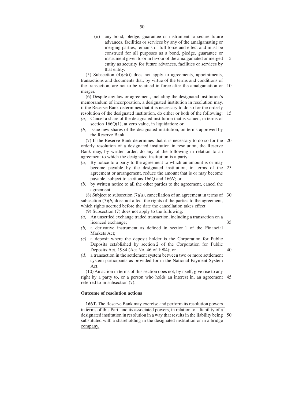(ii) any bond, pledge, guarantee or instrument to secure future advances, facilities or services by any of the amalgamating or merging parties, remains of full force and effect and must be construed for all purposes as a bond, pledge, guarantee or instrument given to or in favour of the amalgamated or merged entity as security for future advances, facilities or services by that entity.

5

15

35

40

(5) Subsection  $(4)/(c)(i)$  does not apply to agreements, appointments, transactions and documents that, by virtue of the terms and conditions of the transaction, are not to be retained in force after the amalgamation or merger. 10

(6) Despite any law or agreement, including the designated institution's memorandum of incorporation, a designated institution in resolution may, if the Reserve Bank determines that it is necessary to do so for the orderly resolution of the designated institution, do either or both of the following:

- *(a)* Cancel a share of the designated institution that is valued, in terms of section 166Q(1), at zero value, in liquidation; or
- *(b)* issue new shares of the designated institution, on terms approved by the Reserve Bank.

(7) If the Reserve Bank determines that it is necessary to do so for the orderly resolution of a designated institution in resolution, the Reserve Bank may, by written order, do any of the following in relation to an agreement to which the designated institution is a party: 20

- *(a)* By notice to a party to the agreement to which an amount is or may become payable by the designated institution, in terms of the agreement or arrangement, reduce the amount that is or may become payable, subject to sections 166Q and 166V; or 25
- *(b)* by written notice to all the other parties to the agreement, cancel the agreement.

(8) Subject to subsection (7)*(a)*, cancellation of an agreement in terms of subsection  $(7)(b)$  does not affect the rights of the parties to the agreement, which rights accrued before the date the cancellation takes effect. 30

(9) Subsection (7) does not apply to the following:

- *(a)* An unsettled exchange traded transaction, including a transaction on a licenced exchange;
- *(b)* a derivative instrument as defined in section 1 of the Financial Markets Act;
- *(c)* a deposit where the deposit holder is the Corporation for Public Deposits established by section 2 of the Corporation for Public Deposits Act, 1984 (Act No. 46 of 1984); or
- *(d)* a transaction in the settlement system between two or more settlement system participants as provided for in the National Payment System Act.

(10) An action in terms of this section does not, by itself, give rise to any right by a party to, or a person who holds an interest in, an agreement 45 referred to in subsection (7).

#### **Outcome of resolution actions**

**166T.** The Reserve Bank may exercise and perform its resolution powers in terms of this Part, and its associated powers, in relation to a liability of a designated institution in resolution in a way that results in the liability being 50 substituted with a shareholding in the designated institution or in a bridge company.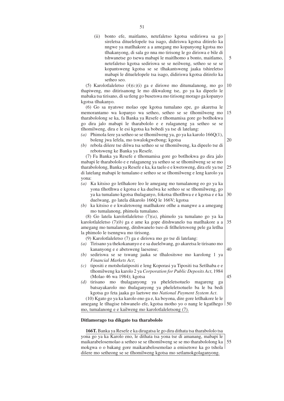(ii) bonto efe, maitlamo, netefaletso kgotsa sediriswa sa go sireletsa dituelelopele tsa isago, didiriswa kgotsa ditirelo ka nngwe ya matlhakore a a amegang mo kopanyong kgotsa mo tlhakanyong, di sala go nna mo tirisong le go diriswa e bile di tshwanetse go tsewa mabapi le maitlhomo a bonto, maitlamo, netefaletso kgotsa sediriswa se se neilweng, setheo se se se kopantsweng kgotsa se se tlhakantsweng jaaka tshireletso mabapi le dituelelopele tsa isago, didiriswa kgotsa ditirelo ka setheo seo.

5

(5) Karolotlaleletso (4)*(c)*(i) ga e diriswe mo ditumalanong, mo go thapiweng, mo ditirisanong le mo dikwalong tse, go ya ka dipeelo le mabaka tsa tirisano, di sa tleng go busetswa mo tirisong morago ga kopanyo kgotsa tlhakanyo. 10

(6) Go sa nyatswe molao ope kgotsa tumalano epe, go akaretsa le memorantamo wa kopanyo wa setheo, setheo se se tlhomilweng mo tharabololong se ka, fa Banka ya Resefe e tlhomamisa gore go botlhokwa go dira jalo mabapi le tharabololo e e rulaganeng ya setheo se se tlhomilweng, dira e le esi kgotsa ka bobedi ya tse di latelang: 15

- (a) Phimola šere ya setheo se se tlhomilweng ya, go ya ka karolo  $166O(1)$ , boleng jwa lefela, mo tswalokgwebong; kgotsa 20
- *(b)* rebola dišere tse dišwa tsa setheo se se tlhomilweng, ka dipeelo tse di rebotsweng ke Banka ya Resefe.

(7) Fa Banka ya Resefe e tlhomamisa gore go botlhokwa go dira jalo mabapi le tharabololo e e rulaganeng ya setheo se se tlhomilweng se se mo tharabololong, Banka ya Resefe e ka, ka taelo e e kwetsweng, dira efe ya tse di latelang mabapi le tumalano e setheo se se tlhomilweng e leng karolo ya yona: 25

- *(a)* Ka kitsiso go letlhakore leo le amegang mo tumalanong eo go ya ka yona tlhotlhwa e kgotsa e ka duelwa ke setheo se se tlhomilweng, go ya ka tumalano kgotsa thulaganyo, fokotsa tlhotlhwa e e kgotsa e e ka duelwang, go latela dikarolo 166Q le 166V; kgotsa 30
- *(b)* ka kitsiso e e kwaletsweng matlhakore otlhe a mangwe a a amegang mo tumalanong, phimola tumalano.

(8) Go latela karolotlaleletso (7)*(a)*, phimolo ya tumalano go ya ka karolotlaleletso (7)*(b)* ga e ame ka gope ditshwanelo tsa matlhakore a a amegang mo tumalanong, ditshwanelo tseo di fitlheletsweng pele ga letlha la phimolo le tsenngwa mo tirisong. 35

(9) Karolotlaleletso (7) ga e diriswa mo go tse di latelang:

- *(a)* Tirisano ya thekokananyo e e sa duelelwang, go akaretsa le tirisano mo kananyong e e abetsweng laesense; 40
- *(b)* sediriswa se se tswang jaaka se tlhalositswe mo karolong 1 ya *Financial Markets Act*;
- *(c)* tipositi e motsholatipositi e leng Koporasi ya Tipositi tsa Setšhaba e e tlhomilweng ka karolo 2 ya *Corporation for Public Deposits Act*, 1984 (Molao 46 wa 1984); kgotsa 45
- *(d)* tirisano mo thulaganyong ya pheleletsotuelo magareng ga batsayakarolo mo thulaganyong ya pheleletsotuelo ba le ba bedi kgotsa go feta jaaka go laetswe mo *National Payment System Act*.

(10) Kgato go ya ka karolo eno ga e, ka boyona, dire gore letlhakore le le amegang le tlhagise tshwanelo efe, kgotsa motho yo o nang le kgatlhego 50 mo, tumalanong e e kailweng mo karolotlaleletsong (7).

# **Ditlamorago tsa dikgato tsa tharabololo**

**166T.** Banka ya Resefe e ka diragatsa le go dira dithata tsa tharabololo tsa yona go ya ka Karolo eno, le dithata tsa yona tse di amanang, mabapi le maikarabelosemolao a setheo se se tlhomilweng se se mo tharabololong ka mokgwa o o bakang gore maikarabelosemolao a emisetswe ka go tshola dišere mo setheong se se tlhomilweng kgotsa mo setlamokgolaganyong. 55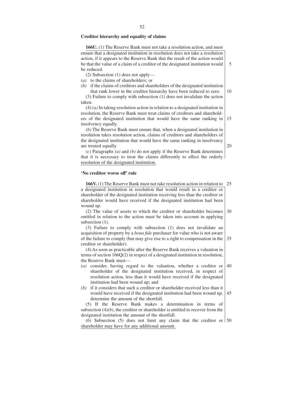#### **Creditor hierarchy and equality of claims**

**166U.** (1) The Reserve Bank must not take a resolution action, and must ensure that a designated institution in resolution does not take a resolution action, if it appears to the Reserve Bank that the result of the action would be that the value of a claim of a creditor of the designated institution would be reduced.

(2) Subsection (1) does not apply—

*(a)* to the claims of shareholders; or

*(b)* if the claims of creditors and shareholders of the designated institution

that rank lower in the creditor hierarchy have been reduced to zero. (3) Failure to comply with subsection (1) does not invalidate the action taken.

(4) *(a)* In taking resolution action in relation to a designated institution in resolution, the Reserve Bank must treat claims of creditors and shareholders of the designated institution that would have the same ranking in insolvency equally.

*(b)* The Reserve Bank must ensure that, when a designated institution in resolution takes resolution action, claims of creditors and shareholders of the designated institution that would have the same ranking in insolvency are treated equally.

*(c)* Paragraphs *(a)* and *(b)* do not apply if the Reserve Bank determines that it is necessary to treat the claims differently to effect the orderly resolution of the designated institution.

#### **'No creditor worse off' rule**

**166V.** (1) The Reserve Bank must not take resolution action in relation to 25 a designated institution in resolution that would result in a creditor or shareholder of the designated institution receiving less than the creditor or shareholder would have received if the designated institution had been wound up.

(2) The value of assets to which the creditor or shareholder becomes entitled in relation to the action must be taken into account in applying subsection  $(1)$ . 30

(3) Failure to comply with subsection (1) does not invalidate an acquisition of property by a *bona fide* purchaser for value who is not aware of the failure to comply (but may give rise to a right to compensation in the 35 creditor or shareholder).

(4) As soon as practicable after the Reserve Bank receives a valuation in terms of section 166Q(2) in respect of a designated institution in resolution, the Reserve Bank must—

- *(a)* consider, having regard to the valuation, whether a creditor or shareholder of the designated institution received, in respect of resolution action, less than it would have received if the designated institution had been wound up; and 40
- *(b)* if it considers that such a creditor or shareholder received less than it would have received if the designated institution had been wound up, determine the amount of the shortfall. 45

(5) If the Reserve Bank makes a determination in terms of subsection (4)*(b)*, the creditor or shareholder is entitled to recover from the designated institution the amount of the shortfall.

(6) Subsection (5) does not limit any claim that the creditor or  $\frac{150}{20}$ shareholder may have for any additional amount.

20

15

5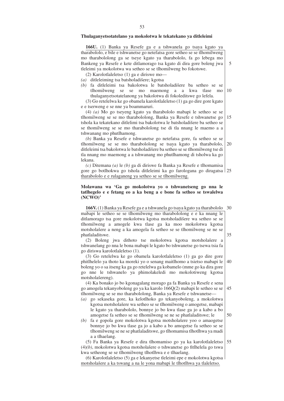#### **Thulaganyetsotatelano ya mokolotwa le tekatekano ya ditleleimi**

**166U.** (1) Banka ya Resefe ga e a tshwanela go tsaya kgato ya tharabololo, e bile e tshwanetse go netefatsa gore setheo se se tlhomilweng mo tharabololong ga se tseye kgato ya tharabololo, fa go lebega mo Bankeng ya Resefe e kete ditlamorago tsa kgato di dira gore boleng jwa tleleimi ya mokolotwa wa setheo se se tlhomilweng bo fokotswe.

5

50

(2) Karolotlaleletso (1) ga e diriswe mo— *(a)* ditleleiming tsa batsholadišere; kgotsa

*(b)* fa ditleleimi tsa bakolotwa le batsholadišere ba setheo se se tlhomilweng se se mo maemong a a kwa tlase mo thulaganyetsotatelanong ya bakolotwa di fokoleditswe go lefela. 10

(3) Go retelelwa ke go obamela karolotlaleletso (1) ga go dire gore kgato e e tserweng e se nne ya boammaruri.

(4) *(a)* Mo go tseyeng kgato ya tharabololo mabapi le setheo se se tlhomilweng se se mo tharabololong, Banka ya Resefe e tshwanetse go tshola ka tekatekano ditlelimi tsa bakolotwa le batsholadišere ba setheo se se thomilweng se se mo tharabololong tse di tla nnang le maemo a a tshwanang mo phutlhamong. 15

*(b)* Banka ya Resefe e tshwanetse go netefatsa gore, fa setheo se se tlhomilweng se se mo tharabololong se tsaya kgato ya tharabololo, ditleleimi tsa bakolotwa le batsholadišere ba setheo se se tlhomilweng tse di tla nnang mo maemong a a tshwanang mo phutlhamong di tsholwa ka go lekana. 20

*(c)* Ditemana *(a)* le *(b)* ga di diriswe fa Banka ya Resefe e tlhomamisa gore go botlhokwa go tshola ditleleimi ka go farologana go diragatsa 25 tharabololo e e rulaganeng ya setheo se se tlhomilweng.

# **Molawana wa 'Ga go mokolotwa yo o tshwanetseng go nna le tatlhegelo e e fetang eo a ka beng a e bone fa setheo se tswalelwa (NCWO)'**

**166V.** (1) Banka ya Resefe ga e a tshwanela go tsaya kgato ya tharabololo mabapi le setheo se se tlhomilweng mo tharabololong e e ka nnang le ditlamorago tsa gore mokolotwa kgotsa motsholadišere wa setheo se se tlhomilweng a amogele kwa tlase ga ka moo mokolotwa kgotsa motsholašere a neng a ka amogela fa setheo se se tlhomilweng se ne se phatlaladitswe. 30 35

(2) Boleng jwa dithoto tse mokolotwa kgotsa motsholašere a tshwanelang go nna le bona mabapi le kgato bo tshwanetse go tsewa tsia fa go diriswa karolotlaleletso (1).

(3) Go retelelwa ke go obamela karolotlaleletso (1) ga go dire gore phitlhelelo ya thoto ka moreki yo o senang maitlhomo a tsietso mabapi le boleng yo o sa itseng ka ga go retelelwa ga kobamelo (mme go ka dira gore go nne le tshwanelo ya phimolakeledi mo mokolotiweng kgotsa motsholašereng). 40

(4) Ka bonako jo bo kgonagalang morago ga fa Banka ya Resefe e sena go amogela tekanyoboleng go ya ka karolo 166Q(2) mabapi le setheo se se tlhomilweng se se mo tharabololong, Banka ya Resefe e tshwanetse— 45

- *(a)* go sekaseka gore, ka kelotlhoko go tekanyoboleng, a mokolotwa kgotsa motsholašere wa setheo se se tlhomilweng o amogetse, mabapi le kgato ya tharabololo, bonnye jo bo kwa tlase ga jo a kabo a bo amogetse fa setheo se se tlhomilweng se ne se phatlaladitswe; le
- *(b)* fa e gopola gore mokolotwa kgotsa motsholašere yoo o amaogetse bonnye jo bo kwa tlase ga jo a kabo a bo amogetse fa setheo se se tlhomilweng se ne se phatlaladitswe, go tlhomamisa tlhotlhwa ya madi a a tlhaelang.

(5) Fa Banka ya Resefe e dira tlhomamiso go ya ka karolotlaleletso (4)(b), mokolotwa kgotsa motsholašere o tshwanetse go fitlhelela go tswa kwa setheong se se tlhomilweng tlhotlhwa e e tlhaelang. 55

(6) Karolotlaleletso (5) ga e lekanyetse tleleimi epe e mokolotwa kgotsa motsholašere a ka tswang a na le yona mabapi le tlhotlhwa ya tlaleletso.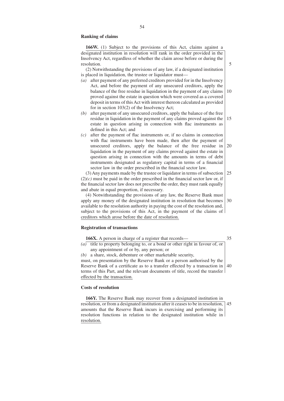# **Ranking of claims**

**166W.** (1) Subject to the provisions of this Act, claims against a designated institution in resolution will rank in the order provided in the Insolvency Act, regardless of whether the claim arose before or during the resolution.

5

(2) Notwithstanding the provisions of any law, if a designated institution is placed in liquidation, the trustee or liquidator must—

- *(a)* after payment of any preferred creditors provided for in the Insolvency Act, and before the payment of any unsecured creditors, apply the balance of the free residue in liquidation in the payment of any claims proved against the estate in question which were covered as a covered deposit in terms of this Act with interest thereon calculated as provided for in section 103(2) of the Insolvency Act; 10
- *(b)* after payment of any unsecured creditors, apply the balance of the free residue in liquidation in the payment of any claims proved against the estate in question arising in connection with flac instruments as defined in this Act; and 15
- *(c)* after the payment of flac instruments or, if no claims in connection with flac instruments have been made, then after the payment of unsecured creditors, apply the balance of the free residue in liquidation in the payment of any claims proved against the estate in question arising in connection with the amounts in terms of debt instruments designated as regulatory capital in terms of a financial sector law in the order prescribed in the financial sector law. 20

(3) Any payments made by the trustee or liquidator in terms of subsection  $(2)(c)$  must be paid in the order prescribed in the financial sector law or, if the financial sector law does not prescribe the order, they must rank equally and abate in equal proportion, if necessary. 25

(4) Notwithstanding the provisions of any law, the Reserve Bank must apply any money of the designated institution in resolution that becomes available to the resolution authority in paying the cost of the resolution and, subject to the provisions of this Act, in the payment of the claims of creditors which arose before the date of resolution. 30

# **Registration of transactions**

| <b>166X.</b> A person in charge of a register that records—                              |  |  |  |
|------------------------------------------------------------------------------------------|--|--|--|
| (a) title to property belonging to, or a bond or other right in favour of, or            |  |  |  |
| any appointment of or by, any person; or                                                 |  |  |  |
| $(b)$ a share, stock, debenture or other marketable security,                            |  |  |  |
| must, on presentation by the Reserve Bank or a person authorised by the                  |  |  |  |
| Reserve Bank of a certificate as to a transfer effected by a transaction in $ 40\rangle$ |  |  |  |
| terms of this Part, and the relevant documents of title, record the transfer             |  |  |  |
| effected by the transaction.                                                             |  |  |  |
|                                                                                          |  |  |  |

#### **Costs of resolution**

**166Y.** The Reserve Bank may recover from a designated institution in resolution, or from a designated institution after it ceases to be in resolution, amounts that the Reserve Bank incurs in exercising and performing its resolution functions in relation to the designated institution while in resolution. 45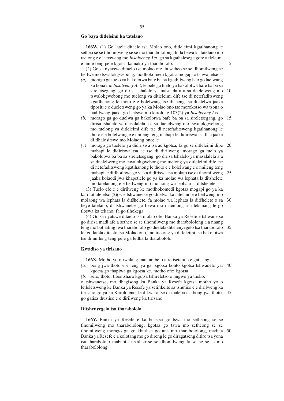#### **Go baya ditleleimi ka tatelano**

**166W.** (1) Go latela ditaelo tsa Molao ono, ditleleimi kgatlhanong le setheo se se tlhomilweng se se mo tharabololong di tla bewa ka tatelano mo taelong e e laetsweng mo *Insolvency Act*, go sa kgathalesege gore a tleleimi e nnile teng pele kgotsa ka nako ya tharabololo. (2) Go sa nyatswe ditaelo tsa molao ofe, fa setheo se se tlhomilweng se beilwe mo tswalokgwebong, motlhokomedi kgotsa mogapi o tshwanetse— *(a)* morago ga tuelo ya bakolotwa bafe ba ba kgethilweng bao go laelwang ka bona mo *Insolvency Act*, le pele ga tuelo ya bakolotwa bafe ba ba sa sireletsegang, go dirisa tshalelo ya masalela a a sa duelelweng mo tswalokgwebong mo tuelong ya ditleleimi dife tse di netefaditsweng kgatlhanong le thoto e e bolelwang tse di neng tsa duelelwa jaaka tipositi e e dueletsweng go ya ka Molao ono tse morokotso wa tsona o badilweng jaaka go laetswe mo karolong 103(2) ya *Insolvency Act*; *(b)* morago ga go duelwa ga bakolotwa bafe ba ba sa sireletsegang, go dirisa tshalelo ya masalalela a a sa duelelweng mo tswalokgwebong mo tuelong ya ditleleimi dife tse di netefaditsweng kgatlhanong le thoto e e bolelwang e e nnileng teng mabapi le didiriswa tsa flac jaaka di tlhalositswe mo Molaong ono; le *(c)* morago ga tuelelo ya didiriswa tsa ac kgotsa, fa go se ditleleimi dipe mabapi le didiriswa tsa ac tse di dirilweng, morago ga tuelo ya bakolotwa ba ba sa sireletsegang, go dirisa tshalelo ya masalalela a a sa duelelweng mo tswalokgwebong mo tuelong ya ditleleimi dife tse di netefaditsweng kgatlhanong le thoto e e bolelwang e e nnileng teng mabapi le ditlhotlhwa go ya ka didiriswa tsa molato tse di tlhomilweng jaaka bolaodi jwa khapetlele go ya ka molao wa lephata la ditšhelete mo tatelanong e e beilweng mo molaong wa lephata la ditšhelete. (3) Tuelo efe e e dirilweng ke motlhokomedi kgotsa mogapi go ya ka karolotlaleletso (2)*(c)* e tshwanetse go duelwa ka tatelano e e beilweng mo molaong wa lephata la ditšhelete, fa molao wa lephata la ditšhelete o sa beye tatelano, di tshwanetse go bewa mo maemong a a lekanang le go tloswa ka tekano, fa go tlhokega. (4) Go sa nyatswe ditaelo tsa molao ofe, Banka ya Resefe e tshwanetse go dirisa madi afe a setheo se se tlhomilweng mo tharabololong a a nnang teng mo bothating jwa tharabololo go duelela ditshenyegelo tsa tharabololo le, go latela ditaelo tsa Molao ono, mo tuelong ya ditleleimi tsa bakolotwa

5

10

15

20

25

30

35

#### **Kwadiso ya tirisano**

tse di nnileng teng pele ga letlha la tharabololo.

**166X.** Motho yo o rwalang maikarabelo a rejisetara e e gatisang—

*(a)* bong jwa thoto e e leng ya ga, kgotsa bonto kgotsa tshwanelo ya, 40 kgotsa go thapiwa ga kgotsa ke, motho ofe; kgotsa

*(b)* šere, thoto, tibentšhara kgotsa tshireletso e nngwe ya theko, o tshwanetse, mo tlhagisong ka Banka ya Resefe kgotsa motho yo o letleletsweng ke Banka ya Resefe ya setifikeite sa tshutiso e e dirilweng ka tirisano go ya ka Karolo eno, le dikwalo tse di maleba tsa bong jwa thoto, 45 go gatisa thustiso e e dirilweng ka tirisano.

## **Ditshenyegelo tsa tharabololo**

**166Y.** Banka ya Resefe e ka busetsa go tswa mo setheong se se tlhomilweng mo tharabololong, kgotsa go tswa mo setheong se se tlhomilweng morago ga go khutlisa go nna mo tharabololong, madi a Banka ya Resefe e a kolotang mo go direng le go diragatseng ditiro tsa yona tsa tharabololo mabapi le setheo se se tlhomilweng fa se ne se le mo tharabololong. 50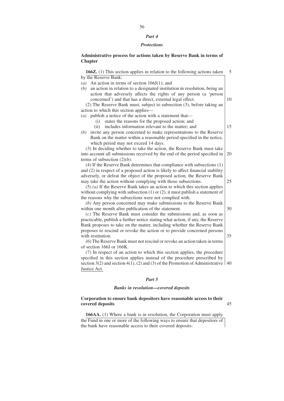#### *Part 4*

#### *Protections*

# **Administrative process for actions taken by Reserve Bank in terms of Chapter**

**166Z.** (1) This section applies in relation to the following actions taken by the Reserve Bank: *(a)* An action in terms of section 166J(1); and *(b)* an action in relation to a designated institution in resolution, being an action that adversely affects the rights of any person (a 'person concerned') and that has a direct, external legal effect. (2) The Reserve Bank must, subject to subsection (3), before taking an action to which this section applies— *(a)* publish a notice of the action with a statement that— (i) states the reasons for the proposed action; and (ii) includes information relevant to the matter; and *(b)* invite any person concerned to make representations to the Reserve Bank on the matter within a reasonable period specified in the notice, which period may not exceed 14 days. (3) In deciding whether to take the action, the Reserve Bank must take into account all submissions received by the end of the period specified in terms of subsection (2)*(b)*. (4) If the Reserve Bank determines that compliance with subsections (1) and (2) in respect of a proposed action is likely to affect financial stability adversely, or defeat the object of the proposed action, the Reserve Bank may take the action without complying with those subsections. (5) *(a)* If the Reserve Bank takes an action to which this section applies without complying with subsection (1) or (2), it must publish a statement of the reasons why the subsections were not complied with. *(b)* Any person concerned may make submissions to the Reserve Bank within one month after publication of the statement. *(c)* The Reserve Bank must consider the submissions and, as soon as practicable, publish a further notice stating what action, if any, the Reserve Bank proposes to take on the matter, including whether the Reserve Bank proposes to rescind or revoke the action or to provide concerned persons with restitution. (6) The Reserve Bank must not rescind or revoke an action taken in terms of section 166J or 166K. 5 10 15 20 25 30 35

(7) In respect of an action to which this section applies, the procedure specified in this section applies instead of the procedure prescribed by section 3(2) and section 4(1), (2) and (3) of the Promotion of Administrative  $\vert$  40 Justice Act.

#### *Part 5*

#### *Banks in resolution—covered deposits*

# **Corporation to ensure bank depositors have reasonable access to their covered deposits**

45

**166AA.** (1) Where a bank is in resolution, the Corporation must apply the Fund in one or more of the following ways to ensure that depositors of the bank have reasonable access to their covered deposits: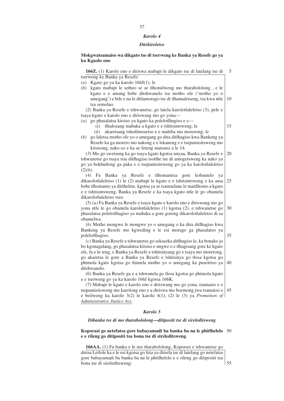#### *Karolo 4*

#### *Ditshireletso*

# **Mokgwatsamaiso wa dikgato tse di tserweng ke Banka ya Resefe go ya ka Kgaolo eno**

**166Z.** (1) Karolo eno e diriswa mabapi le dikgato tse di latelang tse di tserweng ke Banka ya Resefe: 5

- *(a)* Kgato go ya ka karolo 166J(1); le
- *(b)* kgato mabapi le setheo se se tlhomilweng mo tharabololong , e le kgato e e amang bobe ditshwanelo tsa motho ofe ('motho yo o amegang') e bile e na le ditlamorago tse di tlhamaletseng, tsa kwa ntle tsa semolao. 10

(2) Banka ya Resefe e tshwanetse, go latela karolotlaleletso (3), pele e tsaya kgato e karolo eno e diriswang mo go yona—

- *(a)* go phasalatsa kitsiso ya kgato ka polelotlhagiso e e—
	- (i) tlhalosang mabaka a kgato e e tshitsintsweng; le
	- (ii) akaretsang tshedimosetso e e maleba mo morerong; le
- *(b)* go laletsa motho ofe yo o amegang go dira ditlhagiso kwa Bankeng ya Resefe ka ga morero mo nakong e e lekaneng e e tsepamisitsweng mo kitsisong, nako eo e ka se feteng matsatsi a le 14.

(3) Mo go swetseng ka go tsaya kgato kgotsa nnyaa, Banka ya Resefe e tshwanetse go tsaya tsia ditlhagiso tsotlhe tse di amogetsweng ka nako ya go ya bokhutlong ga paka e e tsepamisitsweng go ya ka karolotlaleletso (2)*(b)*. 20

(4) Fa Banka ya Resefe e tlhomamisa gore kobamelo ya dikarolotlaleletso (1) le (2) mabapi le kgato e e tshitsintsweng e ka ama bobe tlhomamo ya ditšhelete, kgotsa ya se tsamaelane le maitlhomo a kgato e e tshitsintsweng, Banka ya Resefe e ka tsaya kgato ntle le go obamela dikarolotlaleletso tseo. 25

(5) *(a)* Fa Banka ya Resefe e tsaya kgato e karolo eno e diriswang mo go yona ntle le go obamela karolotlaleletso (1) kgotsa (2), e tshwanetse go phasalatsa polelotlhagiso ya mabaka a gore goreng dikarolotlaleletso di sa obamelwa. 30

*(b)* Motho mongwe le mongwe yo o amegang o ka dira ditlhagiso kwa Bankeng ya Resefe mo kgweding e le esi morago ga phasalatso ya polelotlhagiso.

*(c)* Banka ya Resefe e tshwanetse go sekaseka ditlhagiso le, ka bonako jo bo kgonagalang, go phasalatsa kitsiso e nngwe e e tlhagisang gore ke kgato efe, fa e le teng, e Banka ya Resefe e tshitsinyang go e tsaya mo morerong, go akaretsa le gore a Banka ya Resefe e tshitsinya go tlosa kgotsa go phimola kgato kgotsa go tlamela motho yo o amegang ka puseletso ya ditshwanelo. 40

(6) Banka ya Resefe ga e a tshwanela go tlosa kgotsa go phimola kgato e e tserweng go ya ka karolo 166J kgotsa 166K.

(7) Mabapi le kgato e karolo eno e diriswang mo go yona, tsamaiso e e tsepamisitsweng mo karolong eno e a diriswa mo boemong jwa tsamaiso e 45 e beilweng ka karolo 3(2) le karolo 4(1), (2) le (3) ya *Promotion of Administrative Justice Act*.

# *Karolo 5*

#### *Dibanka tse di mo tharabololong—ditipositi tse di sireleditsweng*

#### **Koporasi go netefatsa gore babayamadi ba banka ba na le phitlhelelo** 50 **e e rileng go ditipositi tsa bona tse di sireleditsweng**

**166AA.** (1) Fa banka e le mo tharabololong, Koporasi e tshwanetse go dirisa Letlole ka e le esi kgotsa go feta ya ditsela tse di latelang go netefatsa gore babayamadi ba banka ba na le phitlhelelo e e rileng go ditipositi tsa bona tse di sireleditsweng:

15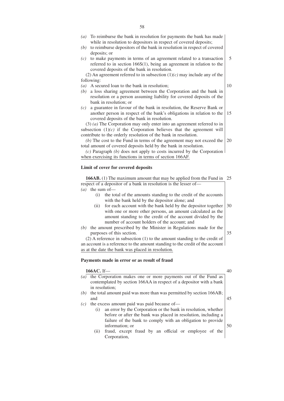- *(a)* To reimburse the bank in resolution for payments the bank has made while in resolution to depositors in respect of covered deposits;
- *(b)* to reimburse depositors of the bank in resolution in respect of covered deposits; or
- *(c)* to make payments in terms of an agreement related to a transaction referred to in section 166S(1), being an agreement in relation to the covered deposits of the bank in resolution. 5

(2) An agreement referred to in subsection (1)*(c)* may include any of the following:

*(a)* A secured loan to the bank in resolution;

10

- *(b)* a loss sharing agreement between the Corporation and the bank in resolution or a person assuming liability for covered deposits of the bank in resolution; or
- *(c)* a guarantee in favour of the bank in resolution, the Reserve Bank or another person in respect of the bank's obligations in relation to the covered deposits of the bank in resolution. 15

(3) *(a)* The Corporation may only enter into an agreement referred to in subsection  $(1)(c)$  if the Corporation believes that the agreement will contribute to the orderly resolution of the bank in resolution.

(b) The cost to the Fund in terms of the agreement may not exceed the  $\vert$  20 total amount of covered deposits held by the bank in resolution.

*(c)* Paragraph *(b)* does not apply to costs incurred by the Corporation when exercising its functions in terms of section 166AF.

#### **Limit of cover for covered deposits**

**166AB.** (1) The maximum amount that may be applied from the Fund in 25 respect of a depositor of a bank in resolution is the lesser of— *(a)* the sum of—

- (i) the total of the amounts standing to the credit of the accounts with the bank held by the depositor alone; and
- (ii) for each account with the bank held by the depositor together with one or more other persons, an amount calculated as the amount standing to the credit of the account divided by the number of account holders of the account; and 30
- *(b)* the amount prescribed by the Minister in Regulations made for the purposes of this section. 35

(2) A reference in subsection (1) to the amount standing to the credit of an account is a reference to the amount standing to the credit of the account as at the date the bank was placed in resolution.

#### **Payments made in error or as result of fraud**

#### **166AC.** If—

| $\left(a\right)$ | the Corporation makes one or more payments out of the Fund as<br>contemplated by section 166AA in respect of a depositor with a bank |    |  |  |  |
|------------------|--------------------------------------------------------------------------------------------------------------------------------------|----|--|--|--|
|                  | in resolution;                                                                                                                       |    |  |  |  |
| (b)              | the total amount paid was more than was permitted by section 166AB;                                                                  |    |  |  |  |
|                  | and                                                                                                                                  |    |  |  |  |
| (c)              | the excess amount paid was paid because of—                                                                                          |    |  |  |  |
|                  | an error by the Corporation or the bank in resolution, whether<br>(i)                                                                |    |  |  |  |
|                  | before or after the bank was placed in resolution, including a                                                                       |    |  |  |  |
|                  | failure of the bank to comply with an obligation to provide                                                                          |    |  |  |  |
|                  | information; or                                                                                                                      | 50 |  |  |  |
|                  | fraud, except fraud by an official or employee of the<br>(i)                                                                         |    |  |  |  |
|                  | Corporation.                                                                                                                         |    |  |  |  |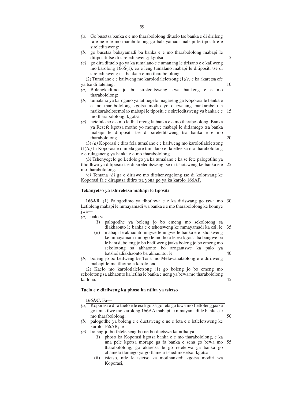|                  | sireleditsweng;                                                                                                                                            |
|------------------|------------------------------------------------------------------------------------------------------------------------------------------------------------|
| (b)              | go busetsa babayamadi ba banka e e mo tharabololong mabapi le                                                                                              |
|                  | ditipositi tse di sireleditsweng; kgotsa                                                                                                                   |
| (c)              | go dira dituelo go ya ka tumalano e e amanang le tirisano e e kailweng                                                                                     |
|                  | mo karolong 166S(1), eo e leng tumalano mabapi le ditipositi tse di                                                                                        |
|                  | sireleditsweng tsa banka e e mo tharabololong.                                                                                                             |
|                  | (2) Tumalano e e kailweng mo karolotlaleletsong $(1)(c)$ e ka akaretsa efe                                                                                 |
|                  | ya tse di latelang:                                                                                                                                        |
| $\left(a\right)$ | Bolengkadimo jo bo sireleditsweng kwa bankeng e e<br>mo                                                                                                    |
|                  | tharabololong;                                                                                                                                             |
| (b)              | tumalano ya karogano ya tatlhegelo magareng ga Koporasi le banka e<br>e mo tharabololong kgotsa motho yo o rwalang maikarabelo a                           |
|                  | maikarabelosemolao mabapi le tipositi e e sireleditsweng ya banka e e                                                                                      |
|                  | mo tharabololong; kgotsa                                                                                                                                   |
| (c)              | netefaletso e e mo letlhakoreng la banka e e mo tharabololong, Banka                                                                                       |
|                  | ya Resefe kgotsa motho yo mongwe mabapi le ditlamego tsa banka                                                                                             |
|                  | mabapi le ditipositi tse di sireleditsweng tsa banka e e mo                                                                                                |
|                  | tharabololong.                                                                                                                                             |
|                  | $(3)$ (a) Koporasi e dira fela tumalano e e kailweng mo karolotlaleletsong                                                                                 |
|                  | $(1)(c)$ fa Koporasi e dumela gore tumalano e tla etleetsa mo tharabololong                                                                                |
|                  | e e rulaganeng ya banka e e mo tharabololong.                                                                                                              |
|                  | (b) Tshenyegelo go Letlole go ya ka tumalano e ka se fete palogotlhe ya                                                                                    |
|                  | tlhotlhwa ya ditipositi tse di sireleditsweng tse di tshotsweng ke banka e e                                                                               |
|                  | mo tharabololong.<br>$(c)$ Temana (b) ga e diriswe mo ditshenyegelong tse di kolotwang ke                                                                  |
|                  | Koporasi fa e diragatsa ditiro tsa yona go ya ka karolo 166AF.                                                                                             |
|                  |                                                                                                                                                            |
|                  | Tekanyetso ya tshireletso mabapi le tipositi                                                                                                               |
|                  |                                                                                                                                                            |
|                  | 166AB. (1) Palogodimo ya tlhotlhwa e e ka diriswang go tswa mo                                                                                             |
|                  | Letloleng mabapi le mmayamadi wa banka e e mo tharabololong ke bonnye                                                                                      |
| jwa-             |                                                                                                                                                            |
|                  | $(a)$ palo ya-                                                                                                                                             |
|                  | palogotlhe ya boleng jo bo emeng mo sekolotong<br>(i)<br>sa<br>diakhaonto le banka e e tshotsweng ke mmayamadi ka esi; le                                  |
|                  | mabapi le akhaonto nngwe le nngwe le banka e e tshotsweng<br>(ii)                                                                                          |
|                  | ke mmayamadi mmogo le motho a le esi kgotsa ba bangwe ba                                                                                                   |
|                  | le bantsi, boleng jo bo badilweng jaaka boleng jo bo emeng mo                                                                                              |
|                  | akhaonto bo<br>sekolotong<br>sa<br>arogantswe ka palo<br>ya                                                                                                |
|                  | batsholadiakhaonto ba akhaonto; le                                                                                                                         |
|                  | (b) boleng jo bo beilweng ke Tona mo Melawanataolong e e dirilweng                                                                                         |
|                  | mabapi le maitlhomo a karolo eno.                                                                                                                          |
|                  | (2) Kaelo mo karolotlaleletsong (1) go boleng jo bo emeng mo                                                                                               |
|                  | sekolotong sa akhaonto ka letlha le banka e neng ya bewa mo tharabololong                                                                                  |
|                  | ka lona.                                                                                                                                                   |
|                  |                                                                                                                                                            |
|                  |                                                                                                                                                            |
|                  | Tuelo e e dirilweng ka phoso ka ntlha ya tsietso                                                                                                           |
|                  |                                                                                                                                                            |
|                  | 166AC. Fa-                                                                                                                                                 |
| (a)              | Koporasi e dira tuelo e le esi kgotsa go feta go tswa mo Letloleng jaaka                                                                                   |
|                  | go umakilwe mo karolong 166AA mabapi le mmayamadi le banka e e<br>mo tharabololong;<br>palogotlhe ya boleng e e duetsweng e ne e feta e e letleletsweng ke |

- *(c)* boleng jo bo feteletseng bo ne bo duetswe ka ntlha ya—
	- (i) phoso ka Koporasi kgotsa banka e e mo tharabololong, e ka nna pele kgotsa morago ga fa banka e sena go bewa mo tharabololong, go akaretsa le go retelelwa ga banka go obamela tlamego ya go tlamela tshedimosetso; kgotsa 55
	- (ii) tsietso, ntle le tsietso ka motlhankedi kgotsa modiri wa Koporasi,

*(a)* Go busetsa banka e e mo tharabololong dituelo tse banka e di dirileng fa e ne e le mo tharabololong go babayamadi mabapi le tipositi e e

5

10

15

20

25

30

35

40

45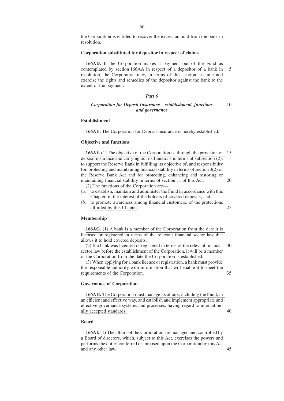the Corporation is entitled to recover the excess amount from the bank in resolution.

#### **Corporation substituted for depositor in respect of claims**

**166AD.** If the Corporation makes a payment out of the Fund as contemplated by section 166AA in respect of a depositor of a bank in resolution, the Corporation may, in terms of this section, assume and exercise the rights and remedies of the depositor against the bank to the extent of the payment. 5

## *Part 6*

# *Corporation for Deposit Insurance—establishment, functions and governance*

10

## **Establishment**

**166AE.** The Corporation for Deposit Insurance is hereby established.

#### **Objective and functions**

**166AF.** (1) The objective of the Corporation is, through the provision of 15 deposit insurance and carrying out its functions in terms of subsection (2), to support the Reserve Bank in fulfilling its objective of, and responsibility for, protecting and maintaining financial stability in terms of section 3(2) of the Reserve Bank Act and for protecting, enhancing and restoring or maintaining financial stability in terms of section 11 of this Act. (2) The functions of the Corporation are— 20

- *(a)* to establish, maintain and administer the Fund in accordance with this Chapter, in the interest of the holders of covered deposits; and
- *(b)* to promote awareness among financial customers, of the protections afforded by this Chapter. 25

#### **Membership**

**166AG.** (1) A bank is a member of the Corporation from the date it is licensed or registered in terms of the relevant financial sector law that allows it to hold covered deposits.

(2) If a bank was licensed or registered in terms of the relevant financial sector law before the establishment of the Corporation, it will be a member of the Corporation from the date the Corporation is established. 30

(3) When applying for a bank licence or registration, a bank must provide the responsible authority with information that will enable it to meet the requirements of the Corporation. 35

# **Governance of Corporation**

**166AH.** The Corporation must manage its affairs, including the Fund, in an efficient and effective way, and establish and implement appropriate and effective governance systems and processes, having regard to internationally accepted standards. 40

# **Board**

**166AI.** (1) The affairs of the Corporation are managed and controlled by a Board of directors, which, subject to this Act, exercises the powers and performs the duties conferred or imposed upon the Corporation by this Act and any other law. 45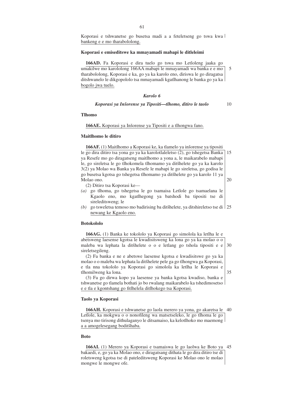Koporasi e tshwanetse go busetsa madi a a feteletseng go tswa kwa bankeng e e mo tharabololong.

## **Koporasi e emiseditswe ka mmayamadi mabapi le ditleleimi**

**166AD.** Fa Koporasi e dira tuelo go tswa mo Letloleng jaaka go umakilwe mo karololong 166AA mabapi le mmayamadi wa banka e e mo tharabololong, Koporasi e ka, go ya ka karolo eno, diriswa le go diragatsa ditshwanelo le dikgopololo tsa mmayamadi kgatlhanong le banka go ya ka bogolo jwa tuelo. 5

## *Karolo 6*

#### *Koporasi ya Insˇorense ya Tipositi—tlhomo, ditiro le taolo*

10

35

#### **Tlhomo**

#### 166AE. Koporasi ya Inšorense ya Tipositi e a tlhongwa fano.

#### **Maitlhomo le ditiro**

**166AF.** (1) Maitlhomo a Koporasi ke, ka tlamelo ya inšorense ya tipositi le go dira ditiro tsa yona go ya ka karolotlaleletso (2), go tshegetsa Banka ya Resefe mo go diragatseng maitlhomo a yona a, le maikarabelo mabapi le, go sireletsa le go tlhokomela tlhomamo ya ditšhelete go ya ka karolo 3(2) ya Molao wa Banka ya Resefe le mabapi le go sireletsa, go godisa le go busetsa kgotsa go tshegetsa tlhomamo ya ditšhelete go ya karolo 11 ya Molao ono. 15 20

(2) Ditiro tsa Koporasi ke—

- *(a)* go tlhoma, go tshegetsa le go tsamaisa Letlole go tsamaelana le Kgaolo eno, mo kgatlhegong ya batshodi ba tipositi tse di sireleditsweng; le
- (b) go tsweletsa temoso mo badirising ba ditšhelete, ya ditshireletso tse di  $\frac{125}{25}$ newang ke Kgaolo eno.

#### **Botokololo**

#### **166AG.** (1) Banka ke tokololo ya Koporasi go simolola ka letlha le e

abetsweng laesense kgotsa le kwadisitsweng ka lona go ya ka molao o o maleba wa lephata la ditšhelete o o e letlang go tshola tipositi e e sireletsegileng. 30

(2) Fa banka e ne e abetswe laesense kgotsa e kwadisitswe go ya ka molao o o maleba wa lephata la ditšhelete pele ga go tlhongwa ga Koporasi, e tla nna tokololo ya Koporasi go simolola ka letlha le Koporasi e tlhomilweng ka lona.

(3) Fa go dirwa kopo ya laesense ya banka kgotsa kwadiso, banka e tshwanetse go tlamela bothati jo bo rwalang maikarabelo ka tshedimosetso e e tla e kgontshang go fitlhelela ditlhokego tsa Koporasi.

#### **Taolo ya Koporasi**

**166AH.** Koporasi e tshwanetse go laola merero ya yona, go akaretsa le 40 Letlole, ka mokgwa o o nonofileng wa matsetseleko, le go tlhoma le go tsenya mo tirisong dithulaganyo le ditsamaiso, ka kelotlhoko mo maemong a a amogelesegang boditšhaba.

## **Boto**

**166AI.** (1) Merero ya Koporasi e tsamaiswa le go laolwa ke Boto ya 45 bakaedi, e, go ya ka Molao ono, e diragatsang dithata le go dira ditiro tse di roletsweng kgotsa tse di pateleditsweng Koporasi ke Molao ono le molao mongwe le mongwe ofe.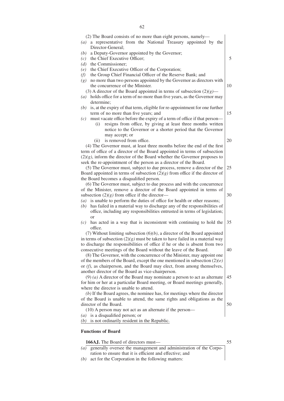| (2) The Board consists of no more than eight persons, namely—<br>a representative from the National Treasury appointed by the<br>$\left(a\right)$ |    |  |  |
|---------------------------------------------------------------------------------------------------------------------------------------------------|----|--|--|
| Director-General;                                                                                                                                 |    |  |  |
| a Deputy-Governor appointed by the Governor;<br>(b)                                                                                               |    |  |  |
| the Chief Executive Officer;<br>(c)                                                                                                               | 5  |  |  |
| the Commissioner;<br>(d)                                                                                                                          |    |  |  |
| the Chief Executive Officer of the Corporation;<br>(e)                                                                                            |    |  |  |
| the Group Chief Financial Officer of the Reserve Bank; and<br>(f)                                                                                 |    |  |  |
| no more than two persons appointed by the Governor as directors with<br>(g)                                                                       |    |  |  |
| the concurrence of the Minister.                                                                                                                  | 10 |  |  |
| (3) A director of the Board appointed in terms of subsection $(2)(g)$ —                                                                           |    |  |  |
| holds office for a term of no more than five years, as the Governor may<br>$\left( a\right)$                                                      |    |  |  |
| determine;                                                                                                                                        |    |  |  |
| is, at the expiry of that term, eligible for re-appointment for one further<br>(b)                                                                | 15 |  |  |
| term of no more than five years; and                                                                                                              |    |  |  |
| must vacate office before the expiry of a term of office if that person—<br>(c)<br>resigns from office, by giving at least three months written   |    |  |  |
| (i)<br>notice to the Governor or a shorter period that the Governor                                                                               |    |  |  |
| may accept; or                                                                                                                                    |    |  |  |
| is removed from office.<br>(i)                                                                                                                    | 20 |  |  |
| (4) The Governor must, at least three months before the end of the first                                                                          |    |  |  |
| term of office of a director of the Board appointed in terms of subsection                                                                        |    |  |  |
| $(2)(g)$ , inform the director of the Board whether the Governor proposes to                                                                      |    |  |  |
| seek the re-appointment of the person as a director of the Board.                                                                                 |    |  |  |
| (5) The Governor must, subject to due process, remove a director of the                                                                           | 25 |  |  |
| Board appointed in terms of subsection $(2)(g)$ from office if the director of                                                                    |    |  |  |
| the Board becomes a disqualified person.                                                                                                          |    |  |  |
| (6) The Governor must, subject to due process and with the concurrence                                                                            |    |  |  |
| of the Minister, remove a director of the Board appointed in terms of                                                                             |    |  |  |
| subsection $(2)(g)$ from office if the director—                                                                                                  | 30 |  |  |
| is unable to perform the duties of office for health or other reasons;<br>$\left(a\right)$                                                        |    |  |  |
| has failed in a material way to discharge any of the responsibilities of<br>(b)                                                                   |    |  |  |
| office, including any responsibilities entrusted in terms of legislation;                                                                         |    |  |  |
| <sub>or</sub>                                                                                                                                     |    |  |  |
| has acted in a way that is inconsistent with continuing to hold the<br>(c)                                                                        | 35 |  |  |
| office.                                                                                                                                           |    |  |  |
| (7) Without limiting subsection $(6)(b)$ , a director of the Board appointed                                                                      |    |  |  |
| in terms of subsection $(2)(g)$ must be taken to have failed in a material way                                                                    |    |  |  |
| to discharge the responsibilities of office if he or she is absent from two                                                                       | 40 |  |  |
| consecutive meetings of the Board without the leave of the Board.<br>(8) The Governor, with the concurrence of the Minister, may appoint one      |    |  |  |
| of the members of the Board, except the one mentioned in subsection $(2)(e)$                                                                      |    |  |  |
| or (f), as chairperson, and the Board may elect, from among themselves,                                                                           |    |  |  |
| another director of the Board as vice-chairperson.                                                                                                |    |  |  |
| $(9)$ (a) A director of the Board may nominate a person to act as alternate                                                                       | 45 |  |  |
| for him or her at a particular Board meeting, or Board meetings generally,                                                                        |    |  |  |
| where the director is unable to attend.                                                                                                           |    |  |  |
| $(b)$ If the Board agrees, the nominee has, for meetings where the director                                                                       |    |  |  |
| of the Board is unable to attend, the same rights and obligations as the                                                                          |    |  |  |
| director of the Board.                                                                                                                            | 50 |  |  |
| (10) A person may not act as an alternate if the person—                                                                                          |    |  |  |
| is a disqualified person; or<br>$\left( a\right)$                                                                                                 |    |  |  |
| is not ordinarily resident in the Republic.<br>(b)                                                                                                |    |  |  |
| <b>Functions of Board</b>                                                                                                                         |    |  |  |

**166AJ.** The Board of directors must—

- *(a)* generally oversee the management and administration of the Corporation to ensure that it is efficient and effective; and
- *(b)* act for the Corporation in the following matters: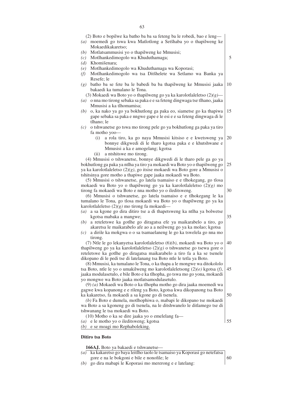| 5<br>10<br>15<br>20<br>25<br>30 |
|---------------------------------|
|                                 |
|                                 |
|                                 |
|                                 |
|                                 |
|                                 |
|                                 |
|                                 |
|                                 |
|                                 |
|                                 |
|                                 |
|                                 |
|                                 |
|                                 |
|                                 |
|                                 |
|                                 |
|                                 |
| 35                              |
|                                 |
|                                 |
| 40                              |
|                                 |
|                                 |
| 45                              |
|                                 |
|                                 |
|                                 |
| 50                              |
|                                 |
|                                 |
|                                 |
| 55                              |
|                                 |

**166AJ.** Boto ya bakaedi e tshwanetse—

- *(a)* ka kakaretso go baya leitlho taolo le tsamaiso ya Koporasi go netefatsa gore e na le bokgoni e bile e nonofile; le 60
- *(b)* go dira mabapi le Koporasi mo mererong e e latelang: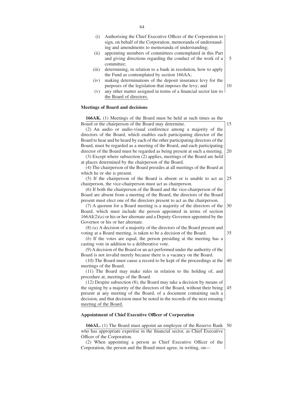- (i) Authorising the Chief Executive Officer of the Corporation to sign, on behalf of the Corporation, memoranda of understanding and amendments to memoranda of understanding;
- (ii) appointing members of committees contemplated in this Part and giving directions regarding the conduct of the work of a committee; 5
- (iii) determining, in relation to a bank in resolution, how to apply the Fund as contemplated by section 166AA;
- (iv) making determinations of the deposit insurance levy for the purposes of the legislation that imposes the levy; and
- (v) any other matter assigned in terms of a financial sector law to the Board of directors.

# **Meetings of Board and decisions**

**166AK.** (1) Meetings of the Board must be held at such times as the Board or the chairperson of the Board may determine. (2) An audio or audio-visual conference among a majority of the directors of the Board, which enables each participating director of the Board to hear and be heard by each of the other participating directors of the Board, must be regarded as a meeting of the Board, and each participating director of the Board must be regarded as being present at such a meeting. (3) Except where subsection (2) applies, meetings of the Board are held at places determined by the chairperson of the Board. (4) The chairperson of the Board presides at all meetings of the Board at which he or she is present. (5) If the chairperson of the Board is absent or is unable to act as chairperson, the vice-chairperson must act as chairperson. (6) If both the chairperson of the Board and the vice-chairperson of the Board are absent from a meeting of the Board, the directors of the Board present must elect one of the directors present to act as the chairperson. (7) A quorum for a Board meeting is a majority of the directors of the Board, which must include the person appointed in terms of section 166AI(2)*(a)* or his or her alternate and a Deputy-Governor appointed by the Governor or his or her alternate. (8) *(a)* A decision of a majority of the directors of the Board present and voting at a Board meeting, is taken to be a decision of the Board. *(b)* If the votes are equal, the person presiding at the meeting has a casting vote in addition to a deliberative vote. (9) A decision of the Board or an act performed under the authority of the Board is not invalid merely because there is a vacancy on the Board. (10) The Board must cause a record to be kept of the proceedings at the meetings of the Board. (11) The Board may make rules in relation to the holding of, and procedure at, meetings of the Board. (12) Despite subsection (8), the Board may take a decision by means of the signing by a majority of the directors of the Board, without their being present at any meeting of the Board, of a document containing such a decision, and that decision must be noted in the records of the next ensuing 15 20 25 30 35 40 45

#### **Appointment of Chief Executive Officer of Corporation**

meeting of the Board.

166AL. (1) The Board must appoint an employee of the Reserve Bank 50 who has appropriate expertise in the financial sector, as Chief Executive Officer of the Corporation.

(2) When appointing a person as Chief Executive Officer of the Corporation, the person and the Board must agree, in writing, on—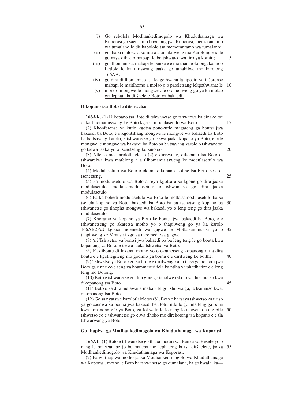|  | (i) Go rebolela Motlhankedimogolo wa Khuduthamaga wa     |  |  |
|--|----------------------------------------------------------|--|--|
|  | Koporasi go saena, mo boemong jwa Koporasi, memorantamo  |  |  |
|  | wa tumalano le ditlhabololo tsa memorantamo wa tumalano; |  |  |

- (ii) go thapa maloko a komiti a a umakilweng mo Karolong eno le go naya dikaelo mabapi le boitshwaro jwa tiro ya komiti;
- (iii) go tlhomamisa, mabapi le banka e e mo tharabololong, ka moo Letlole le ka diriswang jaaka go umakilwe mo karolong 166AA;
- (iv) go dira ditlhomamiso tsa lekgethwana la tipositi ya inšorense mabapi le maitlhomo a molao o o pateletsang lekgethwana; le 10
- (v) morero mongwe le mongwe ofe o o neilweng go ya ka molao wa lephata la ditšhelete Boto ya bakaedi.

#### **Dikopano tsa Boto le ditshwetso**

**166AK.** (1) Dikopano tsa Boto di tshwanetse go tshwarwa ka dinako tse di ka tlhomamiswang ke Boto kgotsa modulasetulo wa Boto.

(2) Khonferense ya kutlo kgotsa ponokutlo magareng ga bontsi jwa bakaedi ba Boto, e e kgontshang mongwe le mongwe wa bakaedi ba Boto ba ba tsayang karolo, e tshwanetse go tsewa jaaka kopano ya Boto, e bile mongwe le mongwe wa bakaedi ba Boto ba ba tsayang karolo o tshwanetse go tsewa jaaka yo o tsenetseng kopano eo.

(3) Ntle le mo karolotlaleletso (2) e diriswang, dikopano tsa Boto di tshwarelwa kwa mafelong a a tllhomamisitsweng ke modulasetulo wa Boto.

(4) Modulasetulo wa Boto o okama dikopano tsotlhe tsa Boto tse a di tsenetseng. 25

(5) Fa modulasetulo wa Boto a seyo kgotsa a sa kgone go dira jaaka modulasetulo, motlatsamodulasetulo o tshwanetse go dira jaaka modulasetulo.

(6) Fa ka bobedi modulasetulo wa Boto le motlatsamodulasetulo ba sa tsenela kopano ya Boto, bakaedi ba Boto ba ba tsenetseng kopano ba tshwanetse go tlhopha mongwe wa bakaedi yo o leng teng go dira jaaka modulasetulo. 30

(7) Khoramo ya kopano ya Boto ke bontsi jwa bakaedi ba Boto, e e tshwanetseng go akaretsa motho yo o thapilweng go ya ka karolo 166AI(2)*(a)* kgotsa moemedi wa gagwe le Motlatsammusisi yo o thapilweng ke Mmusisi kgotsa moemedi wa gagwe. 35

(8) *(a)* Tshwetso ya bontsi jwa bakaedi ba ba leng teng le go bouta kwa kopanong ya Boto, e tsewa jaaka tshwetso ya Boto.

*(b)* Fa diboutu di lekana, motho yo o okametseng kopanong o tla dira boutu e e kgethegileng mo godimo ga boutu e e dirilweng ke botlhe. 40

(9) Tshwetso ya Boto kgotsa tiro e e dirilweng ka fa tlase ga bolaodi jwa Boto ga e nne eo e seng ya boammaruri fela ka ntlha ya phatlhatiro e e leng teng mo Botong.

(10) Boto e tshwanetse go dira gore go tsholwe rekoto ya ditsamaiso kwa dikopanong tsa Boto. 45

(11) Boto e ka dira melawana mabapi le go tsholwa ga, le tsamaiso kwa, dikopanong tsa Boto.

(12) Go sa nyatswe karolotlaleletso (8), Boto e ka tsaya tshwetso ka tiriso ya go saenwa ka bontsi jwa bakaedi ba Boto, ntle le go nna teng ga bona kwa kopanong efe ya Boto, ga lokwalo le le nang le tshwetso eo, e bile tshwetso eo e tshwanetse go elwa tlhoko mo direkotong tsa kopano e e tla tshwarwang ya Boto. 50

#### **Go thapiwa ga Motlhankedimogolo wa Khuduthamaga wa Koporasi**

**166AL.** (1) Boto e tshwanetse go thapa modiri wa Banka ya Resefe yo o nang le boitseanape jo bo maleba mo lephateng la tsa ditšhelete, jaaka Motlhankedimogolo wa Khuduthamaga wa Koporasi. 55

(2) Fa go thapiwa motho jaaka Motlhankedimogolo wa Khuduthamaga wa Koporasi, motho le Boto ba tshwanetse go dumalana, ka go kwala, ka5

15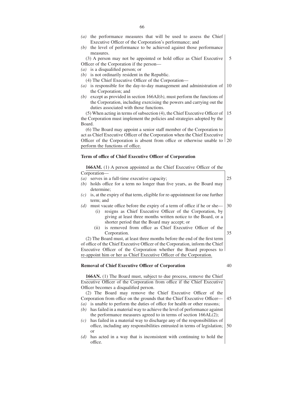- *(a)* the performance measures that will be used to assess the Chief Executive Officer of the Corporation's performance; and
- *(b)* the level of performance to be achieved against those performance measures.

(3) A person may not be appointed or hold office as Chief Executive Officer of the Corporation if the person— 5

- *(a)* is a disqualified person; or
- *(b)* is not ordinarily resident in the Republic.

(4) The Chief Executive Officer of the Corporation—

- *(a)* is responsible for the day-to-day management and administration of the Corporation; and 10
- *(b)* except as provided in section 166AJ*(b)*, must perform the functions of the Corporation, including exercising the powers and carrying out the duties associated with those functions.

(5) When acting in terms of subsection (4), the Chief Executive Officer of the Corporation must implement the policies and strategies adopted by the Board. 15

(6) The Board may appoint a senior staff member of the Corporation to act as Chief Executive Officer of the Corporation when the Chief Executive Officer of the Corporation is absent from office or otherwise unable to 20 perform the functions of office.

#### **Term of office of Chief Executive Officer of Corporation**

**166AM.** (1) A person appointed as the Chief Executive Officer of the

Corporation—

*(a)* serves in a full-time executive capacity; *(b)* holds office for a term no longer than five years, as the Board may determine; *(c)* is, at the expiry of that term, eligible for re-appointment for one further term; and *(d)* must vacate office before the expiry of a term of office if he or she— (i) resigns as Chief Executive Officer of the Corporation, by giving at least three months written notice to the Board, or a shorter period that the Board may accept; or (ii) is removed from office as Chief Executive Officer of the Corporation. 25 30 35

(2) The Board must, at least three months before the end of the first term of office of the Chief Executive Officer of the Corporation, inform the Chief Executive Officer of the Corporation whether the Board proposes to re-appoint him or her as Chief Executive Officer of the Corporation.

#### **Removal of Chief Executive Officer of Corporation**

166AN. (1) The Board must, subject to due process, remove the Chief Executive Officer of the Corporation from office if the Chief Executive Officer becomes a disqualified person.

(2) The Board may remove the Chief Executive Officer of the Corporation from office on the grounds that the Chief Executive Officer— 45

- *(a)* is unable to perform the duties of office for health or other reasons; *(b)* has failed in a material way to achieve the level of performance against the performance measures agreed to in terms of section 166AL(2);
- *(c)* has failed in a material way to discharge any of the responsibilities of office, including any responsibilities entrusted in terms of legislation; or 50
- *(d)* has acted in a way that is inconsistent with continuing to hold the office.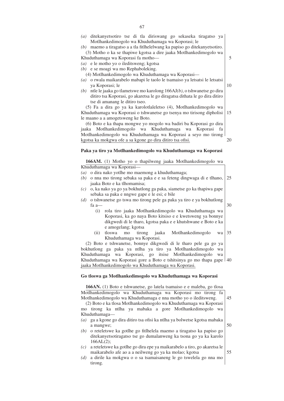*(a)* ditekanyetsotiro tse di tla diriswang go sekaseka tiragatso ya Motlhankedimogolo wa Khuduthamaga wa Koporasi; le

*(b)* maemo a tiragatso a a tla fitlhelelwang ka papiso go ditekanyetsotiro. (3) Motho o ka se thapiwe kgotsa a dire jaaka Motlhankedimogolo wa

Khuduthamaga wa Koporasi fa motho—

*(a)* e le motho yo o ileditsweng; kgotsa

*(b)* e se moagi wa mo Rephaboleking.

- (4) Motlhankedimogolo wa Khuduthamaga wa Koporasi—
- *(a)* o rwala maikarabelo mabapi le taolo le tsamaiso ya letsatsi le letsatsi ya Koporasi; le
- *(b)* ntle le jaaka go tlametswe mo karolong 166AJ*(b)*, o tshwanetse go dira ditiro tsa Koporasi, go akaretsa le go diragatsa dithata le go dira ditiro tse di amanang le ditiro tseo.

(5) Fa a dira go ya ka karolotlaleletso (4), Motlhankedimogolo wa Khuduthamaga wa Koporasi o tshwanetse go tsenya mo tirisong dipholisi le maano a a amogetsweng ke Boto. 15

(6) Boto e ka thapa mongwe yo mogolo wa badiri ba Koporasi go dira jaaka Motlhankedimogolo wa Khuduthamaga wa Koporasi fa Motlhankedimogolo wa Khuduthamaga wa Koporasi a seyo mo tirong kgotsa ka mokgwa ofe a sa kgone go dira ditiro tsa ofisi. 20

**Paka ya tiro ya Motlhankedimogolo wa Khuduthamaga wa Koporasi**

**166AM.** (1) Motho yo o thapilweng jaaka Motlhankedimogolo wa Khuduthamaga wa Koporasi—

- *(a)* o dira nako yotlhe mo maemong a khuduthamaga;
- *(b)* o nna mo tirong sebaka sa paka e e sa feteng dingwaga di e tlhano, jaaka Boto e ka tlhomamisa; 25
- *(c)* o, ka nako ya go ya bokhutlong ga paka, siametse go ka thapiwa gape sebaka sa paka e nngwe gape e le esi; e bile
- *(d)* o tshwanetse go tswa mo tirong pele ga paka ya tiro e ya bokhutlong fa a—
	- (i) rola tiro jaaka Motlhankedimogolo wa Khuduthamaga wa Koporasi, ka go naya Boto kitsiso e e kwetsweng ya bonnye dikgwedi di le tharo, kgotsa paka e e khutshwane e Boto e ka e amogelang; kgotsa
	- (ii) tloswa mo tirong jaaka Motlhankedimogolo wa Khuduthamaga wa Koporasi. 35

(2) Boto e tshwanetse, bonnye dikgwedi di le tharo pele ga go ya bokhutlong ga paka ya ntlha ya tiro ya Motlhankedimogolo wa Khuduthamaga wa Koporasi, go itsise Motlhankedimogolo wa Khuduthamaga wa Koporasi gore a Boto e tshitsinya go mo thapa gape 40 jaaka Motlhankedimogolo wa Khuduthamaga wa Koporasi.

## **Go tloswa ga Motlhankedimogolo wa Khuduthamaga wa Koporasi**

**166AN.** (1) Boto e tshwanetse, go latela tsamaiso e e maleba, go tlosa Motlhankedimogolo wa Khuduthamaga wa Koporasi mo tirong fa Motlhankedimogolo wa Khuduthamaga e nna motho yo o ileditsweng.

(2) Boto e ka tlosa Motlhankedimogolo wa Khuduthamaga wa Koporasi mo tirong ka ntlha ya mabaka a gore Motlhankedimogolo wa Khuduthamaga—

- *(a)* ga a kgone go dira ditiro tsa ofisi ka ntlha ya bolwetse kgotsa mabaka a mangwe; 50
- *(b)* o reteletswe ka gotlhe go fitlhelela maemo a tiragatso ka papiso go ditekanyetsotiragatso tse go dumalanweng ka tsona go ya ka karolo 166AL(2);
- *(c)* a reteletswe ka gotlhe go dira epe ya maikarabelo a tiro, go akaretsa le maikarabelo afe ao a a neilweng go ya ka molao; kgotsa
- *(d)* a dirile ka mokgwa o o sa tsamaisaneng le go tswelela go nna mo tirong.

10

5

30

- 45
- 

- 
- 
- 
-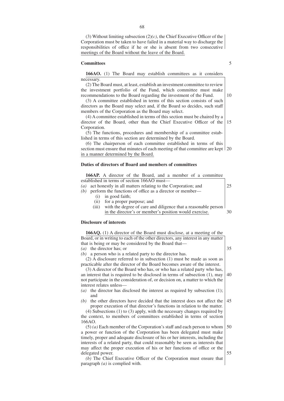(3) Without limiting subsection (2)*(c)*, the Chief Executive Officer of the Corporation must be taken to have failed in a material way to discharge the responsibilities of office if he or she is absent from two consecutive meetings of the Board without the leave of the Board.

#### **Committees**

**166AO.** (1) The Board may establish committees as it considers necessary.

(2) The Board must, at least, establish an investment committee to review the investment portfolio of the Fund, which committee must make recommendations to the Board regarding the investment of the Fund.

(3) A committee established in terms of this section consists of such directors as the Board may select and, if the Board so decides, such staff members of the Corporation as the Board may select.

(4) A committee established in terms of this section must be chaired by a director of the Board, other than the Chief Executive Officer of the Corporation. 15

(5) The functions, procedures and membership of a committee established in terms of this section are determined by the Board.

(6) The chairperson of each committee established in terms of this section must ensure that minutes of each meeting of that committee are kept 20 in a manner determined by the Board.

## **Duties of directors of Board and members of committees**

**166AP.** A director of the Board, and a member of a committee established in terms of section 166AO must—

- *(a)* act honestly in all matters relating to the Corporation; and *(b)* perform the functions of office as a director or member-(i) in good faith; (ii) for a proper purpose; and 25
	- (iii) with the degree of care and diligence that a reasonable person
	- in the director's or member's position would exercise. 30

# **Disclosure of interests**

| <b>166AQ.</b> (1) A director of the Board must disclose, at a meeting of the    |    |
|---------------------------------------------------------------------------------|----|
| Board, or in writing to each of the other directors, any interest in any matter |    |
| that is being or may be considered by the Board that—                           |    |
| the director has; or<br>(a)                                                     | 35 |
| a person who is a related party to the director has.<br>(b)                     |    |
| $(2)$ A disclosure referred to in subsection $(1)$ must be made as soon as      |    |
| practicable after the director of the Board becomes aware of the interest.      |    |
| (3) A director of the Board who has, or who has a related party who has,        |    |
| an interest that is required to be disclosed in terms of subsection $(1)$ , may | 40 |
| not participate in the consideration of, or decision on, a matter to which the  |    |
| interest relates unless—                                                        |    |
| the director has disclosed the interest as required by subsection (1);<br>(a)   |    |
| and                                                                             |    |
| the other directors have decided that the interest does not affect the<br>(b)   | 45 |
| proper execution of that director's functions in relation to the matter.        |    |
| $(4)$ Subsections $(1)$ to $(3)$ apply, with the necessary changes required by  |    |
| the context, to members of committees established in terms of section           |    |
| 166AO.                                                                          |    |
| $(5)$ (a) Each member of the Corporation's staff and each person to whom        | 50 |
| a power or function of the Corporation has been delegated must make             |    |
| timely, proper and adequate disclosure of his or her interests, including the   |    |
| interests of a related party, that could reasonably be seen as interests that   |    |
| may affect the proper execution of his or her functions of office or the        |    |
| delegated power.                                                                | 55 |

*(b)* The Chief Executive Officer of the Corporation must ensure that paragraph *(a)* is complied with.

5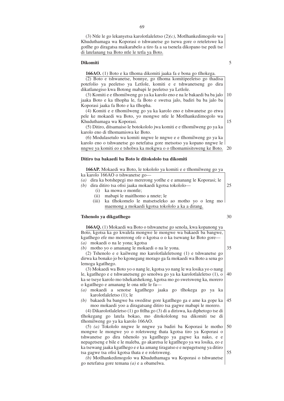(3) Ntle le go lekanyetsa karolotlaleletso (2)*(c)*, Motlhankedimogolo wa Khuduthamaga wa Koporasi o tshwanetse go tsewa gore o reteletswe ka gotlhe go diragatsa maikarabelo a tiro fa a sa tsenela dikopano tse pedi tse di latelanang tsa Boto ntle le tetla ya Boto.

#### **Dikomiti**

**166AO.** (1) Boto e ka tlhoma dikomiti jaaka fa e bona go tlhokega.

(2) Boto e tshwanetse, bonnye, go tlhoma komitipeeletso go thadisa potefolio ya peeletso ya Letlole, komiti e e tshwanetseng go dira dikatlanegiso kwa Botong mabapi le peeletso ya Letlole.

(3) Komiti e e tlhomilweng go ya ka karolo eno e na le bakaedi ba ba jalo jaaka Boto e ka tlhopha le, fa Boto e swetsa jalo, badiri ba ba jalo ba Koporasi jaaka fa Boto e ka tlhopha. 10

(4) Komiti e e tlhomilweng go ya ka karolo eno e tshwanetse go etwa pele ke mokaedi wa Boto, yo mongwe ntle le Motlhankedimogolo wa Khuduthamaga wa Koporasi.

(5) Ditiro, ditsamaiso le botokololo jwa komiti e e tlhomilweng go ya ka karolo eno di tlhomamiswa ke Boto.

(6) Modulasetulo wa komiti nngwe le nngwe e e tlhomilweng go ya ka karolo eno o tshwanetse go netefatsa gore metsotso ya kopano nngwe le nngwe ya komiti eo e tsholwa ka mokgwa o o tlhomamisitsweng ke Boto. 20

#### **Ditiro tsa bakaedi ba Boto le ditokololo tsa dikomiti**

**166AP.** Mokaedi wa Boto, le tokololo ya komiti e e tlhomilweng go ya ka karolo 166AO o tshwanetse go— *(a)* dira ka botshepegi mo mererong yotlhe e e amanang le Koporasi; le *(b)* dira ditiro tsa ofisi jaaka mokaedi kgotsa tokololo— (i) ka mowa o montle; 25

- (ii) mabapi le maitlhomo a nnete; le
- (iii) ka tlhokomelo le matsetseleko ao motho yo o leng mo maemong a mokaedi kgotsa tokololo a ka a dirang.

# **Tshenolo ya dikgatlhego**

**166AQ.** (1) Mokaedi wa Boto o tshwanetse go senola, kwa kopanong ya Boto, kgotsa ka go kwalela mongwe le mongwe wa bakaedi ba bangwe, kgatlhego efe mo morerong ofe o kgotsa o o ka tsewang ke Boto gore— *(a)* mokaedi o na le yona; kgotsa

*(b)* motho yo o amanang le mokaedi o na le yona.

(2) Tshenolo e e kailweng mo karolotlaleletsong (1) e tshwanetse go dirwa ka bonako jo bo kgonegang morago ga fa mokaedi wa Boto a sena go lemoga kgatlhego.

(3) Mokaedi wa Boto yo o nang le, kgotsa yo nang le wa losika yo o nang le, kgatlhego e e tshwanetseng go senolwa go ya ka karolotlaleletso (1), o ka se tseye karolo mo tshekatshekong, kgotsa mo go swetsweng ka, morero o kgatlhego e amanang le ona ntle le fa— 40

- *(a)* mokaedi a senotse kgatlhego jaaka go tlhokega go ya ka karolotlaleletso (1); le
- *(b)* bakaedi ba bangwe ba sweditse gore kgatlhego ga e ame ka gope ka moo mokaedi yoo a diragatsang ditiro tsa gagwe mabapi le morero. 45

(4) Dikarolotlaleletso (1) go fitlha go (3) di a diriswa, ka diphetogo tse di tlhokegang go latela bokao, mo ditokololong tsa dikomiti tse di tlhomilweng go ya ka karolo 166AO.

(5) *(a)* Tokololo nngwe le nngwe ya badiri ba Koporasi le motho mongwe le mongwe yo o roletsweng thata kgotsa tiro ya Koporasi o tshwanetse go dira tshenolo ya kgatlhego ya gagwe ka nako, e e nepagetseng e bile e le maleba, go akaretsa le kgatlhego ya wa losika, eo e ka tsewang jaaka kgatlhego e e ka amang tiragatso e e nepagetseng ya ditiro tsa gagwe tsa ofisi kgotsa thata e e roletsweng. 50 55

*(b)* Motlhankedimogolo wa Khuduthamaga wa Koporasi o tshwanetse go netefatsa gore temana *(a)* e a obamelwa.

5

15

30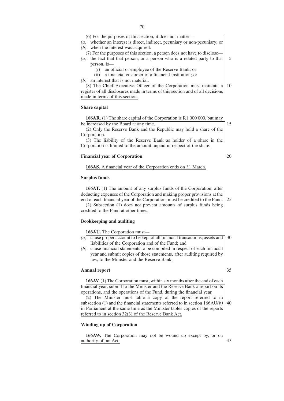*(b)* when the interest was acquired.

(7) For the purposes of this section, a person does not have to disclose—

- *(a)* the fact that that person, or a person who is a related party to that person, is— 5
	- (i) an official or employee of the Reserve Bank; or
	- (ii) a financial customer of a financial institution; or

*(b)* an interest that is not material.

(8) The Chief Executive Officer of the Corporation must maintain a register of all disclosures made in terms of this section and of all decisions made in terms of this section. 10

#### **Share capital**

**166AR.** (1) The share capital of the Corporation is R1 000 000, but may be increased by the Board at any time.

(2) Only the Reserve Bank and the Republic may hold a share of the Corporation.

(3) The liability of the Reserve Bank as holder of a share in the Corporation is limited to the amount unpaid in respect of the share.

#### **Financial year of Corporation**

**166AS.** A financial year of the Corporation ends on 31 March.

#### **Surplus funds**

**166AT.** (1) The amount of any surplus funds of the Corporation, after deducting expenses of the Corporation and making proper provisions at the end of each financial year of the Corporation, must be credited to the Fund. 25

(2) Subsection (1) does not prevent amounts of surplus funds being credited to the Fund at other times.

#### **Bookkeeping and auditing**

**166AU.** The Corporation must—

- *(a)* cause proper account to be kept of all financial transactions, assets and 30 liabilities of the Corporation and of the Fund; and
- *(b)* cause financial statements to be compiled in respect of each financial year and submit copies of those statements, after auditing required by law, to the Minister and the Reserve Bank.

#### **Annual report**

**166AV.** (1) The Corporation must, within six months after the end of each financial year, submit to the Minister and the Reserve Bank a report on its operations, and the operations of the Fund, during the financial year.

(2) The Minister must table a copy of the report referred to in subsection (1) and the financial statements referred to in section 166AU*(b)* in Parliament at the same time as the Minister tables copies of the reports referred to in section 32(3) of the Reserve Bank Act. 40

#### **Winding up of Corporation**

**166AW.** The Corporation may not be wound up except by, or on authority of, an Act. 45

70

## 35

15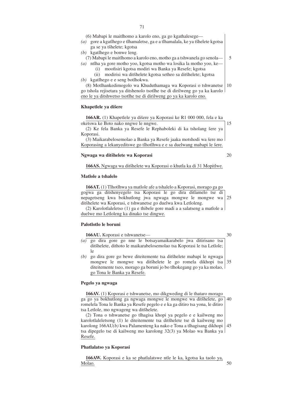(6) Mabapi le maitlhomo a karolo eno, ga go kgathalesege—

- *(a)* gore a kgatlhego e tlhamaletse, ga e a tlhamalala, ke ya tšhelete kgotsa ga se ya tšhelete; kgotsa
- *(b)* kgatlhego e bonwe leng.

(7) Mabapi le maitlhomo a karolo eno, motho ga a tshwanela go senola—

- *(a)* ntlha ya gore motho yoo, kgotsa motho wa losika la motho yoo, ke—
	- (i) moofisiri kgotsa modiri wa Banka ya Resefe; kgotsa
- (ii) modirisi wa ditšhelete kgotsa setheo sa ditšhelete; kgotsa *(b)* kgatlhego e e seng botlhokwa.

(8) Motlhankedimogolo wa Khuduthamaga wa Koporasi o tshwanetse go tshola rejisetara ya ditshenolo tsotlhe tse di dirilweng go ya ka karolo eno le ya ditshwetso tsotlhe tse di dirilweng go ya ka karolo eno. 10

# **Khapetlele ya dišere**

**166AR.** (1) Khapetlele ya dišere ya Koporasi ke R1 000 000, fela e ka oketswa ke Boto nako nngwe le nngwe.

(2) Ke fela Banka ya Resefe le Rephaboleki di ka tsholang šere ya Koporasi.

(3) Maikarabelosemolao a Banka ya Resefe jaaka motshodi wa šere mo Koporasing a lekanyeditswe go tlhotlhwa e e sa duelwang mabapi le šere.

# **Ngwaga wa ditsˇhelete wa Koporasi**

166AS. Ngwaga wa ditšhelete wa Koporasi o khutla ka di 31 Mopitlwe.

#### **Matlole a tshalelo**

**166AT.** (1) Tlhotlhwa ya matlole afe a tshalelo a Koporasi, morago ga go gogwa ga ditshenyegelo tsa Koporasi le go dira ditlamelo tse di nepagetseng kwa bokhutlong jwa ngwaga mongwe le mongwe wa ditšhelete wa Koporasi, e tshwanetse go duelwa kwa Letloleng. 25

(2) Karolotlaleletso (1) ga e thibele gore madi a a salatseng a matlole a duelwe mo Letloleng ka dinako tse dingwe.

#### **Palotlotlo le boruni**

**166AU.** Koporasi e tshwanetse— 30

- *(a)* go dira gore go nne le botsayamaikarabelo jwa ditirisano tsa ditšhelete, dithoto le maikarabelosemolao tsa Koporasi le tsa Letlole; le
- *(b)* go dira gore go bewe diteitemente tsa ditšhelete mabapi le ngwaga mongwe le mongwe wa ditšhelete le go romela dikhopi tsa diteitemente tseo, morago ga boruni jo bo tlhokegang go ya ka molao, go Tona le Banka ya Resefe. 35

#### **Pegelo ya ngwaga**

**166AV.** (1) Koporasi e tshwanetse, mo dikgweding di le thataro morago ga go ya bokhutlong ga ngwaga mongwe le mongwe wa ditšhelete, go romelela Tona le Banka ya Resefe pegelo e e ka ga ditiro tsa yona, le ditiro tsa Letlole, mo ngwageng wa ditšhelete. 40

(2) Tona o tshwanetse go tlhagisa khopi ya pegelo e e kailweng mo karolotlaleletsong (1) le diteitemente tsa ditšhelete tse di kailweng mo karolong 166AU*(b)* kwa Palamenteng ka nako e Tona a tlhagisang dikhopi tsa dipegelo tse di kailweng mo karolong 32(3) ya Molao wa Banka ya Resefe. 45

#### **Phatlalatso ya Koporasi**

**166AW.** Koporasi e ka se phatlalatswe ntle le ka, kgotsa ka taolo ya, Molao.

20

15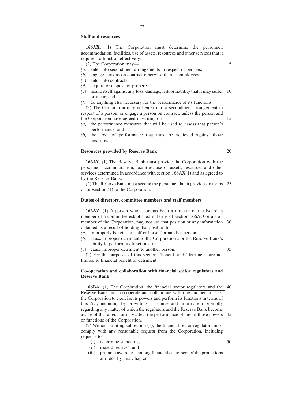#### **Staff and resources**

**166AX.** (1) The Corporation must determine the personnel, accommodation, facilities, use of assets, resources and other services that it requires to function effectively. (2) The Corporation may— *(a)* enter into secondment arrangements in respect of persons; *(b)* engage persons on contract otherwise than as employees; *(c)* enter into contracts; *(d)* acquire or dispose of property; *(e)* insure itself against any loss, damage, risk or liability that it may suffer or incur; and *(f)* do anything else necessary for the performance of its functions. (3) The Corporation may not enter into a secondment arrangement in respect of a person, or engage a person on contract, unless the person and the Corporation have agreed in writing on— *(a)* the performance measures that will be used to assess that person's performance; and *(b)* the level of performance that must be achieved against those measures.

# **Resources provided by Reserve Bank**

**166AY.** (1) The Reserve Bank must provide the Corporation with the personnel, accommodation, facilities, use of assets, resources and other services determined in accordance with section 166AX(1) and as agreed to by the Reserve Bank.

(2) The Reserve Bank must second the personnel that it provides in terms 25 of subsection (1) to the Corporation.

#### **Duties of directors, committee members and staff members**

**166AZ.** (1) A person who is or has been a director of the Board, a member of a committee established in terms of section 166AO or a staff member of the Corporation, may not use that position or any information obtained as a result of holding that position to— 30

- *(a)* improperly benefit himself or herself or another person;
- *(b)* cause improper detriment to the Corporation's or the Reserve Bank's ability to perform its functions; or

*(c)* cause improper detriment to another person.

(2) For the purposes of this section, 'benefit' and 'detriment' are not limited to financial benefit or detriment.

## **Co-operation and collaboration with financial sector regulators and Reserve Bank**

**166BA.** (1) The Corporation, the financial sector regulators and the 40 Reserve Bank must co-operate and collaborate with one another to assist the Corporation to exercise its powers and perform its functions in terms of this Act, including by providing assistance and information promptly regarding any matter of which the regulators and the Reserve Bank become aware of that affects or may affect the performance of any of those powers or functions of the Corporation. 45

(2) Without limiting subsection (1), the financial sector regulators must comply with any reasonable request from the Corporation, including requests to

- (i) determine standards;
- (ii) issue directives; and
- (iii) promote awareness among financial customers of the protections afforded by this Chapter.

20

5

10

15

50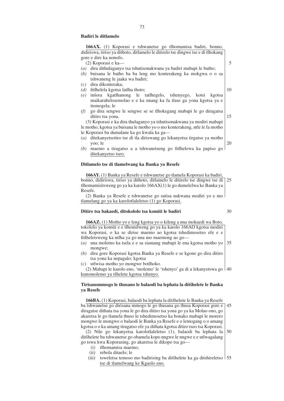#### **Badiri le ditlamelo**

**166AX.** (1) Koporasi e tshwanetse go tlhomamisa badiri, bonno, didiriswa, tiriso ya dithoto, ditlamelo le ditirelo tse dingwe tse e di tlhokang gore e dire ka nonofo. (2) Koporasi e ka— *(a)* dira dithulaganyo tsa tshutisonakwana ya badiri mabapi le batho; *(b)* buisana le batho ba ba leng mo konterakeng ka mokgwa o o sa tshwaneng le jaaka wa badiri; *(c)* dira dikonteraka; *(d)* fitlhelela kgotsa latlha thoto; *(e)* ins`ora kgatlhanong le tatlhegelo, tshenyego, kotsi kgotsa maikarabelosemolao e e ka nnang ka fa tlase ga yona kgotsa ya e itemogela; le *(f)* go dira sengwe le sengwe se se tlhokegang mabapi le go diragatsa ditiro tsa yona. (3) Koporasi e ka dira thulaganyo ya tshutisonakwana ya modiri mabapi le motho, kgotsa ya buisana le motho yo o mo konterakeng, ntle le fa motho le Koporasi ba dumalane ka go kwala ka ga— *(a)* ditekanyetsotiro tse di tla diriswang go lekanyetsa tirgatso ya motho yoo; le *(b)* maemo a tiragatso a a tshwanetseng go fitlhelewa ka papiso go ditekanyetso tseo. 10 15 20

### **Ditlamelo tse di tlamelwang ka Banka ya Resefe**

**166AY.** (1) Banka ya Resefe e tshwanetse go tlamela Koporasi ka badiri, bonno, didiriswa, tiriso ya dithoto, ditlamelo le ditirelo tse dingwe tse di 25 tlhomamisitsweng go ya ka karolo 166AX(1) le go dumelelwa ke Banka ya Resefe.

(2) Banka ya Resefe e tshwanetse go sutisa nakwana modiri yo e mo tlamelang go ya ka karolotlaleletso (1) go Koporasi.

# **Ditiro tsa bakaedi, ditokololo tsa komiti le badiri**

# 30

**166AZ.** (1) Motho yo e leng kgotsa yo o kileng a nna mokaedi wa Boto, tokololo ya komiti e e tlhomilweng go ya ka karolo 166AO kgotsa modiri wa Koporasi, o ka se dirise maemo ao kgotsa tshedimosetso efe e e fitlheletsweng ka ntlha ya go nna mo maemong ao go—

- *(a)* una molemo ka tsela e e sa siamang mabapi le ena kgotsa motho yo mongwe; 35
- *(b)* dira gore Koporasi kgotsa Banka ya Resefe e se kgone go dira ditiro tsa yona ka nepagalo; kgotsa
- *(c)* utlwisa motho yo mongwe botlhoko.

(2) Mabapi le karolo eno, 'molemo' le 'tshenyo' ga di a lekanyetswa go 40 kunomolemo ya tšhelete kgotsa tshenyo.

# **Tirisanommogo le thusano le balaodi ba lephata la ditsˇhelete le Banka ya Resefe**

**166BA.** (1) Koporasi, balaodi ba lephata la ditšhelete le Banka ya Resefe ba tshwanetse go dirisana mmogo le go thusana go thusa Koporasi gore e 45 diragatse dithata tsa yona le go dira ditiro tsa yona go ya ka Molao ono, go akaretsa le go tlamela thuso le tshedimosetso ka bonako mabapi le morero mongwe le mongwe o balaodi le Banka ya Resefe e o lemogang o o amang kgotsa o o ka amang tiragatso efe ya dithata kgotsa ditiro tseo tsa Koporasi.

(2) Ntle go lekanyetsa karolotlaleletso (1), balaodi ba lephata la dits̆helete ba tshwanetse go obamela kopo nngwe le nngwe e e utlwagalang go tswa kwa Koporasing, go akaretsa le dikopo tsa go— 50

- (i) tlhomamisa maemo;
- (ii) rebola ditaelo; le
- (iii) tsweletsa temoso mo badirising ba ditšhelete ka ga ditshireletso  $\frac{155}{25}$ tse di tlamelwang ke Kgaolo eno.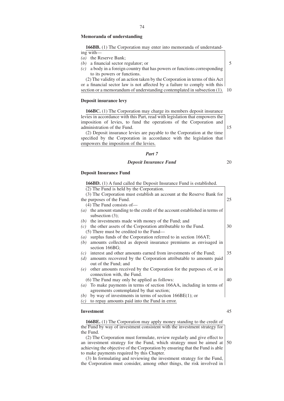# **Memoranda of understanding**

**166BB.** (1) The Corporation may enter into memoranda of understand-

ing with—

- *(a)* the Reserve Bank;
- *(b)* a financial sector regulator; or
- *(c)* a body in a foreign country that has powers or functions corresponding to its powers or functions.

(2) The validity of an action taken by the Corporation in terms of this Act or a financial sector law is not affected by a failure to comply with this section or a memorandum of understanding contemplated in subsection (1). 10

# **Deposit insurance levy**

**166BC.** (1) The Corporation may charge its members deposit insurance levies in accordance with this Part, read with legislation that empowers the imposition of levies, to fund the operations of the Corporation and administration of the Fund.

(2) Deposit insurance levies are payable to the Corporation at the time specified by the Corporation in accordance with the legislation that empowers the imposition of the levies.

### *Part 7*

#### *Deposit Insurance Fund*

20

15

5

# **Deposit Insurance Fund**

|                   | <b>166BD.</b> (1) A fund called the Deposit Insurance Fund is established. |    |
|-------------------|----------------------------------------------------------------------------|----|
|                   | $\overline{(2)}$ The Fund is held by the Corporation.                      |    |
|                   | (3) The Corporation must establish an account at the Reserve Bank for      |    |
|                   | the purposes of the Fund.                                                  | 25 |
|                   | $(4)$ The Fund consists of-                                                |    |
| $\left( a\right)$ | the amount standing to the credit of the account established in terms of   |    |
|                   | subsection $(3)$ ;                                                         |    |
| (b)               | the investments made with money of the Fund; and                           |    |
|                   | $(c)$ the other assets of the Corporation attributable to the Fund.        | 30 |
|                   | $(5)$ There must be credited to the Fund—                                  |    |
| $\left(a\right)$  | surplus funds of the Corporation referred to in section 166AT;             |    |
| (b)               | amounts collected as deposit insurance premiums as envisaged in            |    |
|                   | section 166BG;                                                             |    |
| (c)               | interest and other amounts earned from investments of the Fund;            | 35 |
| (d)               | amounts recovered by the Corporation attributable to amounts paid          |    |
|                   | out of the Fund; and                                                       |    |
| (e)               | other amounts received by the Corporation for the purposes of, or in       |    |
|                   | connection with, the Fund.                                                 |    |
|                   | (6) The Fund may only be applied as follows:                               | 40 |
| $\left( a\right)$ | To make payments in terms of section 166AA, including in terms of          |    |
|                   | agreements contemplated by that section;                                   |    |
| (b)               | by way of investments in terms of section $166BE(1)$ ; or                  |    |
| (c)               | to repay amounts paid into the Fund in error.                              |    |
|                   |                                                                            |    |
|                   | <b>Investment</b>                                                          | 45 |

**166BE.** (1) The Corporation may apply money standing to the credit of the Fund by way of investment consistent with the investment strategy for the Fund.

(2) The Corporation must formulate, review regularly and give effect to an investment strategy for the Fund, which strategy must be aimed at achieving the objective of the Corporation by ensuring that the Fund is able to make payments required by this Chapter. 50

(3) In formulating and reviewing the investment strategy for the Fund, the Corporation must consider, among other things, the risk involved in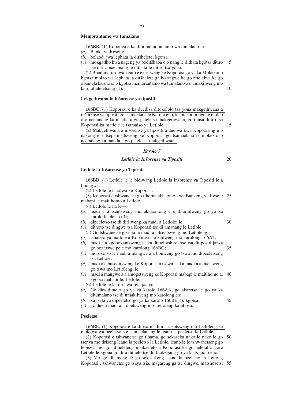## **Memorantamo wa tumalano**

#### **166BB.** (1) Koporasi e ka dira memorantamo wa tumalano le—

- *(a)* Banka ya Resefe;
- *(b)* bolaodi jwa lephata la ditšhelete; kgotsa
- *(c)* mokgatlho kwa nageng ya boditšhaba o o nang le dithata kgotsa ditiro tse di tsamaelanang le dithata le ditiro tsa yona. 5

(2) Boammaruri jwa kgato e e tserweng ke Koporasi go ya ka Molao ono kgotsa molao wa lephata la ditšhelete ga bo angwe ke go retelelwa ke go obamela karolo eno kgotsa memorantamo wa tumalano o o umakilweng mo karolotlaleletsong (1).

#### Lekgethwana la inšorense va tipositi

**166BC.** (1) Koporasi e ka duedisa ditokololo tsa yona makgethwana a insorense ya tipositi go tsamaelana le Karolo eno, ka puisommogo le molao o o neelanang ka maatla a go pateletsa makgethwana, go thusa ditiro tsa Koporasi ka matlole le tsamaiso ya Letlole.

(2) Makgethwana a inšorense ya tipositi a duelwa kwa Koporasing mo nakong e e tsepamisitsweng ke Koporasi go tsamaelana le molao o o neelanang ka maatla a go pateletsa makgethwana.

# *Karolo 7*

# *Letlole la Insˇorense ya Tipositi*

# Letlole la Inšorense ya Tipositi

| 166BD. (1) Letlole le le bidiwang Letlole la Inšorense ya Tipositi le a             |    |
|-------------------------------------------------------------------------------------|----|
| tlhongwa.                                                                           |    |
| (2) Letlole le tsholwa ke Koporasi.                                                 |    |
| (3) Koporasi e tshwanetse go tlhoma akhaonto kwa Bankeng ya Resefe                  | 25 |
| mabapi le maitlhomo a Letlole.                                                      |    |
| (4) Letlole le na le-                                                               |    |
| madi a a tsentsweng mo akhaontong e e tlhomilweng go ya ka<br>(a)                   |    |
| karolotlaleletso (3);                                                               |    |
| dipeeletso tse di dirilweng ka madi a Letlole; le<br>(b)                            | 30 |
| (c) dithoto tse dingwe tsa Koporasi tse di amanang le Letlole.                      |    |
| (5) Go tshwanetse go nna le madi a a tsentsweng mo Letloleng—                       |    |
| tshalelo ya matlole a Koporasi a a kailweng mo karolong 166AT;<br>(a)               |    |
| madi a a kgobokantsweng jaaka dituelotshireletso tsa ditipositi jaaka<br>(b)        |    |
| go bonetswe pele mo karolong 166BG;                                                 | 35 |
| morokotso le madi a mangwe a a bonweng go tswa mo dipeeletsong<br>(c)               |    |
| tsa Letlole;                                                                        |    |
| madi a a buseditsweng ke Koporasi a tsewa jaaka madi a a duetsweng<br>(d)           |    |
| go tswa mo Letloleng; le                                                            |    |
| madi a mangwe a a amogetsweng ke Koporasi mabapi le maitlhomo a,<br>(e)             | 40 |
| kgotsa mabapi le, Letlole.                                                          |    |
| (6) Letlole le ka diriswa fela jaana:                                               |    |
| Go dira dituelo go ya ka karolo 166AA, go akaretsa le go ya ka<br>$\left( a\right)$ |    |
| ditumalano tse di umakilweng mo karolong eo;                                        |    |
| ka tsela ya dipeeletso go ya ka karolo 166BE(1); kgotsa<br>(b)                      | 45 |
| go duela madi a a duetsweng mo Letloleng ka phoso.<br>(c)                           |    |
|                                                                                     |    |

# **Peeletso**

**166BE.** (1) Koporasi e ka dirisa madi a a tsentsweng mo Letloleng ka mokgwa wa peeletso e e tsamaelanang le leano la peeletso la Letlole.

(2) Koporasi e tshwanetse go tlhama, go sekaseka nako le nako le go tsenya mo tirisong leano la peeletso la Letlole, leano le le tshwanetseng go lebiswa mo go fitlheleleng maikaelelo a Koporasi ka go netefatsa gore Letlole le kgona go dira dituelo tse di tlhokegang go ya ka Kgaolo eno. 50

(3) Mo go tlhameng le go sekasekeng leano la peeletso la Letlole, Koporasi e tshwanetse go tsaya tsia, magareng ga tse dingwe, matshosetsi 55

10

15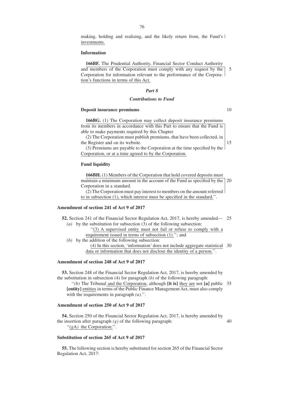making, holding and realising, and the likely return from, the Fund's investments.

# **Information**

**166BF.** The Prudential Authority, Financial Sector Conduct Authority and members of the Corporation must comply with any request by the Corporation for information relevant to the performance of the Corporation's functions in terms of this Act. 5

#### *Part 8*

# *Contributions to Fund*

#### **Deposit insurance premiums**

**166BG.** (1) The Corporation may collect deposit insurance premiums from its members in accordance with this Part to ensure that the Fund is able to make payments required by this Chapter.

(2) The Corporation must publish premiums, that have been collected, in the Register and on its website.

(3) Premiums are payable to the Corporation at the time specified by the Corporation, or at a time agreed to by the Corporation.

#### **Fund liquidity**

**166BH.** (1) Members of the Corporation that hold covered deposits must maintain a minimum amount in the account of the Fund as specified by the 20 Corporation in a standard.

(2) The Corporation must pay interest to members on the amount referred to in subsection (1), which interest must be specified in the standard.''.

# **Amendment of section 241 of Act 9 of 2017**

**52.** Section 241 of the Financial Sector Regulation Act, 2017, is hereby amended— 25 *(a)* by the substitution for subsection (3) of the following subsection:

''(3) A supervised entity must not fail or refuse to comply with a requirement issued in terms of subsection (1).''; and

*(b)* by the addition of the following subsection:

(4) In this section, 'information' does not include aggregate statistical 30 data or information that does not disclose the identity of a person.''.

# **Amendment of section 248 of Act 9 of 2017**

**53.** Section 248 of the Financial Sector Regulation Act, 2017, is hereby amended by the substitution in subsection (4) for paragraph *(b)* of the following paragraph:

''*(b)* The Tribunal and the Corporation, although **[it is]** they are not **[a]** public 35 **[entity]** entities in terms of the Public Finance Management Act, must also comply with the requirements in paragraph *(a)*.''.

# **Amendment of section 250 of Act 9 of 2017**

**54.** Section 250 of the Financial Sector Regulation Act, 2017, is hereby amended by the insertion after paragraph  $(g)$  of the following paragraph: ''*(g*A*)* the Corporation;''. 40

# **Substitution of section 265 of Act 9 of 2017**

**55.** The following section is hereby substituted for section 265 of the Financial Sector Regulation Act, 2017:

10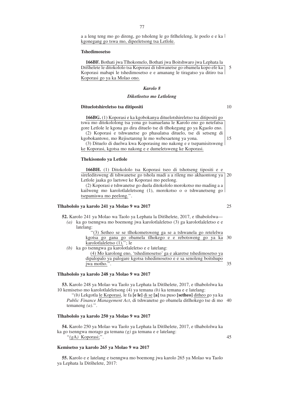a a leng teng mo go direng, go tsholeng le go fitlheleleng, le poelo e e ka kgonegang go tswa mo, dipeeletsong tsa Letlole.

#### **Tshedimosetso**

**166BF.** Bothati jwa Tlhokomelo, Bothati jwa Boitshwaro jwa Lephata la Ditšhelete le ditokololo tsa Koporasi di tshwanetse go obamela kopo efe ka Koporasi mabapi le tshedimosetso e e amanang le tiragatso ya ditiro tsa Koporasi go ya ka Molao ono. 5

# *Karolo 8*

# *Diketleetso mo Letloleng*

# **Dituelotshireletso tsa ditipositi**

**166BG.** (1) Koporasi e ka kgobokanya dituelotshireletso tsa ditipositi go tswa mo ditokololong tsa yona go tsamaelana le Karolo eno go netefatsa gore Letlole le kgona go dira dituelo tse di tlhokegang go ya Kgaolo eno. (2) Koporasi e tshwanetse go phasalatsa dituelo, tse di setseng di

kgobokantswe, mo Rejisetareng le mo webesaeteng ya yona. (3) Dituelo di duelwa kwa Koporasing mo nakong e e tsepamisitsweng ke Koporasi, kgotsa mo nakong e e dumeletsweng ke Koporasi.

# **Thekisonolo ya Letlole**

**166BH.** (1) Ditokololo tsa Koporasi tseo di tshotseng tipositi e e sireleditsweng di tshwanetse go tshola madi a a rileng mo akhaontong ya 20 Letlole jaaka go laetswe ke Koporasi mo peelong.

(2) Koporasi e tshwanetse go duela ditokololo morokotso mo mading a a kailweng mo karolotlaleletsong (1), morokotso o o tshwanetseng go tsepamiswa mo peelong.''.

### **Tlhabololo ya karolo 241 ya Molao 9 wa 2017**

**52.** Karolo 241 ya Molao wa Taolo ya Lephata la Ditšhelete, 2017, e tlhabololwa—

*(a)* ka go tsenngwa mo boemong jwa karolotlaleletso (3) ga karolotlaleletso e e latelang:

|                                                               | "(3) Setheo se se tlhokometsweng ga se a tshwanela go retelelwa |  |  |  |  |  |
|---------------------------------------------------------------|-----------------------------------------------------------------|--|--|--|--|--|
| kgotsa go gana go obamela tlhokego e e rebotsweng go ya ka 30 |                                                                 |  |  |  |  |  |
| karolotlaleletso (1)."; le                                    |                                                                 |  |  |  |  |  |

*(b)* ka go tsenngwa ga karolotlaleletso e e latelang: (4) Mo karolong eno, 'tshedimosetso' ga e akaretse tshedimosetso ya dipalopalo ya palogare kgotsa tshedimosetso e e sa senoleng boitshupo jwa motho.''. 35

# **Tlhabololo ya karolo 248 ya Molao 9 wa 2017**

**53.** Karolo 248 ya Molao wa Taolo ya Lephata la Ditšhelete, 2017, e tlhabololwa ka 10 kemisetso mo karolotlaleletsong (4) ya temana *(b)* ka temana e e latelang:

''*(b)* Lekgotla le Koporasi, le fa **[e le]** di se **[a]** tsa puso **[setheo]** ditheo go ya ka *Public Finance Management Act*, di tshwanetse go obamela ditlhokego tse di mo 40 temaneng *(a)*.''.

# **Tlhabololo ya karolo 250 ya Molao 9 wa 2017**

54. Karolo 250 ya Molao wa Taolo ya Lephata la Ditšhelete, 2017, e tlhabololwa ka ka go tsenngwa morago ga temana *(g)* ga temana e e latelang: ''*(g*A*)* Koporasi;''.

#### **Kemisetso ya karolo 265 ya Molao 9 wa 2017**

**55.** Karolo e e latelang e tsenngwa mo boemong jwa karolo 265 ya Molao wa Taolo ya Lephata la Ditšhelete, 2017:

# 10

15

25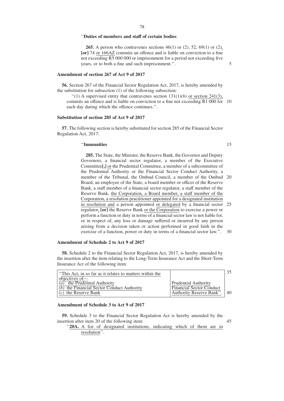# ''**Duties of members and staff of certain bodies**

**265.** A person who contravenes sections 46(1) or (2), 52, 69(1) or (2), **[or]** 74 or 166AZ commits an offence and is liable on conviction to a fine not exceeding R5 000 000 or imprisonment for a period not exceeding five years, or to both a fine and such imprisonment.''.

#### **Amendment of section 267 of Act 9 of 2017**

**56.** Section 267 of the Financial Sector Regulation Act, 2017, is hereby amended by the substitution for subsection (1) of the following subsection:

 $''(1)$  A supervised entity that contravenes section  $131(1)(b)$  or section 241(3), commits an offence and is liable on conviction to a fine not exceeding R1 000 for 10 each day during which the offence continues.''.

## **Substitution of section 285 of Act 9 of 2017**

**57.** The following section is hereby substituted for section 285 of the Financial Sector Regulation Act, 2017:

#### ''**Immunities**

15

5

**285.** The State, the Minister, the Reserve Bank, the Governor and Deputy Governors, a financial sector regulator, a member of the Executive Committee**[,]** or the Prudential Committee, a member of a subcommittee of the Prudential Authority or the Financial Sector Conduct Authority, a member of the Tribunal, the Ombud Council, a member of the Ombud 20 Board, an employee of the State, a board member or officer of the Reserve Bank, a staff member of a financial sector regulator, a staff member of the Reserve Bank, the Corporation, a Board member, a staff member of the Corporation, a resolution practitioner appointed for a designated institution in resolution and a person appointed or delegated by a financial sector 25 regulator, **[or]** the Reserve Bank or the Corporation to exercise a power or perform a function or duty in terms of a financial sector law is not liable for, or in respect of, any loss or damage suffered or incurred by any person arising from a decision taken or action performed in good faith in the exercise of a function, power or duty in terms of a financial sector law.''. 30

# **Amendment of Schedule 2 to Act 9 of 2017**

**58.** Schedule 2 to the Financial Sector Regulation Act, 2017, is hereby amended by the insertion after the item relating to the Long-Term Insurance Act and the Short-Term Insurance Act of the following item:

| "This Act, in so far as it relates to matters within the |                                 |    |
|----------------------------------------------------------|---------------------------------|----|
| objectives of—                                           |                                 |    |
| the Prudential Authority<br>$\left( a\right)$            | <b>Prudential Authority</b>     |    |
| $\overline{(b)}$ the Financial Sector Conduct Authority  | <b>Financial Sector Conduct</b> |    |
| $(c)$ the Reserve Bank                                   | Authority Reserve Bank".        | 40 |
|                                                          |                                 |    |

# **Amendment of Schedule 3 to Act 9 of 2017**

**59.** Schedule 3 to the Financial Sector Regulation Act is hereby amended by the insertion after item 20 of the following item:

"20A. A list of designated institutions, indicating which of them are in resolution''.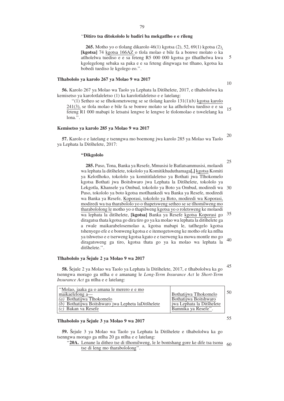## ''**Ditiro tsa ditokololo le badiri ba mekgatlho e e rileng**

**265.** Motho yo o tlolang dikarolo 46(1) kgotsa (2), 52, 69(1) kgotsa (2), **[kgotsa]** 74 kgotsa 166AZ o tlola molao e bile fa a bonwe molato o ka atlholelwa tuediso e e sa feteng R5 000 000 kgotsa go tlhatlhelwa kwa kgolegelong sebaka sa paka e e sa feteng dingwaga tse tlhano, kgotsa ka bobedi tuediso le kgolego eo.''. 5

#### **Tlhabololo ya karolo 267 ya Molao 9 wa 2017**

56. Karolo 267 ya Molao wa Taolo ya Lephata la Ditšhelete, 2017, e tlhabololwa ka kemisetso ya karolotlaleletso (1) ka karolotlaleletso e e latelang:

''(1) Setheo se se tlhokometsweng se se tlolang karolo 131(1)*(b)* kgotsa karolo 241(3), se tlola molao e bile fa se bonwe molato se ka atlholelwa tuediso e e sa feteng R1 000 mabapi le letsatsi lengwe le lengwe le tlolomolao e tswelelang ka lona.''. 15

#### **Kemisetso ya karolo 285 ya Molao 9 wa 2017**

**57.** Karolo e e latelang e tsenngwa mo boemong jwa karolo 285 ya Molao wa Taolo va Lephata la Ditšhelete, 2017: 20

#### **''Dikgololo**

**285.** Puso, Tona, Banka ya Resefe, Mmusisi le Batlatsammusisi, molaodi wa lephata la ditsˇhelete, tokololo ya Komitikhuduthamaga**[,]** kgotsa Komiti ya Kelotlhoko, tokololo ya komititlaleletso ya Bothati jwa Tlhokomelo kgotsa Bothati jwa Boitshwaro jwa Lephata la Ditšhelete, tokololo ya Lekgotla, Khansele ya Ombud, tokololo ya Boto ya Ombud, modiredi wa Puso, tokololo ya boto kgotsa motlhankedi wa Banka ya Resefe, modiredi wa Banka ya Resefe, Koporasi, tokololo ya Boto, modiredi wa Koporasi, modiredi wa tsa tharabololo yo o thapetsweng setheo se se tlhomilweng mo tharabololong le motho yo o thapilweng kgotsa yo o roletsweng ke molaodi wa lephata la ditšhelete, **[kgotsa]** Banka ya Resefe kgotsa Koporasi go diragatsa thata kgotsa go dira tiro go ya ka molao wa lephata la ditšhelete ga a rwale maikarabelosemolao a, kgotsa mabapi le, tatlhegelo kgotsa tshenyego efe e e bonweng kgotsa e e itemogetsweng ke motho ofe ka ntlha ya tshwetso e e tserweng kgotsa kgato e e tserweng ka mowa montle mo go diragatsweng ga tiro, kgotsa thata go ya ka molao wa lephata la ditšhelete.". 30 35 40

# Tlhabololo ya Šejule 2 ya Molao 9 wa 2017

58. Šejule 2 ya Molao wa Taolo ya Lephata la Ditšhelete, 2017, e tlhabololwa ka go tsenngwa morago ga ntlha e e amanang le *Long-Term Insurance Act* le *Short-Term Insurance Act* ga ntlha e e latelang:

| "Molao, jaaka ga o amana le merero e e mo            |                           | 50 |
|------------------------------------------------------|---------------------------|----|
| $maikaelelong$ $a$ —                                 | Bothatijwa Tlhokomelo     |    |
| (a) Bothatiiwa Tlhokomelo                            | Bothatijwa Boitshwaro     |    |
| $(b)$ Bothatijwa Boitshwaro jwa Lepheta laDitšhelete | jwa Lephata la Ditšhelete |    |
| $(c)$ Bakan va Resefe                                | Bamnika ya Resefe".       |    |

#### Tlhabololo ya Šejule 3 ya Molao 9 wa 2017

**59.** Šejule 3 ya Molao wa Taolo ya Lephata la Ditšhelete e tlhabololwa ka go tsenngwa morago ga ntlha 20 ga ntlha e e latelang:

# "20A. Lenane la ditheo tse di tlhomilweng, le le bontshang gore ke dife tsa tsona<sub>60</sub> tse di leng mo tharabololong''.

10

25

45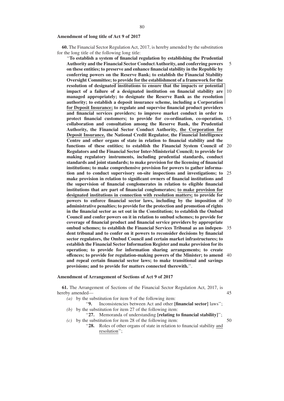#### **Amendment of long title of Act 9 of 2017**

**60.** The Financial Sector Regulation Act, 2017, is hereby amended by the substitution for the long title of the following long title:

''**To establish a system of financial regulation by establishing the Prudential Authority and the Financial Sector Conduct Authority, and conferring powers on these entities; to preserve and enhance financial stability in the Republic by conferring powers on the Reserve Bank; to establish the Financial Stability Oversight Committee; to provide for the establishment of a framework for the resolution of designated institutions to ensure that the impacts or potential impact of a failure of a designated institution on financial stability are managed appropriately; to designate the Reserve Bank as the resolution authority; to establish a deposit insurance scheme, including a Corporation for Deposit Insurance; to regulate and supervise financial product providers and financial services providers; to improve market conduct in order to protect financial customers; to provide for co-ordination, co-operation,** 15 **collaboration and consultation among the Reserve Bank, the Prudential Authority, the Financial Sector Conduct Authority, the Corporation for Deposit Insurance, the National Credit Regulator, the Financial Intelligence Centre and other organs of state in relation to financial stability and the functions of these entities; to establish the Financial System Council of** 20 **Regulators and the Financial Sector Inter-Ministerial Council; to provide for making regulatory instruments, including prudential standards, conduct standards and joint standards; to make provision for the licensing of financial institutions; to make comprehensive provision for powers to gather information and to conduct supervisory on-site inspections and investigations; to make provision in relation to significant owners of financial institutions and the supervision of financial conglomerates in relation to eligible financial institutions that are part of financial conglomerates; to make provision for designated institutions in connection with resolution matters; to provide for powers to enforce financial sector laws, including by the imposition of** 30 **administrative penalties; to provide for the protection and promotion of rights in the financial sector as set out in the Constitution; to establish the Ombud Council and confer powers on it in relation to ombud schemes; to provide for coverage of financial product and financial service providers by appropriate ombud schemes; to establish the Financial Services Tribunal as an indepen-**35 **dent tribunal and to confer on it powers to reconsider decisions by financial sector regulators, the Ombud Council and certain market infrastructures; to establish the Financial Sector Information Register and make provision for its operation; to provide for information sharing arrangements; to create offences; to provide for regulation-making powers of the Minister; to amend** 40 **and repeal certain financial sector laws; to make transitional and savings provisions; and to provide for matters connected therewith.**''. 5 10 25

#### **Amendment of Arrangement of Sections of Act 9 of 2017**

**61.** The Arrangement of Sections of the Financial Sector Regulation Act, 2017, is hereby amended— 45

- *(a)* by the substitution for item 9 of the following item:
- ''**9.** Inconsistencies between Act and other **[financial sector]** laws''; *(b)* by the substitution for item 27 of the following item:
- ''**27.** Memoranda of understanding **[relating to financial stability]**''; *(c)* by the substitution for item 28 of the following item:
- 50
- ''**28.** Roles of other organs of state in relation to financial stability and resolution'';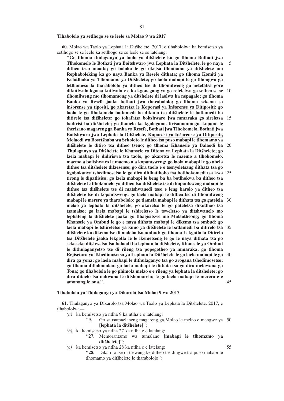#### **Tlhabololo ya setlhogo se se leele sa Molao 9 wa 2017**

**60.** Molao wa Taolo ya Lephata la Ditsˇhelete, 2017, o tlhabololwa ka kemisetso ya setlhogo se se leele ka setlhogo se se leele se se latelang:

''**Go tlhoma thulaganyo ya taolo ya ditsˇhelete ka go tlhoma Bothati jwa Tlhokomelo le Bothati jwa Boitshwaro jwa Lephata la Ditsˇhelete, le go naya** ditheo tseo maatla; go boloka le go oketsa tlhomamo ya ditšhelete mo **Rephaboleking ka go naya Banka ya Resefe dithata; go tlhoma Komiti ya Kelotlhoko ya Tlhomamo ya Ditsˇhelete; go laola mabapi le go tlhongwa ga letlhomeso la tharabololo ya ditheo tse di tlhomilweng go netefatsa gore dikutlwalo kgotsa kutlwalo e e ka kgonegang ya go retelelwa ga setheo se se tlhomilweng mo tlhomamong ya ditsˇhelete di laolwa ka nepagalo; go tlhoma Banka ya Resefe jaaka bothati jwa tharabololo; go tlhoma sekema sa insˇorense ya tipositi, go akaretsa le Koporasi ya Insˇorense ya Ditipositi; go laola le go tlhokomela batlamedi ba dikuno tsa ditsˇhelete le batlamedi ba** ditirelo tsa ditšhelete; go tokafatsa boitshwaro jwa mmaraka go sireletsa 15 badirisi ba ditšhelete; go tlamela ka kgolagano, tirisanommogo, kopano le **therisano magareng ga Banka ya Resefe, Bothati jwa Tlhokomelo, Bothati jwa** Boitshwaro jwa Lephata la Ditšhelete, Koporasi ya Inšorense ya Ditipositi, **Molaodi wa Bosetsˇhaba wa Sekoloto le ditheo tsa puso mabapi le tlhomamo ya ditsˇhelete le ditiro tsa ditheo tseno; go tlhoma Khansele ya Balaodi ba** 20 **Thulaganyo ya Ditšhelete le Khansele ya Ditona ya Lephata la Ditšhelete; go laela mabapi le didiriswa tsa taolo, go akaretsa le maemo a tlhokomelo, maemo a boitshwaro le maemo a a kopantsweng; go laola mabapi le go abela ditheo tsa ditsˇhelete dilaesense; go dira taolo e e tsenyeletsang dithata tsa go kgobokanya tshedimosetso le go dira ditlhatlhobo tsa botlhokomedi tsa kwa** 25 **tirong le dipatlisiso; go laela mabapi le beng ba ba botlhokwa ba ditheo tsa ditsˇhelete le tlhokomelo ya ditheo tsa ditsˇhelete tse di kopantsweng mabapi le ditheo tsa ditsˇhelete tse di matshwanedi tseo e leng karolo ya ditheo tsa ditsˇhelete tse di kopantsweng; go laela mabapi le ditheo tse di tlhomilweng mabapi le merero ya tharabololo; go tlamela mabapi le dithata tsa go gatelela melao ya lephata la ditsˇhelete, go akaretsa le go pateletsa dikotlhao tsa tsamaiso; go laela mabapi le tshireletso le tsweletso ya ditshwanelo mo lephateng la ditsˇhelete jaaka go tlhagisitswe mo Molaotheong; go tlhoma Khansele ya Ombud le go e naya dithata mabapi le dikema tsa ombud; go** laela mabapi le tshireletso ya kuno ya ditšhelete le batlamedi ba ditirelo tsa 35 **ditsˇhelete ka dikema tse di maleba tsa ombud; go tlhoma Lekgotla la Ditirelo tsa Ditsˇhelete jaaka lekgotla le le ikemetseng le go le naya dithata tsa go** sekaseka ditshwetso tsa balaodi ba lephata la ditšhelete, Khansele ya Ombud **le dithulaganyetso tse di rileng tsa popegotheo ya mmaraka; go tlhoma** Rejisetara ya Tshedimosetso ya Lephata la Ditšhelete le go laela mabapi le go 40 **dira ga yona; go laela mabapi le dithulaganyo tsa go arogana tshedimosetso; go tlhama ditlolomolao; go laela mabapi le dithata tsa go dira melawana ga Tona; go tlhabolola le go phimola melao e e rileng ya lephata la ditšhelete; go dira ditaelo tsa nakwana le ditshomarelo; le go laela mabapi le merero e e amanang le ona.**''. 5 10 30 45

#### **Tlhabololo ya Thulaganyo ya Dikarolo tsa Molao 9 wa 2017**

61. Thulaganyo ya Dikarolo tsa Molao wa Taolo ya Lephata la Ditšhelete, 2017, e tlhabololwa—

- *(a)* ka kemisetso ya ntlha 9 ka ntlha e e latelang:
	- ''**9.** Go sa tsamaelaneng magareng ga Molao le melao e mengwe ya 50 [lephata la ditšhelete]";
- *(b)* ka kemisetso ya ntlha 27 ka ntlha e e latelang:
	- ''**27.** Memorantamo wa tumalano **[mabapi le tlhomamo ya** ditšheletel":
- *(c)* ka kemisetso ya ntlha 28 ka ntlha e e latelang: ''**28.** Dikarolo tse di tsewang ke ditheo tse dingwe tsa puso mabapi le tlhomamo ya ditšhelete le tharabololo";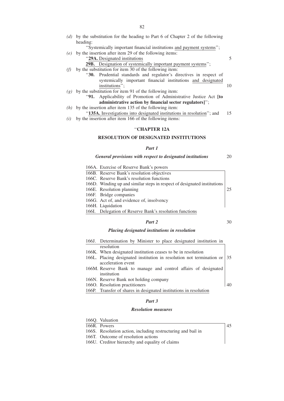*(d)* by the substitution for the heading to Part 6 of Chapter 2 of the following heading:

''Systemically important financial institutions and payment systems'';

- *(e)* by the insertion after item 29 of the following items:
	- ''**29A.** Designated institutions

## **29B.** Designation of systemically important payment systems'';

- *(f)* by the substitution for item 30 of the following item:
	- ''**30.** Prudential standards and regulator's directives in respect of systemically important financial institutions and designated institutions''; 10
- $(g)$  by the substitution for item 91 of the following item:
	- ''**91.** Applicability of Promotion of Administrative Justice Act **[to administrative action by financial sector regulators]**'';
- *(h)* by the insertion after item 135 of the following item:
- "135A. Investigations into designated institutions in resolution"; and 15
- *(i)* by the insertion after item 166 of the following items:

# ''**CHAPTER 12A**

# **RESOLUTION OF DESIGNATED INSTITUTIONS**

# *Part 1*

#### *General provisions with respect to designated institutions* 20

- 166A. Exercise of Reserve Bank's powers 166B. Reserve Bank's resolution objectives
- 166C. Reserve Bank's resolution functions
- 166D. Winding up and similar steps in respect of designated institutions
- 166E. Resolution planning
- 166F. Bridge companies
- 166G. Act of, and evidence of, insolvency
- 166H. Liquidation
- 166I. Delegation of Reserve Bank's resolution functions

# *Part 2*

# 30

45

25

5

# *Placing designated institutions in resolution*

| 166J. Determination by Minister to place designated institution in         |  |
|----------------------------------------------------------------------------|--|
| resolution                                                                 |  |
| 166K. When designated institution ceases to be in resolution               |  |
| 166L. Placing designated institution in resolution not termination or   35 |  |
| acceleration event                                                         |  |
| 166M. Reserve Bank to manage and control affairs of designated             |  |
| institution                                                                |  |
| 166N. Reserve Bank not holding company                                     |  |
| 166O. Resolution practitioners                                             |  |
| 166P. Transfer of shares in designated institutions in resolution          |  |

# *Part 3*

# *Resolution measures*

- 166Q. Valuation
- 166R. Powers
- 166S. Resolution action, including restructuring and bail in
- 166T. Outcome of resolution actions
- 166U. Creditor hierarchy and equality of claims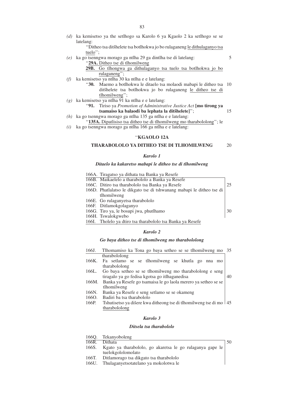*(d)* ka kemisetso ya the setlhogo sa Karolo 6 ya Kgaolo 2 ka setlhogo se se latelang:

"Ditheo tsa ditšhelete tsa botlhokwa jo bo rulaganeng le dithulaganyo tsa tuelo'';

- *(e)* ka go tsenngwa morago ga ntlha 29 ga dintlha tse di latelang: ''**29A.** Ditheo tse di tlhomilweng 5
	- **29B.** Go tlhongwa ga dithulaganyo tsa tuelo tsa botlhokwa jo bo rulaganeng'';
- *(f)* ka kemisetso ya ntlha  $30$  ka ntlha e e latelang:
	- "30. Maemo a botlhokwa le ditaelo tsa molaodi mabapi le ditheo tsa 10 dits̆helete tsa botlhokwa jo bo rulaganeng le ditheo tse di tlhomilweng'';
- *(g)* ka kemisetso ya ntlha 91 ka ntlha e e latelang:
	- ''**91.** Tiriso ya *Promotion of Administrative Justice Act* **[mo tirong ya** tsamaiso ka balaodi ba lephata la ditšhelete]"; 15
- *(h)* ka go tsenngwa morago ga ntlha 135 ga ntlha e e latelang: ''**135A.** Dipatlisiso tsa ditheo tse di tlhomilweng mo tharabololong''; le
- *(i)* ka go tsenngwa morago ga ntlha 166 ga ntlha e e latelang:

#### ''**KGAOLO 12A**

#### **THARABOLOLO YA DITHEO TSE DI TLHOMILWENG** 20

#### *Karolo 1*

#### *Ditaelo ka kakaretso mabapi le ditheo tse di tlhomilweng*

| 166A. Tiragatso ya dithata tsa Banka ya Resefe                        |    |
|-----------------------------------------------------------------------|----|
| 166B. Maikaelelo a tharabololo a Banka ya Resefe                      |    |
| 166C. Ditiro tsa tharabololo tsa Banka ya Resefe                      | 25 |
| 166D. Phatlalatso le dikgato tse di tshwanang mabapi le ditheo tse di |    |
| thomilweng                                                            |    |
| 166E. Go rulaganyetsa tharabololo                                     |    |
| 166F. Ditlamokgolaganyo                                               |    |
| 166G. Tiro ya, le bosupi jwa, phutlhamo                               | 30 |
| 166H. Tswalokgwebo                                                    |    |
| 166I. Tholelo ya dtiro tsa tharabololo tsa Banka ya Resefe            |    |

### *Karolo 2*

#### *Go baya ditheo tse di tlhomilweng mo tharabololong*

- 166J. Tlhomamiso ka Tona go baya setheo se se tlhomilweng mo tharabololong 166K. Fa setlamo se se tlhomilweng se khutla go nna mo tharabololong 166L. Go baya setheo se se tlhomilweng mo tharabololong e seng tiragalo ya go fedisa kgotsa go itlhaganedisa 166M. Banka ya Resefe go tsamaisa le go laola merero ya setheo se se 35 40
- tlhomilweng
- 166N. Banka ya Resefe e seng setlamo se se okameng
- 166O. Badiri ba tsa tharabololo
- 166P. Tshutisetso ya dišere kwa ditheong tse di tlhomilweng tse di mo | 45 tharabololong

# *Karolo 3*

#### *Ditsela tsa tharabololo*

- 166Q. Tekanyoboleng<br>166R. Dithata
- Dithata
- 166S. Kgato ya tharabololo, go akaretsa le go rulaganya gape le tuelokgololomolato

- 166T. Ditlamorago tsa dikgato tsa tharabololo
- 166U. Thulaganyetsotatelano ya mokolotwa le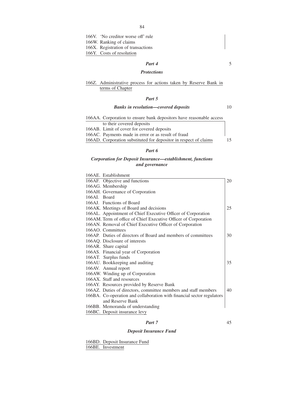166V. 'No creditor worse off' rule

166W. Ranking of claims

166X. Registration of transactions

166Y. Costs of resolution

# *Part 4*

#### *Protections*

# 166Z. Administrative process for actions taken by Reserve Bank in terms of Chapter

# *Part 5*

# *Banks in resolution—covered deposits*

10

5

| 166AA. Corporation to ensure bank depositors have reasonable access |     |
|---------------------------------------------------------------------|-----|
| to their covered deposits                                           |     |
| 166AB. Limit of cover for covered deposits                          |     |
| 166AC. Payments made in error or as result of fraud                 |     |
| 166AD. Corporation substituted for depositor in respect of claims   | 15. |

# *Part 6*

# *Corporation for Deposit Insurance—establishment, functions and governance*

|             | 166AE. Establishment                                                   |    |
|-------------|------------------------------------------------------------------------|----|
|             | 166AF. Objective and functions                                         | 20 |
|             | 166AG. Membership                                                      |    |
|             | 166AH. Governance of Corporation                                       |    |
| 166AL Board |                                                                        |    |
|             | 166AJ. Functions of Board                                              |    |
|             | 166AK. Meetings of Board and decisions                                 | 25 |
|             | 166AL. Appointment of Chief Executive Officer of Corporation           |    |
|             | 166AM. Term of office of Chief Executive Officer of Corporation        |    |
|             | 166AN. Removal of Chief Executive Officer of Corporation               |    |
|             | 166AO. Committees                                                      |    |
|             | 166AP. Duties of directors of Board and members of committees          | 30 |
|             | 166AQ. Disclosure of interests                                         |    |
|             | 166AR. Share capital                                                   |    |
|             | 166AS. Financial year of Corporation                                   |    |
|             | 166AT. Surplus funds                                                   |    |
|             | 166AU. Bookkeeping and auditing                                        | 35 |
|             | 166AV. Annual report                                                   |    |
|             | 166AW. Winding up of Corporation                                       |    |
|             | 166AX. Staff and resources                                             |    |
|             | 166AY. Resources provided by Reserve Bank                              |    |
|             | 166AZ. Duties of directors, committee members and staff members        | 40 |
|             | 166BA. Co-operation and collaboration with financial sector regulators |    |
|             | and Reserve Bank                                                       |    |
|             | 166BB. Memoranda of understanding                                      |    |
|             | 166BC. Deposit insurance levy                                          |    |
|             |                                                                        |    |

# *Part 7*

# *Deposit Insurance Fund*

166BD. Deposit Insurance Fund 166BE. Investment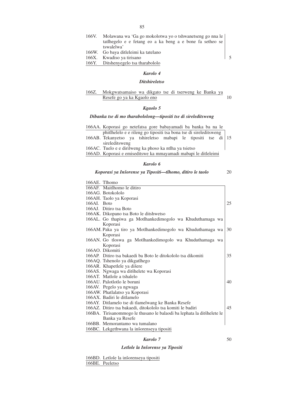- 166V. Molawana wa 'Ga go mokolotwa yo o tshwanetseng go nna le tatlhegelo e e fetang eo a ka beng a e bone fa setheo se tswalelwa' 166W. Go baya ditleleimi ka tatelano
- 166X. Kwadiso ya tirisano 166Y. Ditshenyegelo tsa tharabololo

5

### *Karolo 4*

# *Ditshireletso*

#### 166Z. Mokgwatsamaiso wa dikgato tse di tserweng ke Banka ya Resefe go ya ka Kgaolo eno 10

# *Kgaolo 5*

# *Dibanka tse di mo tharabololong—tipositi tse di sireleditsweng*

| 166AA. Koporasi go netefatsa gore babayamadi ba banka ba na le    |  |  |
|-------------------------------------------------------------------|--|--|
| phitlhelelo e e rileng go tipositi tsa bona tse di sireleditsweng |  |  |
| 166AB. Tekanyetso ya tshireletso mabapi le tipositi tse di 15     |  |  |
| sireleditsweng                                                    |  |  |
| 166AC. Tuelo e e dirilweng ka phoso ka ntlha ya tsietso           |  |  |
| 166AD. Koporasi e emiseditswe ka mmayamadi mabapi le ditleleimi   |  |  |

### *Karolo 6*

|                             | Koporasi ya Inšorense ya Tipositi—tlhomo, ditiro le taolo              | 20 |
|-----------------------------|------------------------------------------------------------------------|----|
| 166AE. Thomo                |                                                                        |    |
| 166AF. Maitlhomo le ditiro  |                                                                        |    |
| 166AG. Botokololo           |                                                                        |    |
| 166AH. Taolo ya Koporasi    |                                                                        |    |
| 166AL Boto                  |                                                                        | 25 |
| 166AJ. Ditiro tsa Boto      |                                                                        |    |
|                             | 166AK. Dikopano tsa Boto le ditshwetso                                 |    |
|                             | 166AL. Go thapiwa ga Motlhankedimogolo wa Khuduthamaga wa              |    |
| Koporasi                    |                                                                        |    |
|                             | 166AM. Paka ya tiro ya Motlhankedimogolo wa Khuduthamaga wa            | 30 |
| Koporasi                    |                                                                        |    |
|                             | 166AN. Go tloswa ga Motlhankedimogolo wa Khuduthamaga wa               |    |
| Koporasi                    |                                                                        |    |
| 166AO. Dikomiti             |                                                                        |    |
|                             | 166AP. Ditiro tsa bakaedi ba Boto le ditokololo tsa dikomiti           | 35 |
|                             | 166AQ. Tshenolo ya dikgatlhego                                         |    |
|                             | 166AR. Khapetlele ya dišere                                            |    |
|                             | 166AS. Ngwaga wa ditšhelete wa Koporasi                                |    |
| 166AT. Matlole a tshalelo   |                                                                        |    |
| 166AU. Palotlotlo le boruni |                                                                        | 40 |
| 166AV. Pegelo ya ngwaga     |                                                                        |    |
|                             | 166AW. Phatlalatso ya Koporasi                                         |    |
| 166AX. Badiri le ditlamelo  |                                                                        |    |
|                             | 166AY. Ditlamelo tse di tlamelwang ke Banka Resefe                     |    |
|                             | 166AZ. Ditiro tsa bakaedi, ditokololo tsa komiti le badiri             | 45 |
|                             | 166BA. Tirisanommogo le thusano le balaodi ba lephata la ditšhelete le |    |
|                             | Banka ya Resefe                                                        |    |
|                             | 166BB. Memorantamo wa tumalano                                         |    |

166BC. Lekgethwana la inšorenseya tipositi

#### *Karolo 7*

50

# *Letlole la Insˇorense ya Tipositi*

166BD. Letlole la inšorenseya tipositi 166BE. Peeletso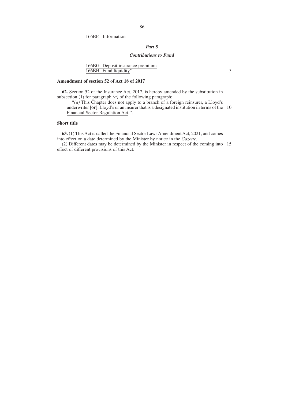# 166BF. Information

# *Part 8*

# *Contributions to Fund*

5

166BG. Deposit insurance premiums 166BH. Fund liquidity''.

# **Amendment of section 52 of Act 18 of 2017**

**62.** Section 52 of the Insurance Act, 2017, is hereby amended by the substitution in subsection (1) for paragraph *(a)* of the following paragraph:

''*(a)* This Chapter does not apply to a branch of a foreign reinsurer, a Lloyd's underwriter **[or]**, Lloyd's or an insurer that is a designated institution in terms of the 10 Financial Sector Regulation Act.''.

# **Short title**

**63.** (1) This Act is called the Financial Sector Laws Amendment Act, 2021, and comes into effect on a date determined by the Minister by notice in the *Gazette*.

(2) Different dates may be determined by the Minister in respect of the coming into 15 effect of different provisions of this Act.